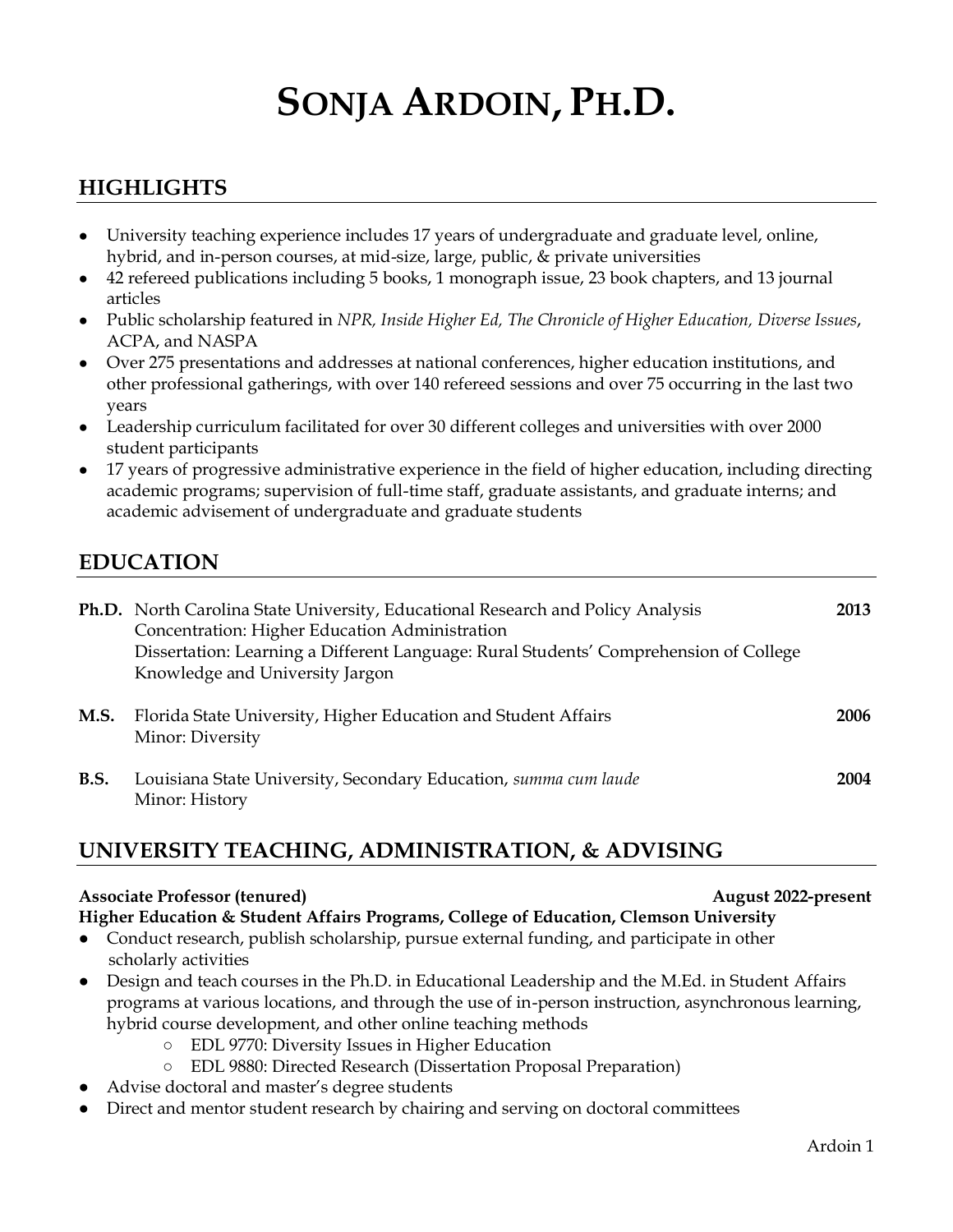# **SONJA ARDOIN, PH.D.**

# **HIGHLIGHTS**

- University teaching experience includes 17 years of undergraduate and graduate level, online, hybrid, and in-person courses, at mid-size, large, public, & private universities
- 42 refereed publications including 5 books, 1 monograph issue, 23 book chapters, and 13 journal articles
- Public scholarship featured in *NPR, Inside Higher Ed, The Chronicle of Higher Education, Diverse Issues*, ACPA, and NASPA
- Over 275 presentations and addresses at national conferences, higher education institutions, and other professional gatherings, with over 140 refereed sessions and over 75 occurring in the last two years
- Leadership curriculum facilitated for over 30 different colleges and universities with over 2000 student participants
- 17 years of progressive administrative experience in the field of higher education, including directing academic programs; supervision of full-time staff, graduate assistants, and graduate interns; and academic advisement of undergraduate and graduate students

# **EDUCATION**

|             | Ph.D. North Carolina State University, Educational Research and Policy Analysis<br>Concentration: Higher Education Administration<br>Dissertation: Learning a Different Language: Rural Students' Comprehension of College<br>Knowledge and University Jargon | 2013 |
|-------------|---------------------------------------------------------------------------------------------------------------------------------------------------------------------------------------------------------------------------------------------------------------|------|
| <b>M.S.</b> | Florida State University, Higher Education and Student Affairs<br>Minor: Diversity                                                                                                                                                                            | 2006 |
| <b>B.S.</b> | Louisiana State University, Secondary Education, summa cum laude<br>Minor: History                                                                                                                                                                            | 2004 |

# **UNIVERSITY TEACHING, ADMINISTRATION, & ADVISING**

#### **Associate Professor (tenured) August 2022-present**

**Higher Education & Student Affairs Programs, College of Education, Clemson University**

- Conduct research, publish scholarship, pursue external funding, and participate in other scholarly activities
- Design and teach courses in the Ph.D. in Educational Leadership and the M.Ed. in Student Affairs programs at various locations, and through the use of in-person instruction, asynchronous learning, hybrid course development, and other online teaching methods
	- EDL 9770: Diversity Issues in Higher Education
	- EDL 9880: Directed Research (Dissertation Proposal Preparation)
- Advise doctoral and master's degree students
- Direct and mentor student research by chairing and serving on doctoral committees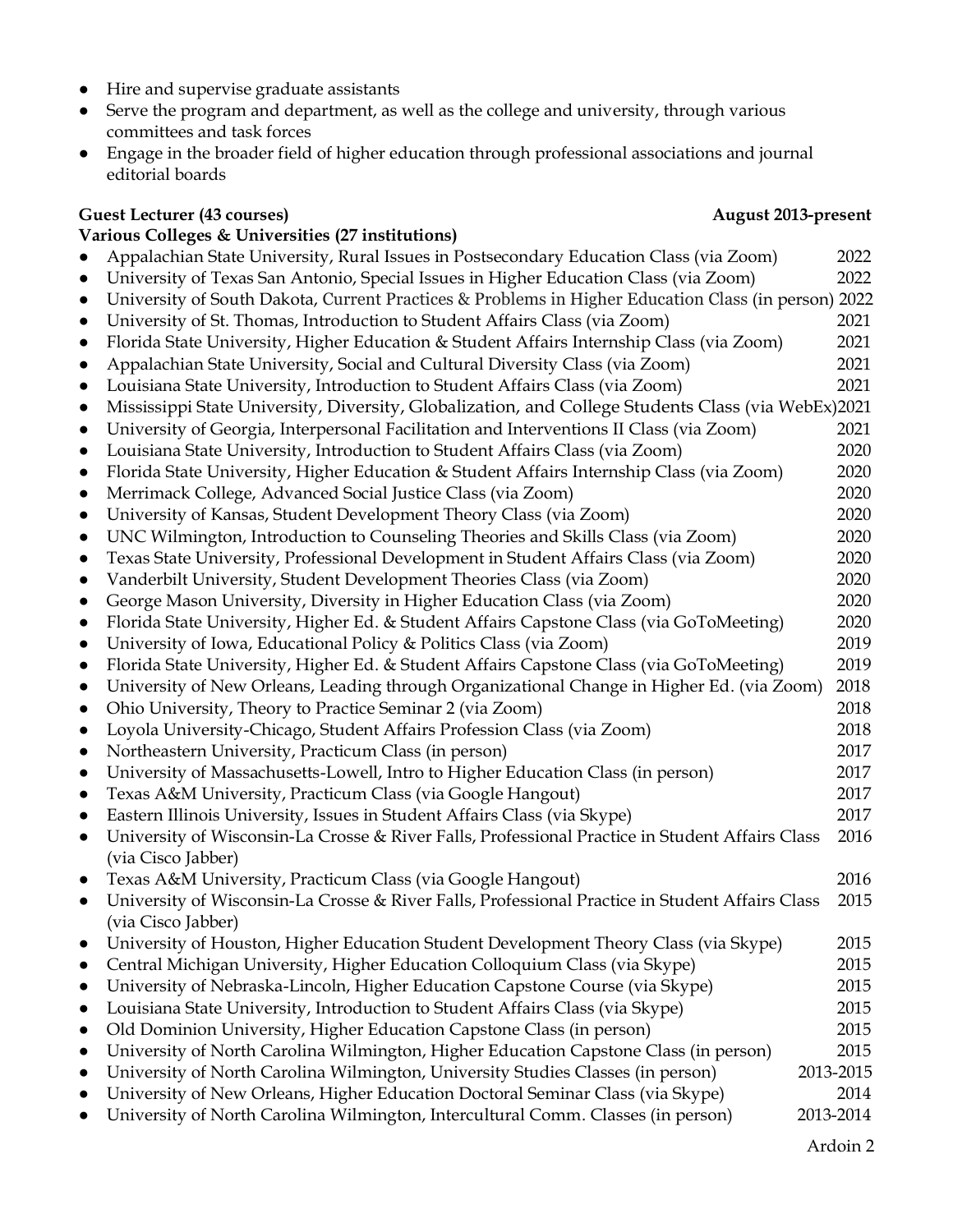- Hire and supervise graduate assistants
- Serve the program and department, as well as the college and university, through various committees and task forces
- Engage in the broader field of higher education through professional associations and journal editorial boards

#### **Guest Lecturer (43 courses) August 2013-present**

#### **Various Colleges & Universities (27 institutions)**

- Appalachian State University, Rural Issues in Postsecondary Education Class (via Zoom) 2022
- University of Texas San Antonio, Special Issues in Higher Education Class (via Zoom) 2022
- University of South Dakota, Current Practices & Problems in Higher Education Class (in person) 2022
- University of St. Thomas, Introduction to Student Affairs Class (via Zoom) 2021
- Florida State University, Higher Education & Student Affairs Internship Class (via Zoom) 2021
- Appalachian State University, Social and Cultural Diversity Class (via Zoom) 2021 ● Louisiana State University, Introduction to Student Affairs Class (via Zoom) 2021
- Mississippi State University, Diversity, Globalization, and College Students Class (via WebEx)2021
- University of Georgia, Interpersonal Facilitation and Interventions II Class (via Zoom) 2021
- Louisiana State University, Introduction to Student Affairs Class (via Zoom) 2020
- Florida State University, Higher Education & Student Affairs Internship Class (via Zoom) 2020
- Merrimack College, Advanced Social Justice Class (via Zoom) 2020
- University of Kansas, Student Development Theory Class (via Zoom) 2020
- UNC Wilmington, Introduction to Counseling Theories and Skills Class (via Zoom) 2020
- Texas State University, Professional Development in Student Affairs Class (via Zoom) 2020
- Vanderbilt University, Student Development Theories Class (via Zoom) 2020
- George Mason University, Diversity in Higher Education Class (via Zoom) 2020
- Florida State University, Higher Ed. & Student Affairs Capstone Class (via GoToMeeting) 2020 ● University of Iowa, Educational Policy & Politics Class (via Zoom) 2019
- Florida State University, Higher Ed. & Student Affairs Capstone Class (via GoToMeeting) 2019
- University of New Orleans, Leading through Organizational Change in Higher Ed. (via Zoom) 2018
- Ohio University, Theory to Practice Seminar 2 (via Zoom) 2018
- Loyola University-Chicago, Student Affairs Profession Class (via Zoom) 2018
- Northeastern University, Practicum Class (in person) 2017
- University of Massachusetts-Lowell, Intro to Higher Education Class (in person) 2017
- Texas A&M University, Practicum Class (via Google Hangout) 2017
- Eastern Illinois University, Issues in Student Affairs Class (via Skype) 2017 ● University of Wisconsin-La Crosse & River Falls, Professional Practice in Student Affairs Class 2016 (via Cisco Jabber)
- Texas A&M University, Practicum Class (via Google Hangout) 2016
- University of Wisconsin-La Crosse & River Falls, Professional Practice in Student Affairs Class 2015 (via Cisco Jabber)
- University of Houston, Higher Education Student Development Theory Class (via Skype) 2015
- Central Michigan University, Higher Education Colloquium Class (via Skype) 2015
- University of Nebraska-Lincoln, Higher Education Capstone Course (via Skype) 2015
- Louisiana State University, Introduction to Student Affairs Class (via Skype) 2015 • Old Dominion University, Higher Education Capstone Class (in person) 2015
- University of North Carolina Wilmington, Higher Education Capstone Class (in person) 2015
- University of North Carolina Wilmington, University Studies Classes (in person) 2013-2015
- University of New Orleans, Higher Education Doctoral Seminar Class (via Skype) 2014
- University of North Carolina Wilmington, Intercultural Comm. Classes (in person) 2013-2014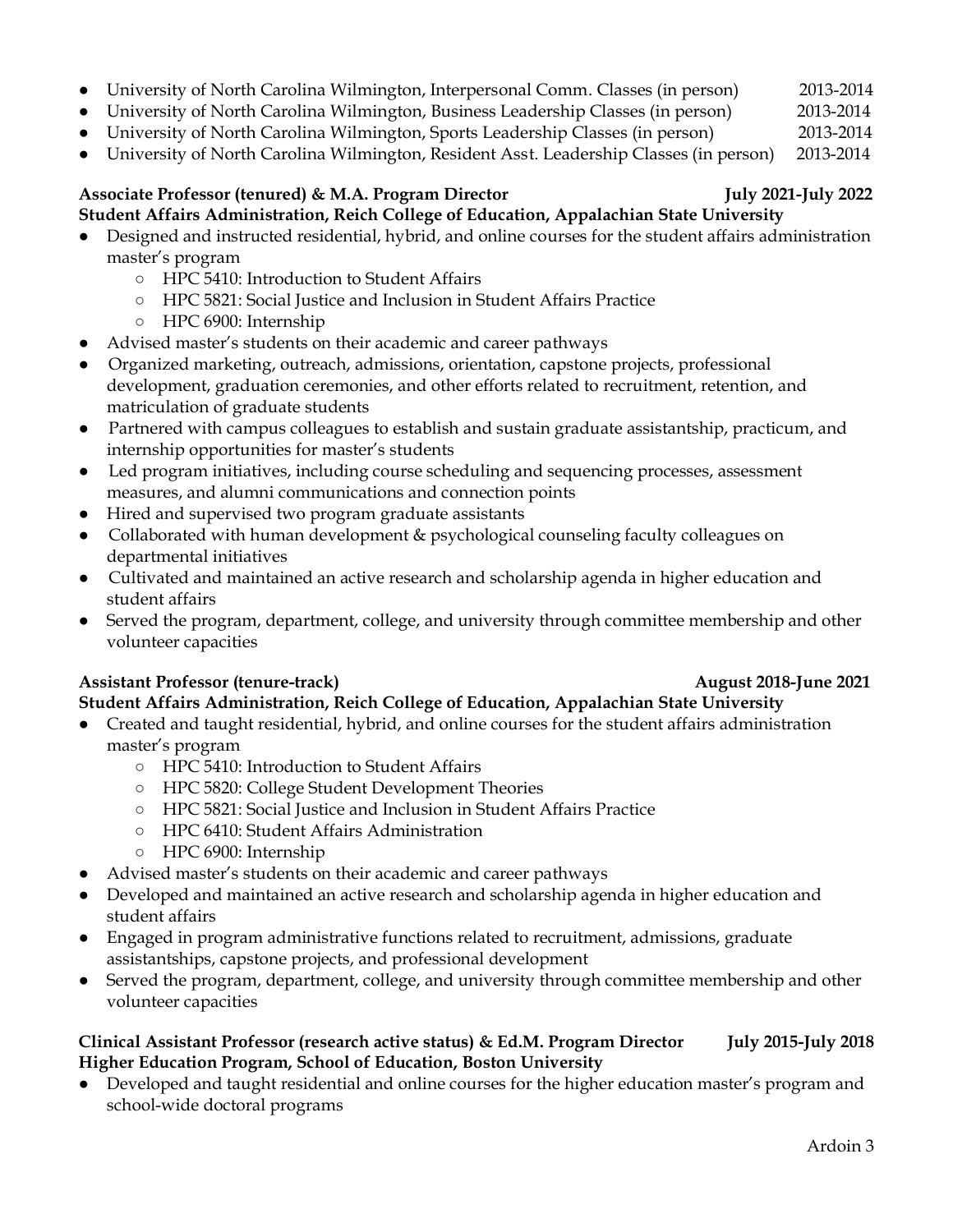- University of North Carolina Wilmington, Interpersonal Comm. Classes (in person) 2013-2014
- University of North Carolina Wilmington, Business Leadership Classes (in person) 2013-2014
- University of North Carolina Wilmington, Sports Leadership Classes (in person) 2013-2014
- University of North Carolina Wilmington, Resident Asst. Leadership Classes (in person) 2013-2014

#### Associate Professor (tenured) & M.A. Program Director **1988** July 2021-July 2022 **Student Affairs Administration, Reich College of Education, Appalachian State University**

- Designed and instructed residential, hybrid, and online courses for the student affairs administration master's program
	- HPC 5410: Introduction to Student Affairs
	- HPC 5821: Social Justice and Inclusion in Student Affairs Practice
	- HPC 6900: Internship
- Advised master's students on their academic and career pathways
- Organized marketing, outreach, admissions, orientation, capstone projects, professional development, graduation ceremonies, and other efforts related to recruitment, retention, and matriculation of graduate students
- Partnered with campus colleagues to establish and sustain graduate assistantship, practicum, and internship opportunities for master's students
- Led program initiatives, including course scheduling and sequencing processes, assessment measures, and alumni communications and connection points
- Hired and supervised two program graduate assistants
- Collaborated with human development & psychological counseling faculty colleagues on departmental initiatives
- Cultivated and maintained an active research and scholarship agenda in higher education and student affairs
- Served the program, department, college, and university through committee membership and other volunteer capacities

#### **Assistant Professor (tenure-track) August 2018-June 2021**

## **Student Affairs Administration, Reich College of Education, Appalachian State University**

- Created and taught residential, hybrid, and online courses for the student affairs administration master's program
	- HPC 5410: Introduction to Student Affairs
	- HPC 5820: College Student Development Theories
	- HPC 5821: Social Justice and Inclusion in Student Affairs Practice
	- HPC 6410: Student Affairs Administration
	- HPC 6900: Internship
- Advised master's students on their academic and career pathways
- Developed and maintained an active research and scholarship agenda in higher education and student affairs
- Engaged in program administrative functions related to recruitment, admissions, graduate assistantships, capstone projects, and professional development
- Served the program, department, college, and university through committee membership and other volunteer capacities

#### **Clinical Assistant Professor (research active status) & Ed.M. Program Director July 2015-July 2018 Higher Education Program, School of Education, Boston University**

Developed and taught residential and online courses for the higher education master's program and school-wide doctoral programs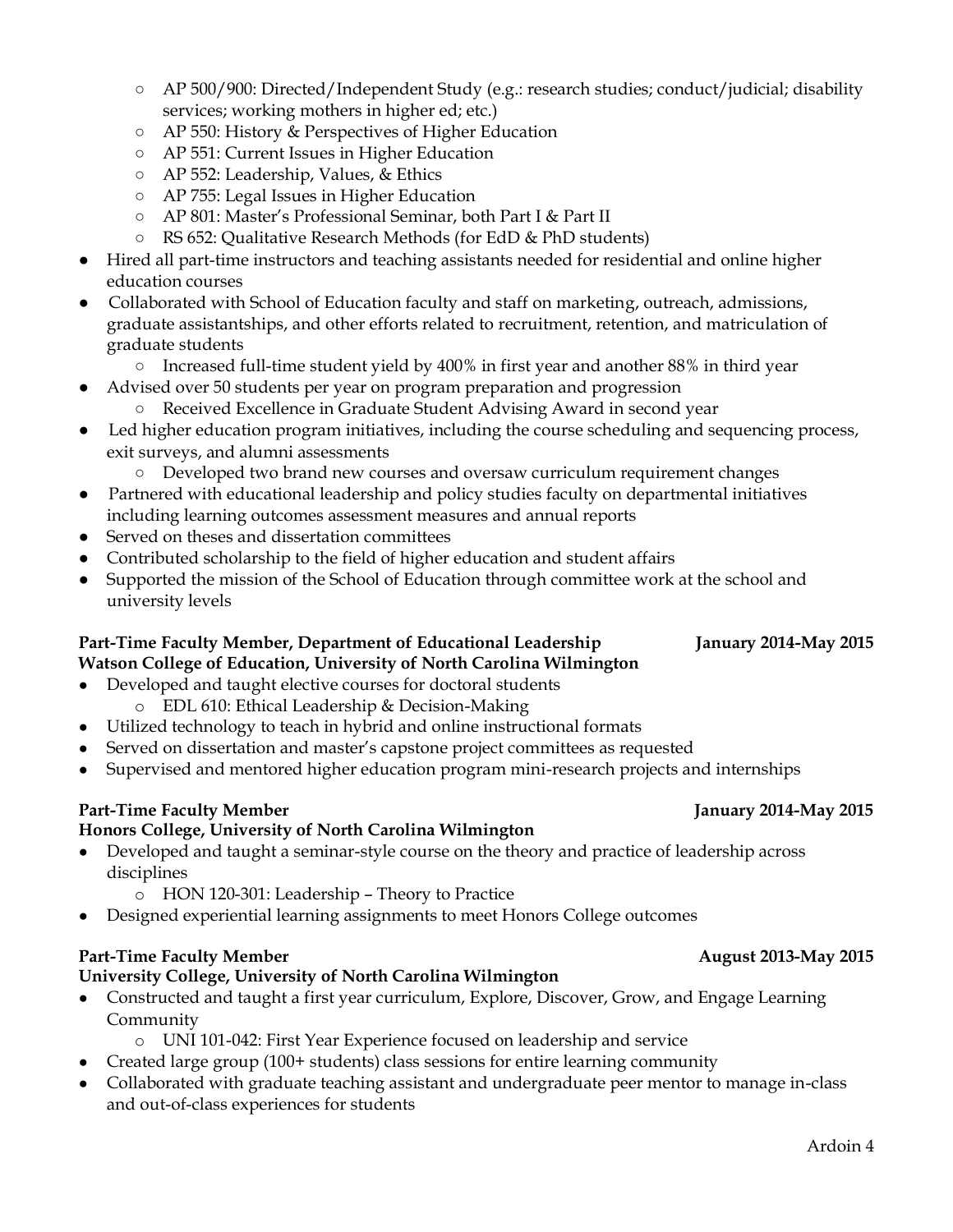Ardoin 4

- AP 500/900: Directed/Independent Study (e.g.: research studies; conduct/judicial; disability services; working mothers in higher ed; etc.)
- AP 550: History & Perspectives of Higher Education
- AP 551: Current Issues in Higher Education
- AP 552: Leadership, Values, & Ethics
- AP 755: Legal Issues in Higher Education
- AP 801: Master's Professional Seminar, both Part I & Part II
- RS 652: Qualitative Research Methods (for EdD & PhD students)
- Hired all part-time instructors and teaching assistants needed for residential and online higher education courses
- Collaborated with School of Education faculty and staff on marketing, outreach, admissions, graduate assistantships, and other efforts related to recruitment, retention, and matriculation of graduate students
	- Increased full-time student yield by 400% in first year and another 88% in third year
- Advised over 50 students per year on program preparation and progression
	- Received Excellence in Graduate Student Advising Award in second year
- Led higher education program initiatives, including the course scheduling and sequencing process, exit surveys, and alumni assessments
	- Developed two brand new courses and oversaw curriculum requirement changes
- Partnered with educational leadership and policy studies faculty on departmental initiatives including learning outcomes assessment measures and annual reports
- Served on theses and dissertation committees
- Contributed scholarship to the field of higher education and student affairs
- Supported the mission of the School of Education through committee work at the school and university levels

#### **Part-Time Faculty Member, Department of Educational Leadership January 2014-May 2015 Watson College of Education, University of North Carolina Wilmington**

- Developed and taught elective courses for doctoral students
	- o EDL 610: Ethical Leadership & Decision-Making
- Utilized technology to teach in hybrid and online instructional formats
- Served on dissertation and master's capstone project committees as requested
- Supervised and mentored higher education program mini-research projects and internships

#### Part-Time Faculty Member **January 2014-May 2015**

#### **Honors College, University of North Carolina Wilmington**

- Developed and taught a seminar-style course on the theory and practice of leadership across disciplines
	- o HON 120-301: Leadership Theory to Practice
- Designed experiential learning assignments to meet Honors College outcomes

#### Part-Time Faculty Member **August 2013-May 2015**

#### **University College, University of North Carolina Wilmington**

- Constructed and taught a first year curriculum, Explore, Discover, Grow, and Engage Learning Community
	- o UNI 101-042: First Year Experience focused on leadership and service
	- Created large group (100+ students) class sessions for entire learning community
- Collaborated with graduate teaching assistant and undergraduate peer mentor to manage in-class and out-of-class experiences for students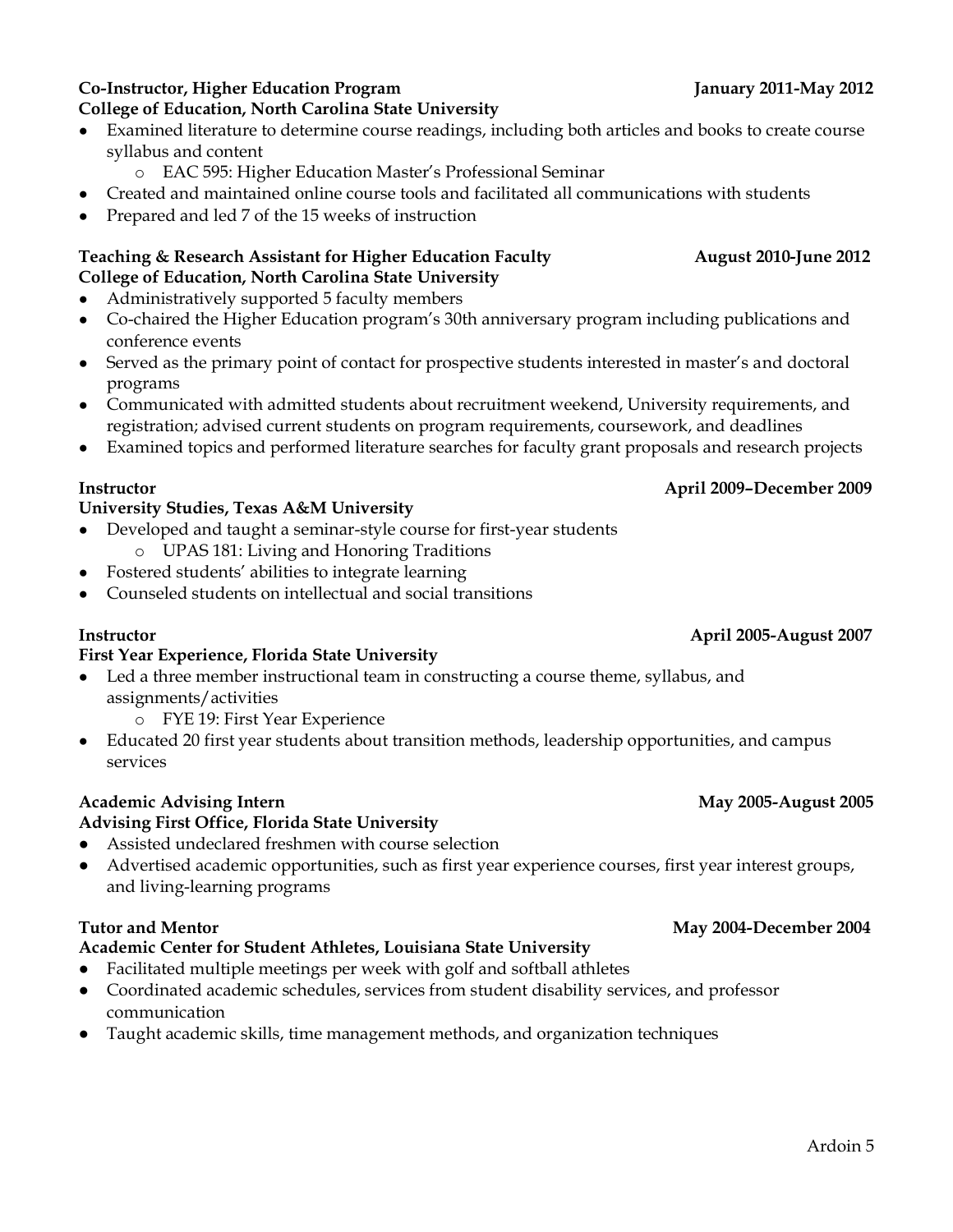#### **Co-Instructor, Higher Education Program January 2011-May 2012 College of Education, North Carolina State University**

- Examined literature to determine course readings, including both articles and books to create course syllabus and content
	- o EAC 595: Higher Education Master's Professional Seminar
- Created and maintained online course tools and facilitated all communications with students
- Prepared and led 7 of the 15 weeks of instruction

#### Teaching & Research Assistant for Higher Education Faculty **August 2010-June 2012 College of Education, North Carolina State University**

- Administratively supported 5 faculty members
- Co-chaired the Higher Education program's 30th anniversary program including publications and conference events
- Served as the primary point of contact for prospective students interested in master's and doctoral programs
- Communicated with admitted students about recruitment weekend, University requirements, and registration; advised current students on program requirements, coursework, and deadlines
- Examined topics and performed literature searches for faculty grant proposals and research projects

### **Instructor April 2009–December 2009**

#### **University Studies, Texas A&M University**

- Developed and taught a seminar-style course for first-year students
	- o UPAS 181: Living and Honoring Traditions
- Fostered students' abilities to integrate learning
- Counseled students on intellectual and social transitions

#### **Instructor April 2005-August 2007**

#### **First Year Experience, Florida State University**

- Led a three member instructional team in constructing a course theme, syllabus, and assignments/activities
	- o FYE 19: First Year Experience
- Educated 20 first year students about transition methods, leadership opportunities, and campus services

#### Academic Advising Intern **May 2005-August 2005**

#### **Advising First Office, Florida State University**

- Assisted undeclared freshmen with course selection
- Advertised academic opportunities, such as first year experience courses, first year interest groups, and living-learning programs

### **Academic Center for Student Athletes, Louisiana State University**

- Facilitated multiple meetings per week with golf and softball athletes
- Coordinated academic schedules, services from student disability services, and professor communication
- Taught academic skills, time management methods, and organization techniques

#### **Tutor and Mentor May 2004-December 2004**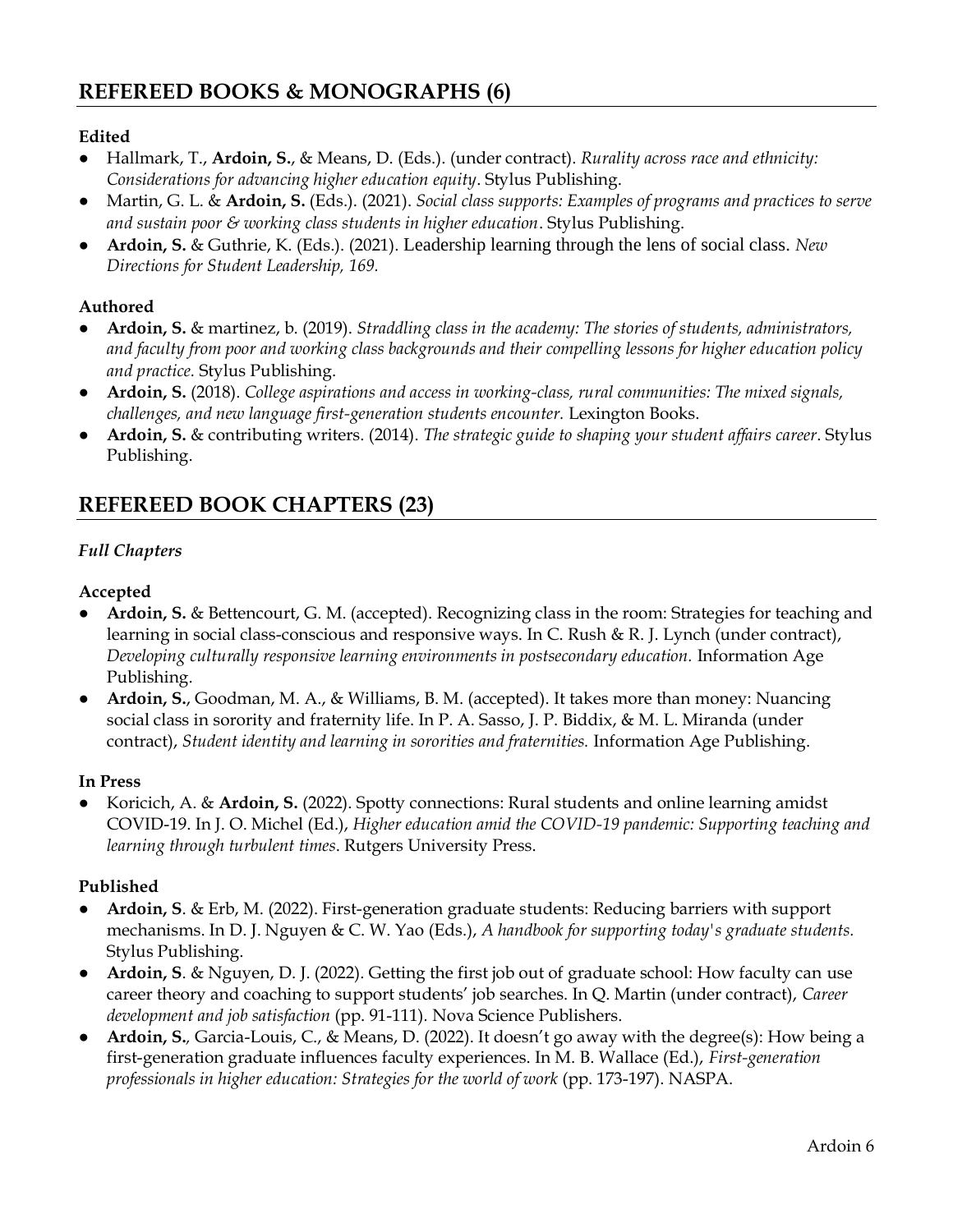#### **Edited**

- Hallmark, T., **Ardoin, S.**, & Means, D. (Eds.). (under contract). *Rurality across race and ethnicity: Considerations for advancing higher education equity*. Stylus Publishing.
- Martin, G. L. & **Ardoin, S.** (Eds.). (2021). *Social class supports: Examples of programs and practices to serve and sustain poor & working class students in higher education*. Stylus Publishing.
- **Ardoin, S.** & Guthrie, K. (Eds.). (2021). Leadership learning through the lens of social class. *New Directions for Student Leadership, 169.*

#### **Authored**

- **Ardoin, S.** & martinez, b. (2019). *Straddling class in the academy: The stories of students, administrators, and faculty from poor and working class backgrounds and their compelling lessons for higher education policy and practice.* Stylus Publishing.
- **Ardoin, S.** (2018). *College aspirations and access in working-class, rural communities: The mixed signals, challenges, and new language first-generation students encounter.* Lexington Books.
- **Ardoin, S.** & contributing writers. (2014). *The strategic guide to shaping your student affairs career*. Stylus Publishing.

# **REFEREED BOOK CHAPTERS (23)**

#### *Full Chapters*

#### **Accepted**

- **Ardoin, S.** & Bettencourt, G. M. (accepted). Recognizing class in the room: Strategies for teaching and learning in social class-conscious and responsive ways. In C. Rush & R. J. Lynch (under contract), *Developing culturally responsive learning environments in postsecondary education.* Information Age Publishing.
- **Ardoin, S.**, Goodman, M. A., & Williams, B. M. (accepted). It takes more than money: Nuancing social class in sorority and fraternity life. In P. A. Sasso, J. P. Biddix, & M. L. Miranda (under contract), *Student identity and learning in sororities and fraternities.* Information Age Publishing.

#### **In Press**

● Koricich, A. & **Ardoin, S.** (2022). Spotty connections: Rural students and online learning amidst COVID-19. In J. O. Michel (Ed.), *Higher education amid the COVID-19 pandemic: Supporting teaching and learning through turbulent times*. Rutgers University Press.

#### **Published**

- **Ardoin, S**. & Erb, M. (2022). First-generation graduate students: Reducing barriers with support mechanisms. In D. J. Nguyen & C. W. Yao (Eds.), *A handbook for supporting today's graduate students.*  Stylus Publishing.
- **Ardoin, S**. & Nguyen, D. J. (2022). Getting the first job out of graduate school: How faculty can use career theory and coaching to support students' job searches. In Q. Martin (under contract), *Career development and job satisfaction* (pp. 91-111)*.* Nova Science Publishers.
- **Ardoin, S.***,* Garcia-Louis, C., & Means, D. (2022). It doesn't go away with the degree(s): How being a first-generation graduate influences faculty experiences. In M. B. Wallace (Ed.), *First-generation professionals in higher education: Strategies for the world of work* (pp. 173-197). NASPA.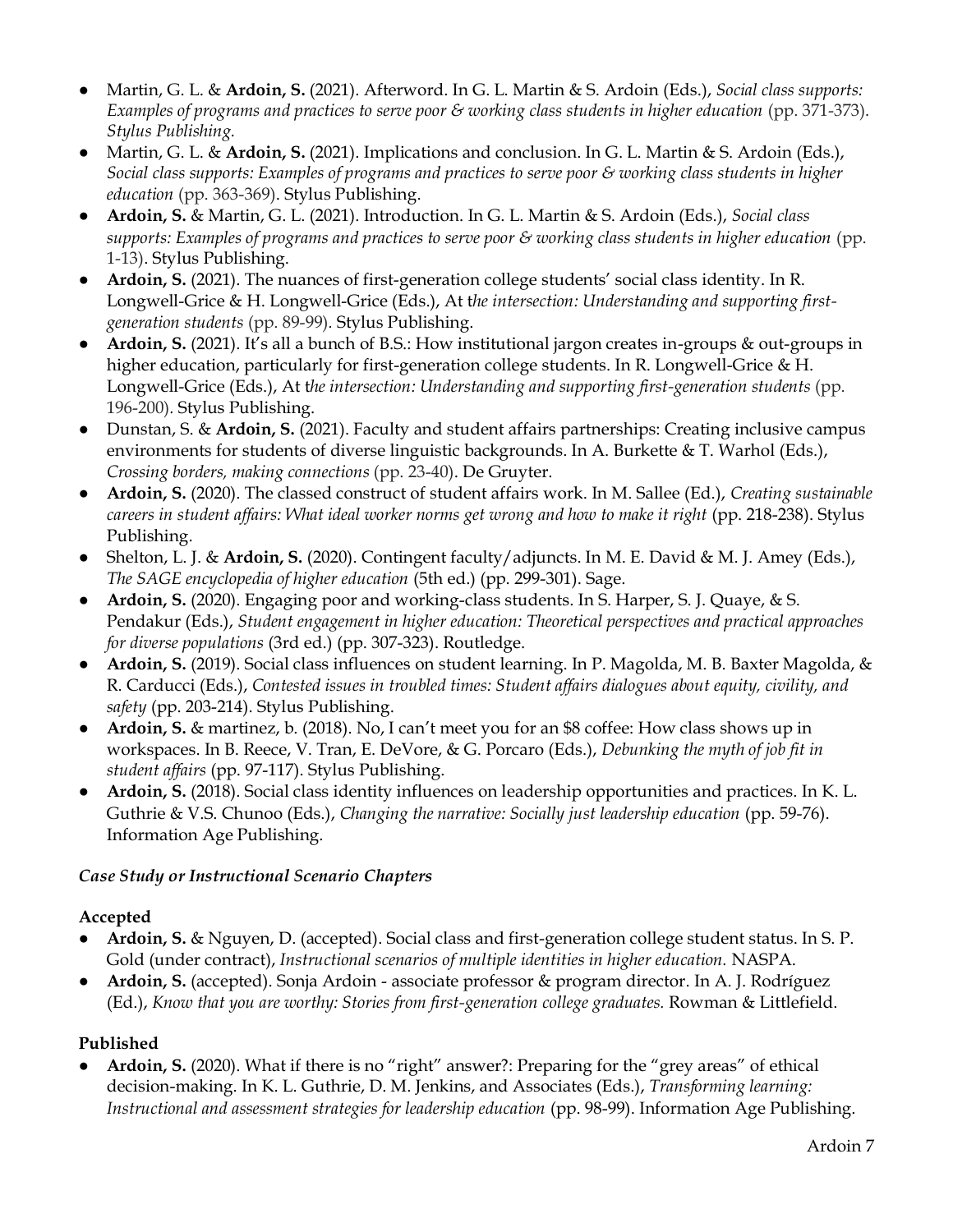- Martin, G. L. & **Ardoin, S.** (2021). Afterword. In G. L. Martin & S. Ardoin (Eds.), *Social class supports: Examples of programs and practices to serve poor & working class students in higher education (pp. 371-373). Stylus Publishing.*
- Martin, G. L. & **Ardoin, S.** (2021). Implications and conclusion. In G. L. Martin & S. Ardoin (Eds.), *Social class supports: Examples of programs and practices to serve poor & working class students in higher education* (pp. 363-369). Stylus Publishing.
- **Ardoin, S.** & Martin, G. L. (2021). Introduction. In G. L. Martin & S. Ardoin (Eds.), *Social class supports: Examples of programs and practices to serve poor & working class students in higher education* (pp. 1-13). Stylus Publishing.
- Ardoin, S. (2021). The nuances of first-generation college students' social class identity. In R. Longwell-Grice & H. Longwell-Grice (Eds.), At t*he intersection: Understanding and supporting firstgeneration students* (pp. 89-99)*.* Stylus Publishing.
- Ardoin, S. (2021). It's all a bunch of B.S.: How institutional jargon creates in-groups & out-groups in higher education, particularly for first-generation college students. In R. Longwell-Grice & H. Longwell-Grice (Eds.), At the intersection: Understanding and supporting first-generation students (pp. 196-200)*.* Stylus Publishing.
- Dunstan, S. & **Ardoin, S.** (2021). Faculty and student affairs partnerships: Creating inclusive campus environments for students of diverse linguistic backgrounds. In A. Burkette & T. Warhol (Eds.), *Crossing borders, making connections* (pp. 23-40). De Gruyter.
- **Ardoin, S.** (2020). The classed construct of student affairs work. In M. Sallee (Ed.), *Creating sustainable careers in student affairs: What ideal worker norms get wrong and how to make it right* (pp. 218-238). Stylus Publishing.
- Shelton, L. J. & **Ardoin, S.** (2020). Contingent faculty/adjuncts. In M. E. David & M. J. Amey (Eds.), *The SAGE encyclopedia of higher education* (5th ed.) (pp. 299-301). Sage.
- **Ardoin, S.** (2020). Engaging poor and working-class students. In S. Harper, S. J. Quaye, & S. Pendakur (Eds.), *Student engagement in higher education: Theoretical perspectives and practical approaches for diverse populations* (3rd ed.) (pp. 307-323). Routledge.
- **Ardoin, S.** (2019). Social class influences on student learning. In P. Magolda, M. B. Baxter Magolda, & R. Carducci (Eds.), *Contested issues in troubled times: Student affairs dialogues about equity, civility, and safety* (pp. 203-214). Stylus Publishing.
- **Ardoin, S.** & martinez, b. (2018). No, I can't meet you for an \$8 coffee: How class shows up in workspaces. In B. Reece, V. Tran, E. DeVore, & G. Porcaro (Eds.), *Debunking the myth of job fit in student affairs* (pp. 97-117). Stylus Publishing.
- **Ardoin, S.** (2018). Social class identity influences on leadership opportunities and practices. In K. L. Guthrie & V.S. Chunoo (Eds.), *Changing the narrative: Socially just leadership education* (pp. 59-76). Information Age Publishing.

### *Case Study or Instructional Scenario Chapters*

### **Accepted**

- **Ardoin, S.** & Nguyen, D. (accepted). Social class and first-generation college student status. In S. P. Gold (under contract), *Instructional scenarios of multiple identities in higher education.* NASPA.
- **Ardoin, S.** (accepted). Sonja Ardoin associate professor & program director. In A. J. Rodríguez (Ed.), *Know that you are worthy: Stories from first-generation college graduates.* Rowman & Littlefield.

### **Published**

Ardoin, S. (2020). What if there is no "right" answer?: Preparing for the "grey areas" of ethical decision-making. In K. L. Guthrie, D. M. Jenkins, and Associates (Eds.), *Transforming learning: Instructional and assessment strategies for leadership education* (pp. 98-99). Information Age Publishing.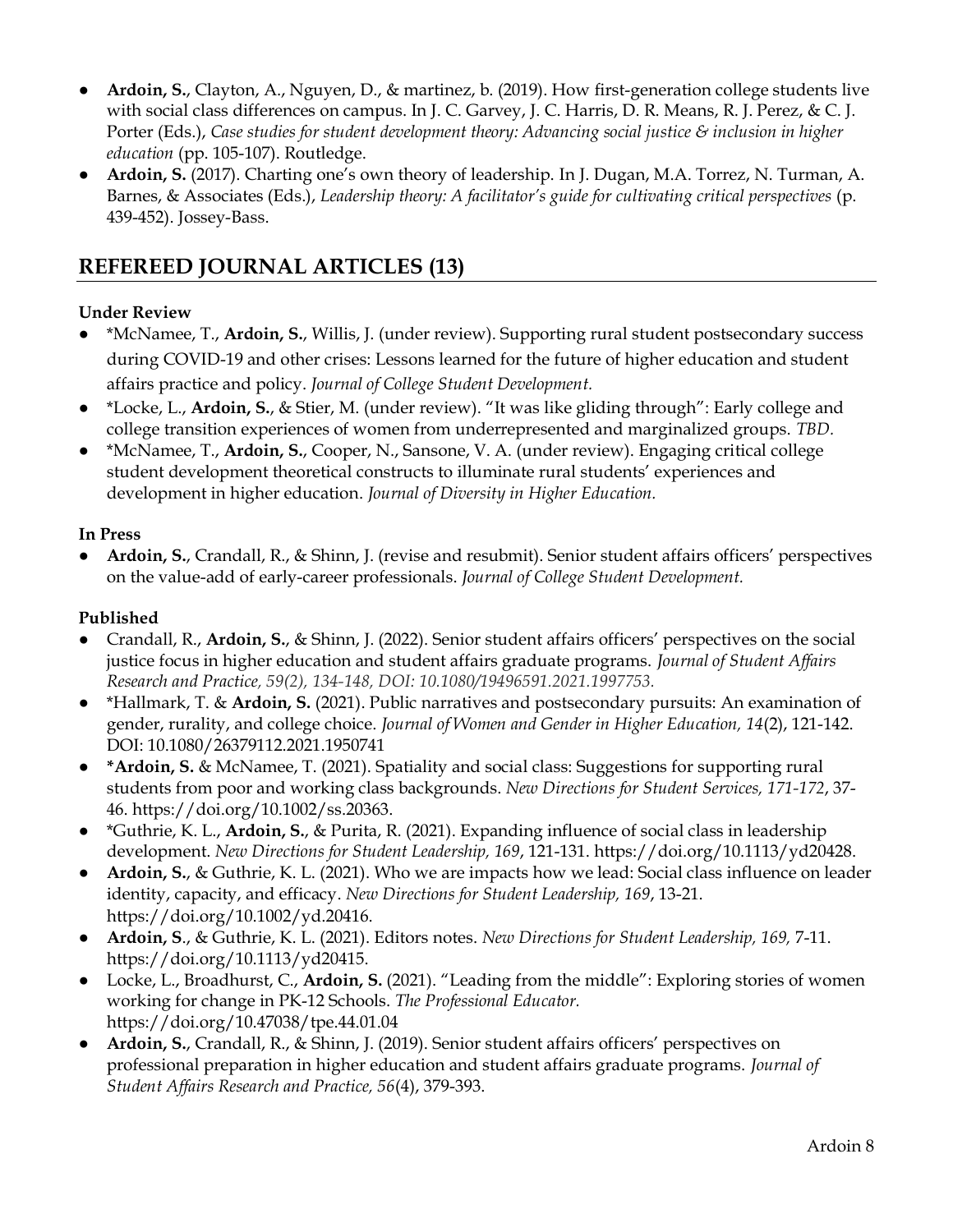- **Ardoin, S.**, Clayton, A., Nguyen, D., & martinez, b. (2019). How first-generation college students live with social class differences on campus. In J. C. Garvey, J. C. Harris, D. R. Means, R. J. Perez, & C. J. Porter (Eds.), *Case studies for student development theory: Advancing social justice & inclusion in higher education* (pp. 105-107). Routledge.
- **Ardoin, S.** (2017). Charting one's own theory of leadership. In J. Dugan, M.A. Torrez, N. Turman, A. Barnes, & Associates (Eds.), *Leadership theory: A facilitator's guide for cultivating critical perspectives* (p. 439-452). Jossey-Bass.

# **REFEREED JOURNAL ARTICLES (13)**

#### **Under Review**

- \*McNamee, T., **Ardoin, S.**, Willis, J. (under review). Supporting rural student postsecondary success during COVID-19 and other crises: Lessons learned for the future of higher education and student affairs practice and policy. *Journal of College Student Development.*
- \*Locke, L., **Ardoin, S.**, & Stier, M. (under review). "It was like gliding through": Early college and college transition experiences of women from underrepresented and marginalized groups. *TBD.*
- \*McNamee, T., **Ardoin, S.**, Cooper, N., Sansone, V. A. (under review). Engaging critical college student development theoretical constructs to illuminate rural students' experiences and development in higher education. *Journal of Diversity in Higher Education.*

#### **In Press**

● **Ardoin, S.**, Crandall, R., & Shinn, J. (revise and resubmit). Senior student affairs officers' perspectives on the value-add of early-career professionals. *Journal of College Student Development.*

#### **Published**

- Crandall, R., **Ardoin, S.**, & Shinn, J. (2022). Senior student affairs officers' perspectives on the social justice focus in higher education and student affairs graduate programs. *Journal of Student Affairs Research and Practice, 59(2), 134-148, DOI: 10.1080/19496591.2021.1997753.*
- \*Hallmark, T. & **Ardoin, S.** (2021). Public narratives and postsecondary pursuits: An examination of gender, rurality, and college choice. *Journal of Women and Gender in Higher Education, 14*(2), 121-142. DOI: 10.1080/26379112.2021.1950741
- **\*Ardoin, S.** & McNamee, T. (2021). Spatiality and social class: Suggestions for supporting rural students from poor and working class backgrounds. *New Directions for Student Services, 171-172*, 37- 46. https://doi.org/10.1002/ss.20363.
- \*Guthrie, K. L., **Ardoin, S.**, & Purita, R. (2021). Expanding influence of social class in leadership development. *New Directions for Student Leadership, 169*, 121-131. https://doi.org/10.1113/yd20428.
- **Ardoin, S.**, & Guthrie, K. L. (2021). Who we are impacts how we lead: Social class influence on leader identity, capacity, and efficacy. *New Directions for Student Leadership, 169*, 13-21. https://doi.org/10.1002/yd.20416.
- **Ardoin, S**., & Guthrie, K. L. (2021). Editors notes. *New Directions for Student Leadership, 169,* 7-11. https://doi.org/10.1113/yd20415.
- Locke, L., Broadhurst, C., **Ardoin, S.** (2021). "Leading from the middle": Exploring stories of women working for change in PK-12 Schools. *The Professional Educator.*  https://doi.org/10.47038/tpe.44.01.04
- **Ardoin, S.**, Crandall, R., & Shinn, J. (2019). Senior student affairs officers' perspectives on professional preparation in higher education and student affairs graduate programs. *Journal of Student Affairs Research and Practice, 56*(4), 379-393.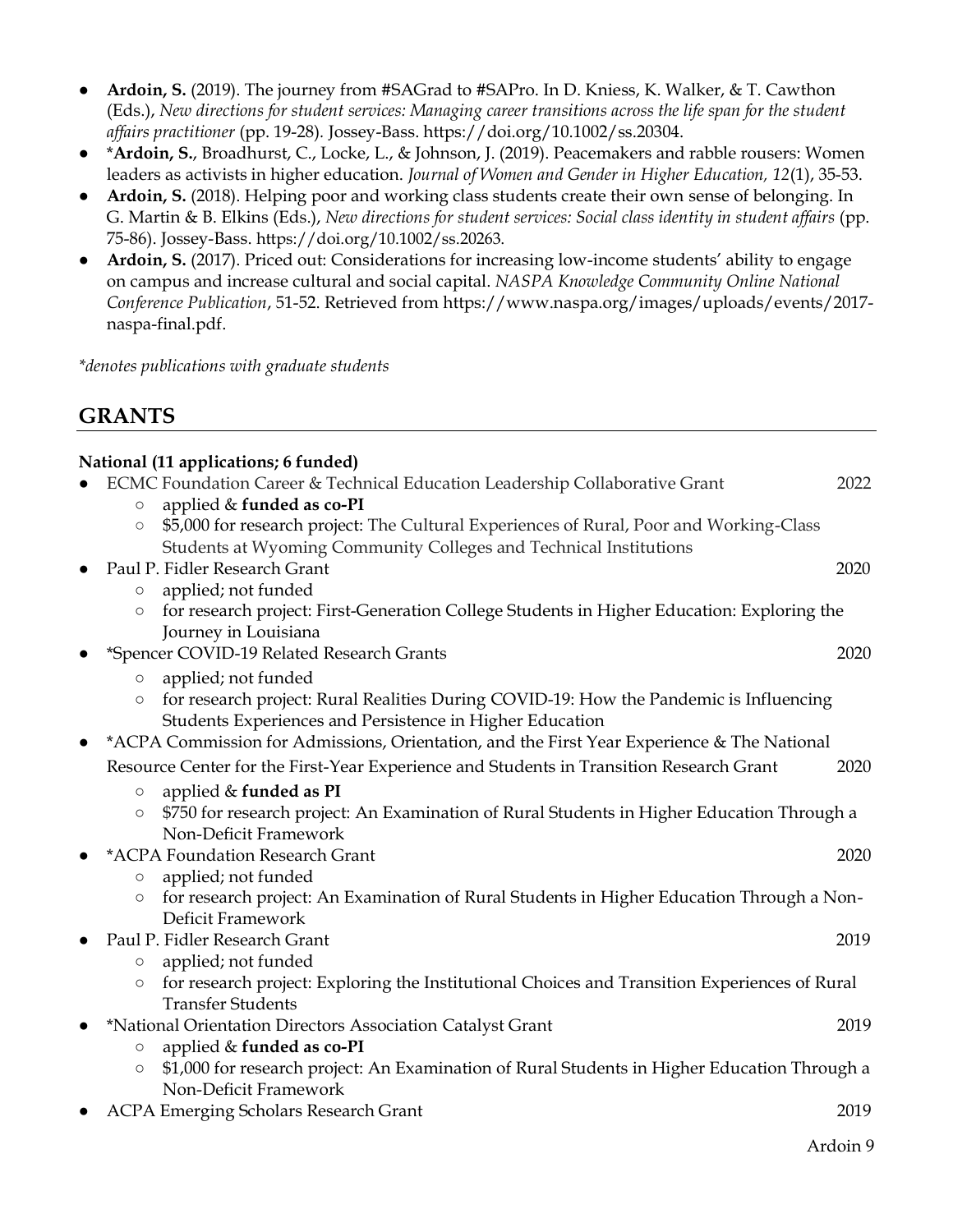- **Ardoin, S.** (2019). The journey from #SAGrad to #SAPro. In D. Kniess, K. Walker, & T. Cawthon (Eds.), *New directions for student services: Managing career transitions across the life span for the student affairs practitioner* (pp. 19-28)*.* Jossey-Bass. https://doi.org/10.1002/ss.20304.
- \***Ardoin, S.**, Broadhurst, C., Locke, L., & Johnson, J. (2019). Peacemakers and rabble rousers: Women leaders as activists in higher education. *Journal of Women and Gender in Higher Education, 12*(1), 35-53.
- **Ardoin, S.** (2018). Helping poor and working class students create their own sense of belonging. In G. Martin & B. Elkins (Eds.), *New directions for student services: Social class identity in student affairs* (pp. 75-86). Jossey-Bass. https://doi.org/10.1002/ss.20263.
- **Ardoin, S.** (2017). Priced out: Considerations for increasing low-income students' ability to engage on campus and increase cultural and social capital. *NASPA Knowledge Community Online National Conference Publication*, 51-52. Retrieved from https://www.naspa.org/images/uploads/events/2017 naspa-final.pdf.

*\*denotes publications with graduate students*

# **GRANTS**

|           | National (11 applications; 6 funded)<br>ECMC Foundation Career & Technical Education Leadership Collaborative Grant                                                                                                   | 2022 |
|-----------|-----------------------------------------------------------------------------------------------------------------------------------------------------------------------------------------------------------------------|------|
|           | applied & funded as co-PI<br>$\bigcirc$<br>\$5,000 for research project: The Cultural Experiences of Rural, Poor and Working-Class<br>$\bigcirc$<br>Students at Wyoming Community Colleges and Technical Institutions |      |
| $\bullet$ | Paul P. Fidler Research Grant                                                                                                                                                                                         | 2020 |
|           | applied; not funded<br>$\bigcirc$                                                                                                                                                                                     |      |
|           | for research project: First-Generation College Students in Higher Education: Exploring the<br>$\circ$<br>Journey in Louisiana                                                                                         |      |
|           | *Spencer COVID-19 Related Research Grants                                                                                                                                                                             | 2020 |
|           | applied; not funded<br>$\bigcirc$                                                                                                                                                                                     |      |
|           | for research project: Rural Realities During COVID-19: How the Pandemic is Influencing<br>$\circ$<br>Students Experiences and Persistence in Higher Education                                                         |      |
|           | *ACPA Commission for Admissions, Orientation, and the First Year Experience & The National                                                                                                                            |      |
|           | Resource Center for the First-Year Experience and Students in Transition Research Grant                                                                                                                               | 2020 |
|           | applied & funded as PI<br>$\circ$                                                                                                                                                                                     |      |
|           | \$750 for research project: An Examination of Rural Students in Higher Education Through a<br>$\bigcirc$                                                                                                              |      |
|           | Non-Deficit Framework<br>*ACPA Foundation Research Grant                                                                                                                                                              | 2020 |
|           | applied; not funded<br>$\bigcirc$                                                                                                                                                                                     |      |
|           | for research project: An Examination of Rural Students in Higher Education Through a Non-<br>$\circlearrowright$                                                                                                      |      |
|           | Deficit Framework                                                                                                                                                                                                     |      |
| $\bullet$ | Paul P. Fidler Research Grant                                                                                                                                                                                         | 2019 |
|           | applied; not funded<br>$\circ$                                                                                                                                                                                        |      |
|           | for research project: Exploring the Institutional Choices and Transition Experiences of Rural<br>$\bigcirc$                                                                                                           |      |
|           | <b>Transfer Students</b>                                                                                                                                                                                              |      |
| $\bullet$ | *National Orientation Directors Association Catalyst Grant                                                                                                                                                            | 2019 |
|           | applied & funded as co-PI<br>$\circ$<br>\$1,000 for research project: An Examination of Rural Students in Higher Education Through a<br>$\circ$                                                                       |      |
|           | Non-Deficit Framework                                                                                                                                                                                                 |      |
|           | <b>ACPA Emerging Scholars Research Grant</b>                                                                                                                                                                          | 2019 |
|           |                                                                                                                                                                                                                       |      |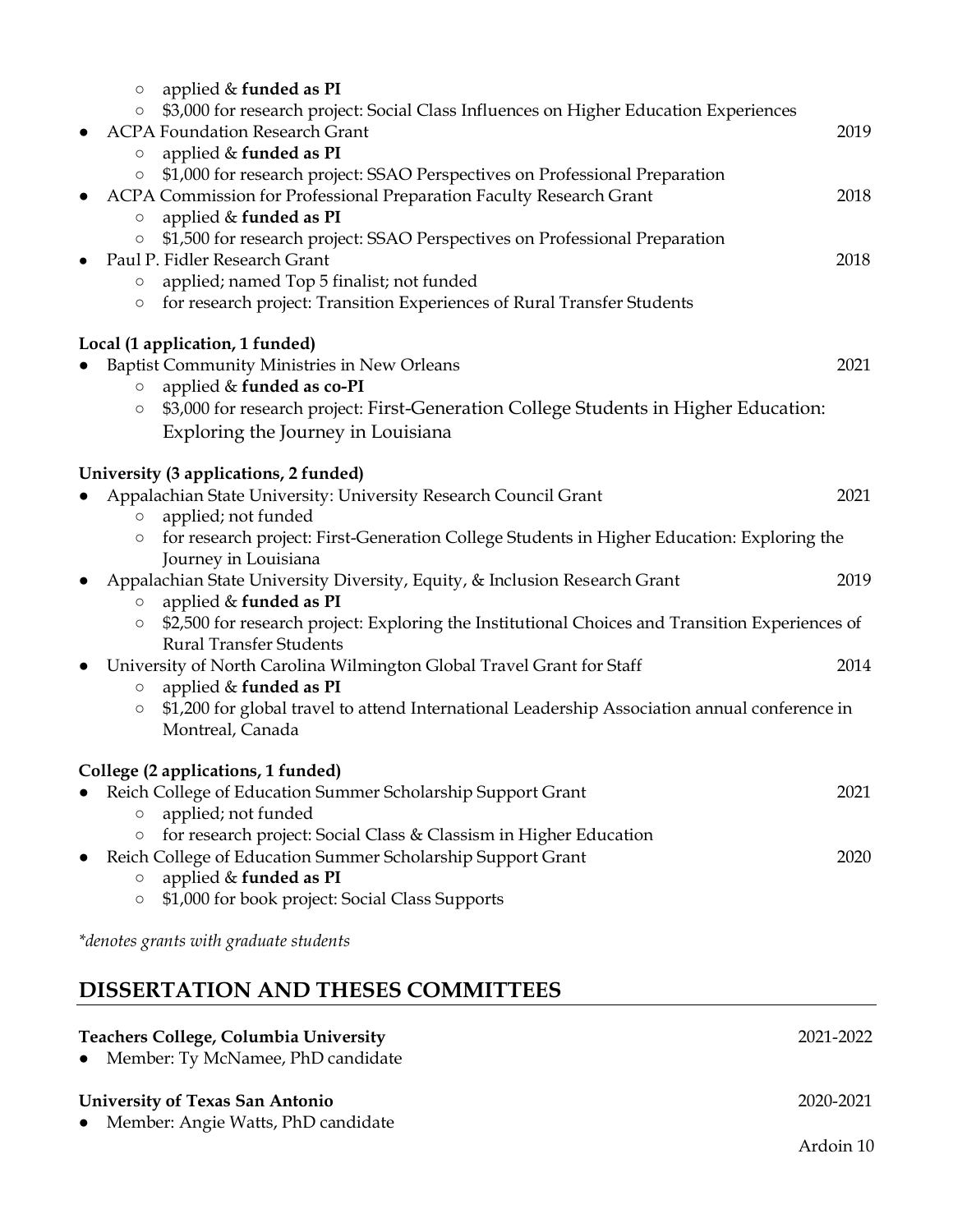| applied & funded as PI<br>$\circ$<br>\$3,000 for research project: Social Class Influences on Higher Education Experiences<br>$\circ$<br><b>ACPA Foundation Research Grant</b>                                                                                              | 2019 |
|-----------------------------------------------------------------------------------------------------------------------------------------------------------------------------------------------------------------------------------------------------------------------------|------|
| applied & funded as PI<br>$\circ$<br>\$1,000 for research project: SSAO Perspectives on Professional Preparation<br>$\bigcirc$<br>ACPA Commission for Professional Preparation Faculty Research Grant<br>applied & funded as PI<br>$\bigcirc$                               | 2018 |
| \$1,500 for research project: SSAO Perspectives on Professional Preparation<br>$\bigcirc$<br>Paul P. Fidler Research Grant<br>applied; named Top 5 finalist; not funded<br>$\circ$<br>for research project: Transition Experiences of Rural Transfer Students<br>$\bigcirc$ | 2018 |
| Local (1 application, 1 funded)<br>Baptist Community Ministries in New Orleans<br>applied & funded as co-PI<br>$\bigcirc$<br>\$3,000 for research project: First-Generation College Students in Higher Education:<br>$\bigcirc$<br>Exploring the Journey in Louisiana       | 2021 |
| University (3 applications, 2 funded)                                                                                                                                                                                                                                       |      |
| Appalachian State University: University Research Council Grant<br>applied; not funded<br>$\bigcirc$<br>for research project: First-Generation College Students in Higher Education: Exploring the<br>$\circ$<br>Journey in Louisiana                                       | 2021 |
| Appalachian State University Diversity, Equity, & Inclusion Research Grant<br>applied & funded as PI<br>$\bigcirc$                                                                                                                                                          | 2019 |
| \$2,500 for research project: Exploring the Institutional Choices and Transition Experiences of<br>$\circ$<br><b>Rural Transfer Students</b>                                                                                                                                |      |
| University of North Carolina Wilmington Global Travel Grant for Staff<br>$\bullet$<br>applied & funded as PI<br>$\circ$<br>\$1,200 for global travel to attend International Leadership Association annual conference in<br>$\circ$<br>Montreal, Canada                     | 2014 |
| College (2 applications, 1 funded)                                                                                                                                                                                                                                          |      |
| Reich College of Education Summer Scholarship Support Grant<br>applied; not funded<br>$\circ$                                                                                                                                                                               | 2021 |
| for research project: Social Class & Classism in Higher Education<br>$\bigcirc$<br>Reich College of Education Summer Scholarship Support Grant<br>applied & funded as PI<br>$\circ$                                                                                         | 2020 |
| \$1,000 for book project: Social Class Supports<br>$\circ$                                                                                                                                                                                                                  |      |
| *denotes grants with graduate students                                                                                                                                                                                                                                      |      |

# **DISSERTATION AND THESES COMMITTEES**

| <b>Teachers College, Columbia University</b><br>• Member: Ty McNamee, PhD candidate | 2021-2022 |
|-------------------------------------------------------------------------------------|-----------|
| University of Texas San Antonio<br>• Member: Angie Watts, PhD candidate             | 2020-2021 |
|                                                                                     | Ardoin 10 |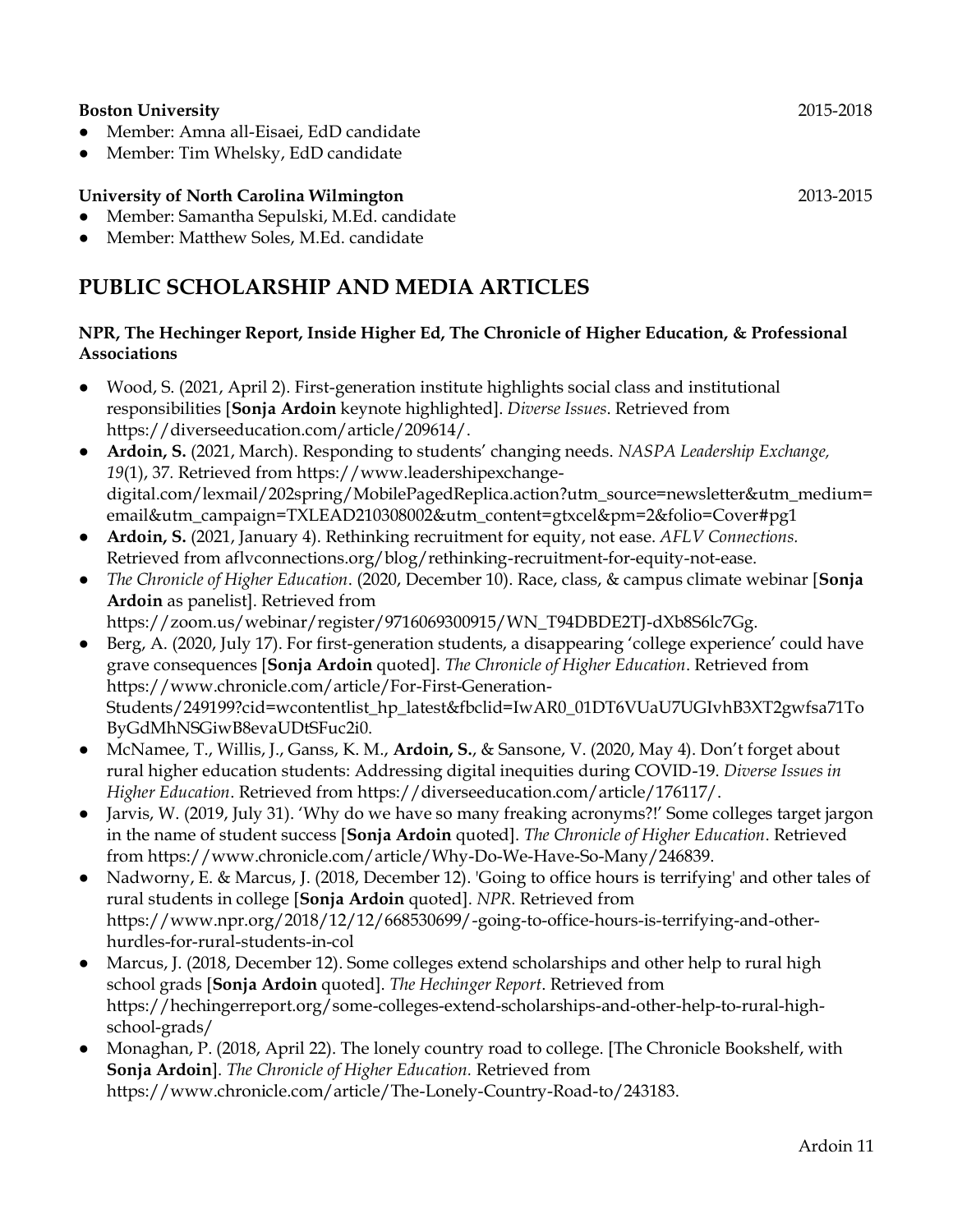#### **Boston University** 2015-2018

- Member: Amna all-Eisaei, EdD candidate
- Member: Tim Whelsky, EdD candidate

#### **University of North Carolina Wilmington** 2013-2015

- Member: Samantha Sepulski, M.Ed. candidate
- Member: Matthew Soles, M.Ed. candidate

# **PUBLIC SCHOLARSHIP AND MEDIA ARTICLES**

#### **NPR, The Hechinger Report, Inside Higher Ed, The Chronicle of Higher Education, & Professional Associations**

- Wood, S. (2021, April 2). First-generation institute highlights social class and institutional responsibilities [**Sonja Ardoin** keynote highlighted]. *Diverse Issues*. Retrieved from https://diverseeducation.com/article/209614/.
- **Ardoin, S.** (2021, March). Responding to students' changing needs. *NASPA Leadership Exchange, 19*(1), 37*.* Retrieved from https://www.leadershipexchangedigital.com/lexmail/202spring/MobilePagedReplica.action?utm\_source=newsletter&utm\_medium= email&utm\_campaign=TXLEAD210308002&utm\_content=gtxcel&pm=2&folio=Cover#pg1
- **Ardoin, S.** (2021, January 4). Rethinking recruitment for equity, not ease. *AFLV Connections.*  Retrieved from aflvconnections.org/blog/rethinking-recruitment-for-equity-not-ease.
- *The Chronicle of Higher Education*. (2020, December 10). Race, class, & campus climate webinar [**Sonja Ardoin** as panelist]. Retrieved from https://zoom.us/webinar/register/9716069300915/WN\_T94DBDE2TJ-dXb8S6lc7Gg.
- Berg, A. (2020, July 17). For first-generation students, a disappearing 'college experience' could have grave consequences [**Sonja Ardoin** quoted]. *The Chronicle of Higher Education*. Retrieved from https://www.chronicle.com/article/For-First-Generation-Students/249199?cid=wcontentlist\_hp\_latest&fbclid=IwAR0\_01DT6VUaU7UGIvhB3XT2gwfsa71To ByGdMhNSGiwB8evaUDtSFuc2i0.
- McNamee, T., Willis, J., Ganss, K. M., **Ardoin, S.**, & Sansone, V. (2020, May 4). Don't forget about rural higher education students: Addressing digital inequities during COVID-19. *Diverse Issues in Higher Education*. Retrieved from https://diverseeducation.com/article/176117/.
- Jarvis, W. (2019, July 31). 'Why do we have so many freaking acronyms?!' Some colleges target jargon in the name of student success [**Sonja Ardoin** quoted]. *The Chronicle of Higher Education*. Retrieved from https://www.chronicle.com/article/Why-Do-We-Have-So-Many/246839.
- Nadworny, E. & Marcus, J. (2018, December 12). 'Going to office hours is terrifying' and other tales of rural students in college [**Sonja Ardoin** quoted]. *NPR*. Retrieved from https://www.npr.org/2018/12/12/668530699/-going-to-office-hours-is-terrifying-and-otherhurdles-for-rural-students-in-col
- Marcus, J. (2018, December 12). Some colleges extend scholarships and other help to rural high school grads [**Sonja Ardoin** quoted]. *The Hechinger Report*. Retrieved from https://hechingerreport.org/some-colleges-extend-scholarships-and-other-help-to-rural-highschool-grads/
- Monaghan, P. (2018, April 22). The lonely country road to college. [The Chronicle Bookshelf, with **Sonja Ardoin**]. *The Chronicle of Higher Education.* Retrieved from https://www.chronicle.com/article/The-Lonely-Country-Road-to/243183.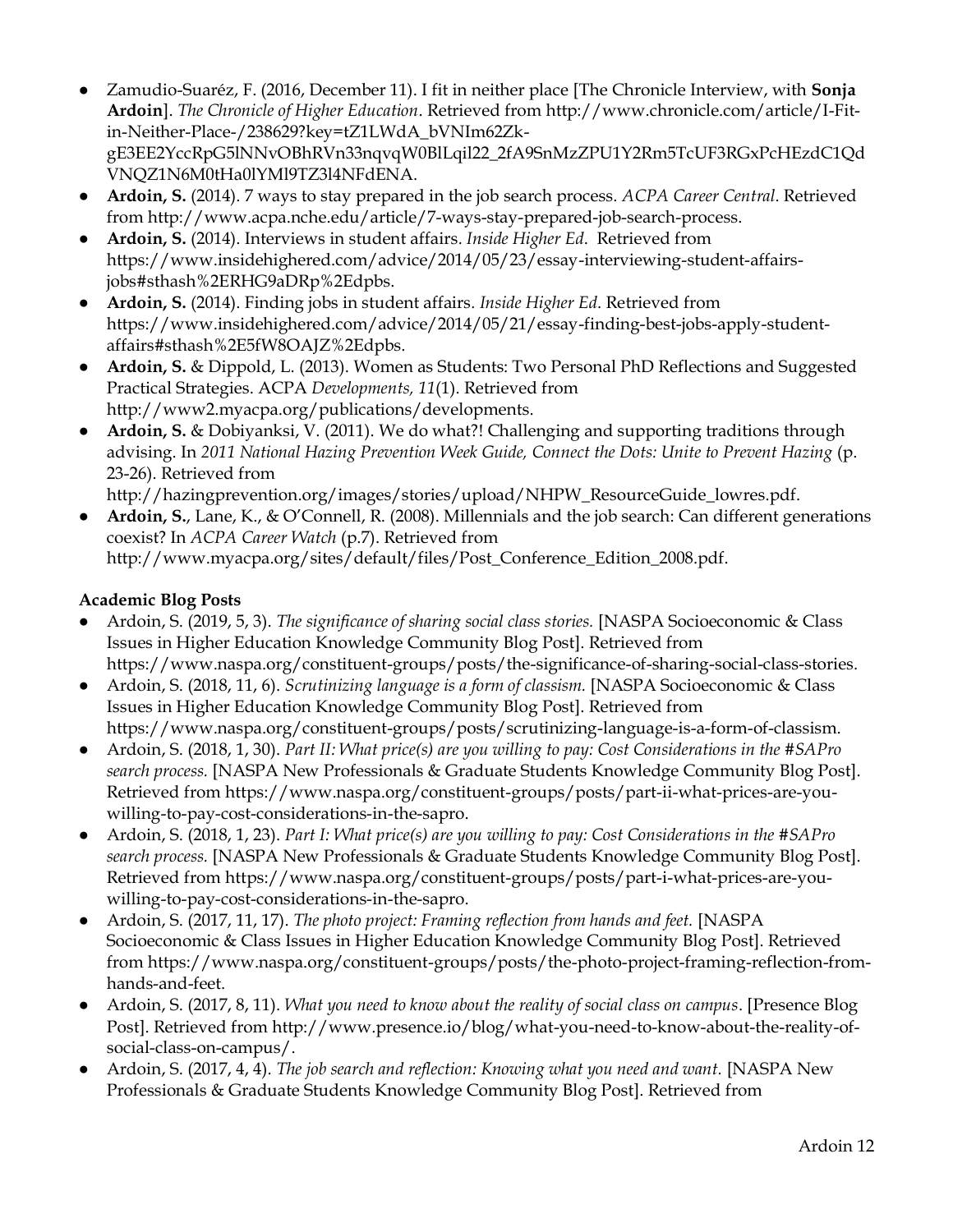- Zamudio-Suaréz, F. (2016, December 11). I fit in neither place [The Chronicle Interview, with **Sonja Ardoin**]. *The Chronicle of Higher Education*. Retrieved from http://www.chronicle.com/article/I-Fitin-Neither-Place-/238629?key=tZ1LWdA\_bVNIm62ZkgE3EE2YccRpG5lNNvOBhRVn33nqvqW0BlLqil22\_2fA9SnMzZPU1Y2Rm5TcUF3RGxPcHEzdC1Qd VNQZ1N6M0tHa0lYMl9TZ3l4NFdENA.
- **Ardoin, S.** (2014). 7 ways to stay prepared in the job search process. *ACPA Career Central*. Retrieved from http://www.acpa.nche.edu/article/7-ways-stay-prepared-job-search-process.
- **Ardoin, S.** (2014). Interviews in student affairs*. Inside Higher Ed*. Retrieved from https://www.insidehighered.com/advice/2014/05/23/essay-interviewing-student-affairsjobs#sthash%2ERHG9aDRp%2Edpbs.
- **Ardoin, S.** (2014). Finding jobs in student affairs*. Inside Higher Ed*. Retrieved from https://www.insidehighered.com/advice/2014/05/21/essay-finding-best-jobs-apply-studentaffairs#sthash%2E5fW8OAJZ%2Edpbs.
- **Ardoin, S.** & Dippold, L. (2013). Women as Students: Two Personal PhD Reflections and Suggested Practical Strategies. ACPA *Developments, 11*(1). Retrieved from http://www2.myacpa.org/publications/developments.
- **Ardoin, S.** & Dobiyanksi, V. (2011). We do what?! Challenging and supporting traditions through advising. In *2011 National Hazing Prevention Week Guide, Connect the Dots: Unite to Prevent Hazing* (p. 23-26). Retrieved from

http://hazingprevention.org/images/stories/upload/NHPW\_ResourceGuide\_lowres.pdf.

● **Ardoin, S.**, Lane, K., & O'Connell, R. (2008). Millennials and the job search: Can different generations coexist? In *ACPA Career Watch* (p.7). Retrieved from http://www.myacpa.org/sites/default/files/Post\_Conference\_Edition\_2008.pdf.

#### **Academic Blog Posts**

- Ardoin, S. (2019, 5, 3). *The significance of sharing social class stories.* [NASPA Socioeconomic & Class Issues in Higher Education Knowledge Community Blog Post]. Retrieved from https://www.naspa.org/constituent-groups/posts/the-significance-of-sharing-social-class-stories.
- Ardoin, S. (2018, 11, 6). *Scrutinizing language is a form of classism*. [NASPA Socioeconomic & Class Issues in Higher Education Knowledge Community Blog Post]. Retrieved from https://www.naspa.org/constituent-groups/posts/scrutinizing-language-is-a-form-of-classism.
- Ardoin, S. (2018, 1, 30). *Part II: What price(s) are you willing to pay: Cost Considerations in the #SAPro search process.* [NASPA New Professionals & Graduate Students Knowledge Community Blog Post]. Retrieved from https://www.naspa.org/constituent-groups/posts/part-ii-what-prices-are-youwilling-to-pay-cost-considerations-in-the-sapro.
- Ardoin, S. (2018, 1, 23). *Part I: What price(s) are you willing to pay: Cost Considerations in the #SAPro search process.* [NASPA New Professionals & Graduate Students Knowledge Community Blog Post]. Retrieved from https://www.naspa.org/constituent-groups/posts/part-i-what-prices-are-youwilling-to-pay-cost-considerations-in-the-sapro.
- Ardoin, S. (2017, 11, 17). *The photo project: Framing reflection from hands and feet.* [NASPA Socioeconomic & Class Issues in Higher Education Knowledge Community Blog Post]. Retrieved from https://www.naspa.org/constituent-groups/posts/the-photo-project-framing-reflection-fromhands-and-feet.
- Ardoin, S. (2017, 8, 11). *What you need to know about the reality of social class on campus*. [Presence Blog Post]. Retrieved from http://www.presence.io/blog/what-you-need-to-know-about-the-reality-ofsocial-class-on-campus/.
- Ardoin, S. (2017, 4, 4). *The job search and reflection: Knowing what you need and want.* [NASPA New Professionals & Graduate Students Knowledge Community Blog Post]. Retrieved from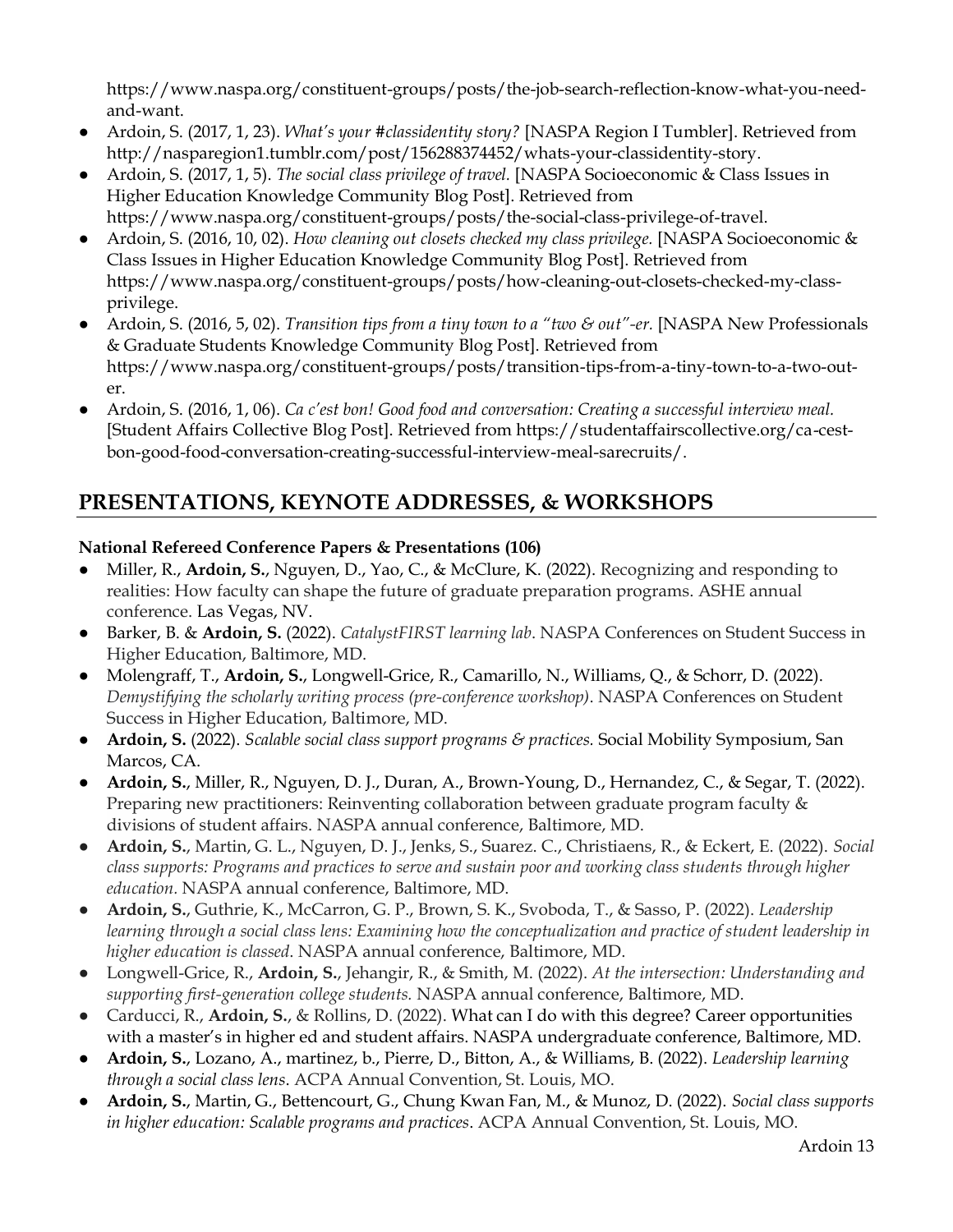https://www.naspa.org/constituent-groups/posts/the-job-search-reflection-know-what-you-needand-want.

- Ardoin, S. (2017, 1, 23). *What's your #classidentity story?* [NASPA Region I Tumbler]. Retrieved from http://nasparegion1.tumblr.com/post/156288374452/whats-your-classidentity-story.
- Ardoin, S. (2017, 1, 5). *The social class privilege of travel.* [NASPA Socioeconomic & Class Issues in Higher Education Knowledge Community Blog Post]. Retrieved from https://www.naspa.org/constituent-groups/posts/the-social-class-privilege-of-travel.
- Ardoin, S. (2016, 10, 02). *How cleaning out closets checked my class privilege.* [NASPA Socioeconomic & Class Issues in Higher Education Knowledge Community Blog Post]. Retrieved from https://www.naspa.org/constituent-groups/posts/how-cleaning-out-closets-checked-my-classprivilege.
- Ardoin, S. (2016, 5, 02). *Transition tips from a tiny town to a "two & out"-er.* [NASPA New Professionals & Graduate Students Knowledge Community Blog Post]. Retrieved from https://www.naspa.org/constituent-groups/posts/transition-tips-from-a-tiny-town-to-a-two-outer.
- Ardoin, S. (2016, 1, 06). *Ca c'est bon! Good food and conversation: Creating a successful interview meal.* [Student Affairs Collective Blog Post]. Retrieved from https://studentaffairscollective.org/ca-cestbon-good-food-conversation-creating-successful-interview-meal-sarecruits/.

# **PRESENTATIONS, KEYNOTE ADDRESSES, & WORKSHOPS**

### **National Refereed Conference Papers & Presentations (106)**

- Miller, R., **Ardoin, S.**, Nguyen, D., Yao, C., & McClure, K. (2022). Recognizing and responding to realities: How faculty can shape the future of graduate preparation programs. ASHE annual conference. Las Vegas, NV.
- Barker, B. & **Ardoin, S.** (2022). *CatalystFIRST learning lab*. NASPA Conferences on Student Success in Higher Education, Baltimore, MD.
- Molengraff, T., **Ardoin, S.**, Longwell-Grice, R., Camarillo, N., Williams, Q., & Schorr, D. (2022). *Demystifying the scholarly writing process (pre-conference workshop)*. NASPA Conferences on Student Success in Higher Education, Baltimore, MD.
- **Ardoin, S.** (2022). *Scalable social class support programs & practices.* Social Mobility Symposium, San Marcos, CA.
- **Ardoin, S.**, Miller, R., Nguyen, D. J., Duran, A., Brown-Young, D., Hernandez, C., & Segar, T. (2022). Preparing new practitioners: Reinventing collaboration between graduate program faculty & divisions of student affairs. NASPA annual conference, Baltimore, MD.
- **Ardoin, S.**, Martin, G. L., Nguyen, D. J., Jenks, S., Suarez. C., Christiaens, R., & Eckert, E. (2022). *Social class supports: Programs and practices to serve and sustain poor and working class students through higher education.* NASPA annual conference, Baltimore, MD.
- **Ardoin, S.**, Guthrie, K., McCarron, G. P., Brown, S. K., Svoboda, T., & Sasso, P. (2022). *Leadership*  learning through a social class lens: Examining how the conceptualization and practice of student leadership in *higher education is classed*. NASPA annual conference, Baltimore, MD.
- Longwell-Grice, R., **Ardoin, S.**, Jehangir, R., & Smith, M. (2022). *At the intersection: Understanding and supporting first-generation college students.* NASPA annual conference, Baltimore, MD.
- Carducci, R., **Ardoin, S.**, & Rollins, D. (2022). What can I do with this degree? Career opportunities with a master's in higher ed and student affairs. NASPA undergraduate conference, Baltimore, MD.
- **Ardoin, S.**, Lozano, A., martinez, b., Pierre, D., Bitton, A., & Williams, B. (2022). *Leadership learning through a social class lens*. ACPA Annual Convention, St. Louis, MO.
- **Ardoin, S.**, Martin, G., Bettencourt, G., Chung Kwan Fan, M., & Munoz, D. (2022). *Social class supports in higher education: Scalable programs and practices*. ACPA Annual Convention, St. Louis, MO.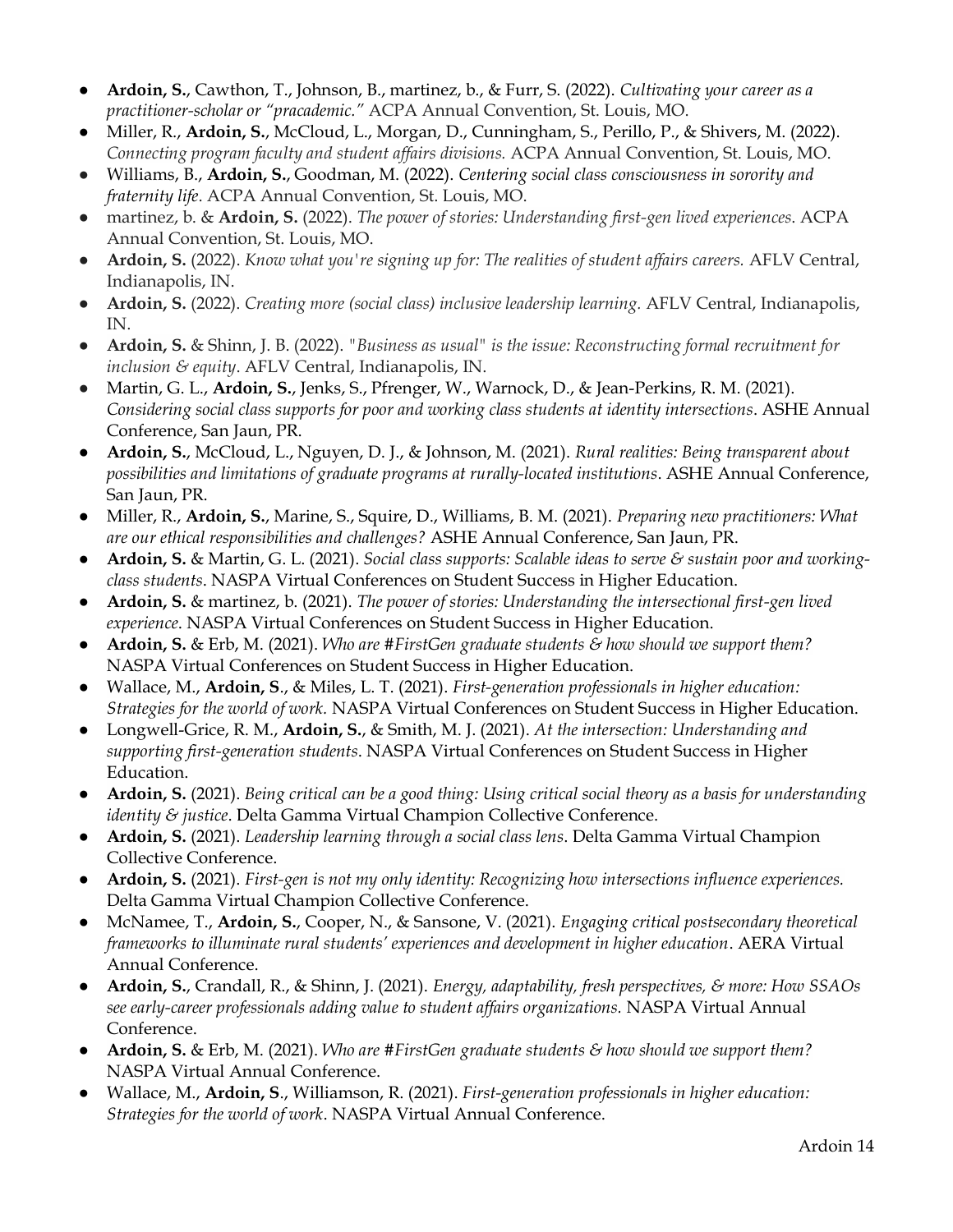- **Ardoin, S.**, Cawthon, T., Johnson, B., martinez, b., & Furr, S. (2022). *Cultivating your career as a practitioner-scholar or "pracademic."* ACPA Annual Convention, St. Louis, MO.
- Miller, R., **Ardoin, S.**, McCloud, L., Morgan, D., Cunningham, S., Perillo, P., & Shivers, M. (2022). *Connecting program faculty and student affairs divisions.* ACPA Annual Convention, St. Louis, MO.
- Williams, B., **Ardoin, S.**, Goodman, M. (2022). *Centering social class consciousness in sorority and fraternity life*. ACPA Annual Convention, St. Louis, MO.
- martinez, b. & **Ardoin, S.** (2022). *The power of stories: Understanding first-gen lived experiences*. ACPA Annual Convention, St. Louis, MO.
- **Ardoin, S.** (2022). *Know what you're signing up for: The realities of student affairs careers.* AFLV Central, Indianapolis, IN.
- **Ardoin, S.** (2022). *Creating more (social class) inclusive leadership learning.* AFLV Central, Indianapolis, IN.
- **Ardoin, S.** & Shinn, J. B. (2022). *"Business as usual" is the issue: Reconstructing formal recruitment for inclusion & equity*. AFLV Central, Indianapolis, IN.
- Martin, G. L., **Ardoin, S.**, Jenks, S., Pfrenger, W., Warnock, D., & Jean-Perkins, R. M. (2021). *Considering social class supports for poor and working class students at identity intersections*. ASHE Annual Conference, San Jaun, PR.
- **Ardoin, S.**, McCloud, L., Nguyen, D. J., & Johnson, M. (2021). *Rural realities: Being transparent about possibilities and limitations of graduate programs at rurally-located institutions*. ASHE Annual Conference, San Jaun, PR.
- Miller, R., **Ardoin, S.**, Marine, S., Squire, D., Williams, B. M. (2021). *Preparing new practitioners: What are our ethical responsibilities and challenges?* ASHE Annual Conference, San Jaun, PR.
- **Ardoin, S.** & Martin, G. L. (2021). *Social class supports: Scalable ideas to serve & sustain poor and workingclass students*. NASPA Virtual Conferences on Student Success in Higher Education.
- **Ardoin, S.** & martinez, b. (2021). *The power of stories: Understanding the intersectional first-gen lived experience*. NASPA Virtual Conferences on Student Success in Higher Education.
- **Ardoin, S.** & Erb, M. (2021). *Who are #FirstGen graduate students & how should we support them?* NASPA Virtual Conferences on Student Success in Higher Education.
- Wallace, M., **Ardoin, S**., & Miles, L. T. (2021). *First-generation professionals in higher education: Strategies for the world of work.* NASPA Virtual Conferences on Student Success in Higher Education.
- Longwell-Grice, R. M., **Ardoin, S.**, & Smith, M. J. (2021). *At the intersection: Understanding and supporting first-generation students*. NASPA Virtual Conferences on Student Success in Higher Education.
- **Ardoin, S.** (2021). *Being critical can be a good thing: Using critical social theory as a basis for understanding identity & justice*. Delta Gamma Virtual Champion Collective Conference.
- **Ardoin, S.** (2021). *Leadership learning through a social class lens*. Delta Gamma Virtual Champion Collective Conference.
- **Ardoin, S.** (2021). *First-gen is not my only identity: Recognizing how intersections influence experiences.* Delta Gamma Virtual Champion Collective Conference.
- McNamee, T., **Ardoin, S.**, Cooper, N., & Sansone, V. (2021). *Engaging critical postsecondary theoretical frameworks to illuminate rural students' experiences and development in higher education*. AERA Virtual Annual Conference.
- **Ardoin, S.**, Crandall, R., & Shinn, J. (2021). *Energy, adaptability, fresh perspectives, & more: How SSAOs see early-career professionals adding value to student affairs organizations.* NASPA Virtual Annual Conference.
- **Ardoin, S.** & Erb, M. (2021). *Who are #FirstGen graduate students & how should we support them?* NASPA Virtual Annual Conference.
- Wallace, M., **Ardoin, S**., Williamson, R. (2021). *First-generation professionals in higher education: Strategies for the world of work*. NASPA Virtual Annual Conference.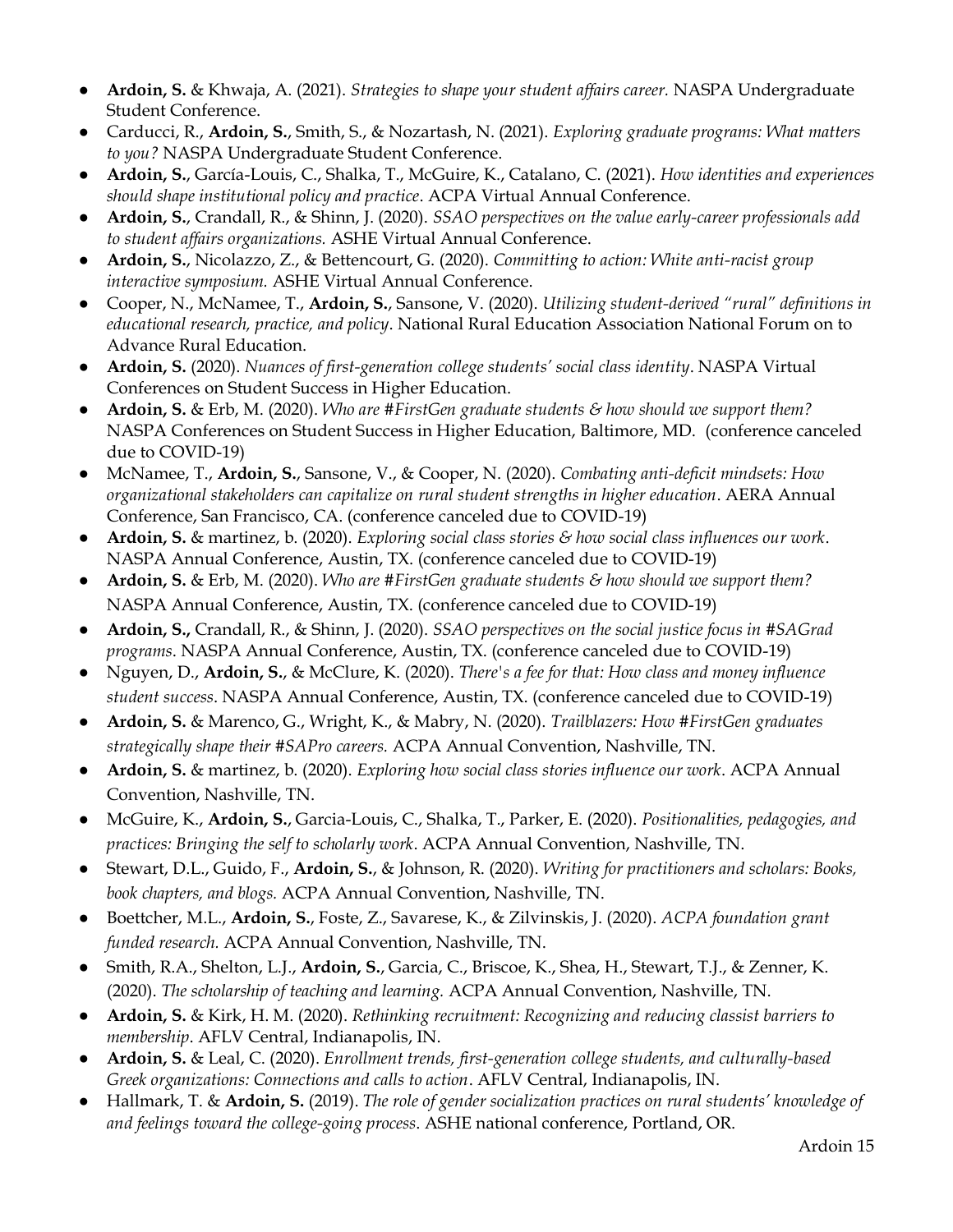- **Ardoin, S.** & Khwaja, A. (2021). *Strategies to shape your student affairs career.* NASPA Undergraduate Student Conference.
- Carducci, R., **Ardoin, S.**, Smith, S., & Nozartash, N. (2021). *Exploring graduate programs: What matters to you?* NASPA Undergraduate Student Conference.
- **Ardoin, S.**, García-Louis, C., Shalka, T., McGuire, K., Catalano, C. (2021). *How identities and experiences should shape institutional policy and practice*. ACPA Virtual Annual Conference.
- **Ardoin, S.**, Crandall, R., & Shinn, J. (2020). *SSAO perspectives on the value early-career professionals add to student affairs organizations.* ASHE Virtual Annual Conference.
- **Ardoin, S.**, Nicolazzo, Z., & Bettencourt, G. (2020). *Committing to action: White anti-racist group interactive symposium.* ASHE Virtual Annual Conference.
- Cooper, N., McNamee, T., **Ardoin, S.**, Sansone, V. (2020). *Utilizing student-derived "rural" definitions in educational research, practice, and policy*. National Rural Education Association National Forum on to Advance Rural Education.
- **Ardoin, S.** (2020). *Nuances of first-generation college students' social class identity*. NASPA Virtual Conferences on Student Success in Higher Education.
- **Ardoin, S.** & Erb, M. (2020). *Who are #FirstGen graduate students & how should we support them?*  NASPA Conferences on Student Success in Higher Education, Baltimore, MD. (conference canceled due to COVID-19)
- McNamee, T., **Ardoin, S.**, Sansone, V., & Cooper, N. (2020). *Combating anti-deficit mindsets: How organizational stakeholders can capitalize on rural student strengths in higher education*. AERA Annual Conference, San Francisco, CA. (conference canceled due to COVID-19)
- **Ardoin, S.** & martinez, b. (2020). *Exploring social class stories & how social class influences our work*. NASPA Annual Conference, Austin, TX. (conference canceled due to COVID-19)
- **Ardoin, S.** & Erb, M. (2020). *Who are #FirstGen graduate students & how should we support them?*  NASPA Annual Conference, Austin, TX. (conference canceled due to COVID-19)
- **Ardoin, S.,** Crandall, R., & Shinn, J. (2020). *SSAO perspectives on the social justice focus in #SAGrad programs*. NASPA Annual Conference, Austin, TX. (conference canceled due to COVID-19)
- Nguyen, D., **Ardoin, S.**, & McClure, K. (2020). *There's a fee for that: How class and money influence student success*. NASPA Annual Conference, Austin, TX. (conference canceled due to COVID-19)
- **Ardoin, S.** & Marenco, G., Wright, K., & Mabry, N. (2020). *Trailblazers: How #FirstGen graduates strategically shape their #SAPro careers.* ACPA Annual Convention, Nashville, TN.
- **Ardoin, S.** & martinez, b. (2020). *Exploring how social class stories influence our work*. ACPA Annual Convention, Nashville, TN.
- McGuire, K., **Ardoin, S.**, Garcia-Louis, C., Shalka, T., Parker, E. (2020). *Positionalities, pedagogies, and practices: Bringing the self to scholarly work*. ACPA Annual Convention, Nashville, TN.
- Stewart, D.L., Guido, F., **Ardoin, S.**, & Johnson, R. (2020). *Writing for practitioners and scholars: Books, book chapters, and blogs.* ACPA Annual Convention, Nashville, TN.
- Boettcher, M.L., **Ardoin, S.**, Foste, Z., Savarese, K., & Zilvinskis, J. (2020). *ACPA foundation grant funded research.* ACPA Annual Convention, Nashville, TN.
- Smith, R.A., Shelton, L.J., **Ardoin, S.**, Garcia, C., Briscoe, K., Shea, H., Stewart, T.J., & Zenner, K. (2020). *The scholarship of teaching and learning.* ACPA Annual Convention, Nashville, TN.
- **Ardoin, S.** & Kirk, H. M. (2020). *Rethinking recruitment: Recognizing and reducing classist barriers to membership*. AFLV Central, Indianapolis, IN.
- **Ardoin, S.** & Leal, C. (2020). *Enrollment trends, first-generation college students, and culturally-based Greek organizations: Connections and calls to action*. AFLV Central, Indianapolis, IN.
- Hallmark, T. & **Ardoin, S.** (2019). *The role of gender socialization practices on rural students' knowledge of and feelings toward the college-going process*. ASHE national conference, Portland, OR.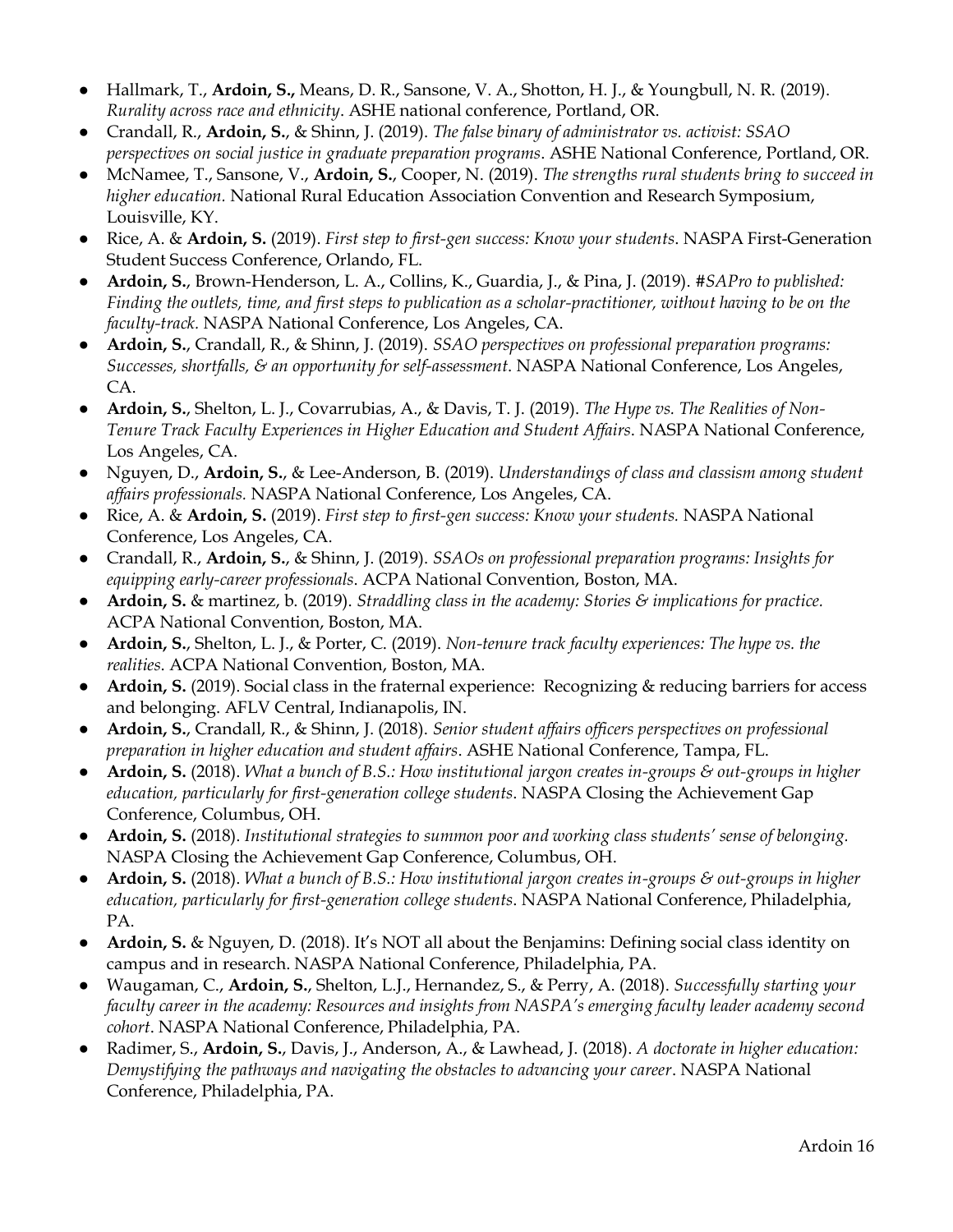- Hallmark, T., **Ardoin, S.,** Means, D. R., Sansone, V. A., Shotton, H. J., & Youngbull, N. R. (2019). *Rurality across race and ethnicity*. ASHE national conference, Portland, OR.
- Crandall, R., **Ardoin, S.**, & Shinn, J. (2019). *The false binary of administrator vs. activist: SSAO perspectives on social justice in graduate preparation programs*. ASHE National Conference, Portland, OR.
- McNamee, T., Sansone, V., **Ardoin, S.**, Cooper, N. (2019). *The strengths rural students bring to succeed in higher education.* National Rural Education Association Convention and Research Symposium, Louisville, KY.
- Rice, A. & **Ardoin, S.** (2019). *First step to first-gen success: Know your students*. NASPA First-Generation Student Success Conference, Orlando, FL.
- **Ardoin, S.**, Brown-Henderson, L. A., Collins, K., Guardia, J., & Pina, J. (2019). *#SAPro to published: Finding the outlets, time, and first steps to publication as a scholar-practitioner, without having to be on the faculty-track.* NASPA National Conference, Los Angeles, CA.
- **Ardoin, S.**, Crandall, R., & Shinn, J. (2019). *SSAO perspectives on professional preparation programs: Successes, shortfalls, & an opportunity for self-assessment*. NASPA National Conference, Los Angeles, CA.
- **Ardoin, S.**, Shelton, L. J., Covarrubias, A., & Davis, T. J. (2019). *The Hype vs. The Realities of Non-Tenure Track Faculty Experiences in Higher Education and Student Affairs*. NASPA National Conference, Los Angeles, CA.
- Nguyen, D., **Ardoin, S.**, & Lee-Anderson, B. (2019). *Understandings of class and classism among student affairs professionals.* NASPA National Conference, Los Angeles, CA.
- Rice, A. & **Ardoin, S.** (2019). *First step to first-gen success: Know your students.* NASPA National Conference, Los Angeles, CA.
- Crandall, R., **Ardoin, S.**, & Shinn, J. (2019). *SSAOs on professional preparation programs: Insights for equipping early-career professionals*. ACPA National Convention, Boston, MA.
- **Ardoin, S.** & martinez, b. (2019). *Straddling class in the academy: Stories & implications for practice.*  ACPA National Convention, Boston, MA.
- **Ardoin, S.**, Shelton, L. J., & Porter, C. (2019). *Non-tenure track faculty experiences: The hype vs. the realities*. ACPA National Convention, Boston, MA.
- **Ardoin, S.** (2019). Social class in the fraternal experience: Recognizing & reducing barriers for access and belonging. AFLV Central, Indianapolis, IN.
- **Ardoin, S.**, Crandall, R., & Shinn, J. (2018). *Senior student affairs officers perspectives on professional preparation in higher education and student affairs*. ASHE National Conference, Tampa, FL.
- **Ardoin, S.** (2018). *What a bunch of B.S.: How institutional jargon creates in-groups & out-groups in higher education, particularly for first-generation college students*. NASPA Closing the Achievement Gap Conference, Columbus, OH.
- **Ardoin, S.** (2018). *Institutional strategies to summon poor and working class students' sense of belonging.* NASPA Closing the Achievement Gap Conference, Columbus, OH.
- **Ardoin, S.** (2018). *What a bunch of B.S.: How institutional jargon creates in-groups & out-groups in higher education, particularly for first-generation college students*. NASPA National Conference, Philadelphia, PA.
- **Ardoin, S.** & Nguyen, D. (2018). It's NOT all about the Benjamins: Defining social class identity on campus and in research. NASPA National Conference, Philadelphia, PA.
- Waugaman, C., **Ardoin, S.**, Shelton, L.J., Hernandez, S., & Perry, A. (2018). *Successfully starting your faculty career in the academy: Resources and insights from NASPA's emerging faculty leader academy second cohort*. NASPA National Conference, Philadelphia, PA.
- Radimer, S., **Ardoin, S.**, Davis, J., Anderson, A., & Lawhead, J. (2018). *A doctorate in higher education: Demystifying the pathways and navigating the obstacles to advancing your career*. NASPA National Conference, Philadelphia, PA.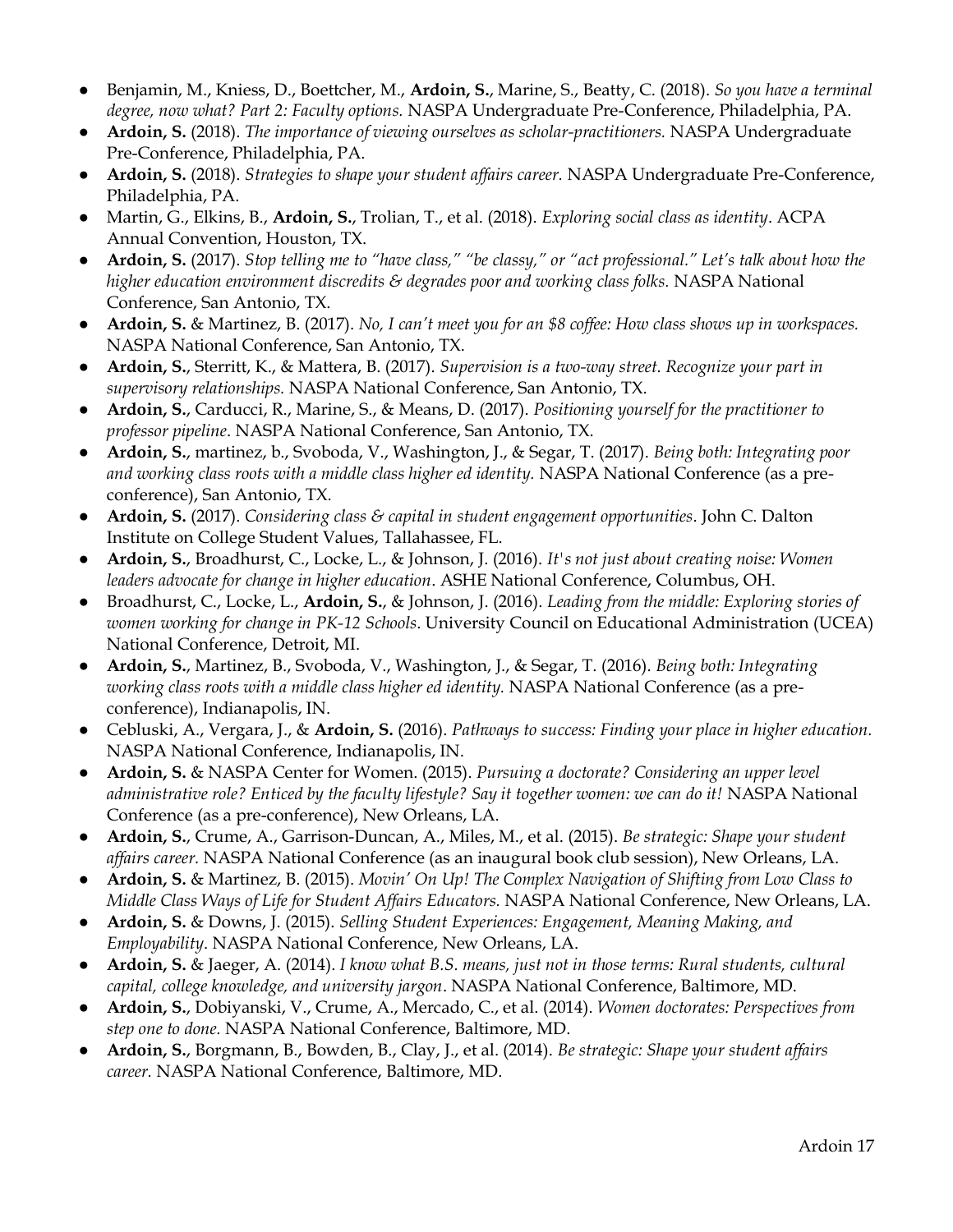- Benjamin, M., Kniess, D., Boettcher, M., **Ardoin, S.**, Marine, S., Beatty, C. (2018). *So you have a terminal degree, now what? Part 2: Faculty options.* NASPA Undergraduate Pre-Conference, Philadelphia, PA.
- **Ardoin, S.** (2018). *The importance of viewing ourselves as scholar-practitioners.* NASPA Undergraduate Pre-Conference, Philadelphia, PA.
- **Ardoin, S.** (2018). *Strategies to shape your student affairs career.* NASPA Undergraduate Pre-Conference, Philadelphia, PA.
- Martin, G., Elkins, B., **Ardoin, S.**, Trolian, T., et al. (2018). *Exploring social class as identity*. ACPA Annual Convention, Houston, TX.
- **Ardoin, S.** (2017). *Stop telling me to "have class," "be classy," or "act professional." Let's talk about how the*  higher education environment discredits & degrades poor and working class folks. NASPA National Conference, San Antonio, TX.
- **Ardoin, S.** & Martinez, B. (2017). *No, I can't meet you for an \$8 coffee: How class shows up in workspaces.*  NASPA National Conference, San Antonio, TX.
- **Ardoin, S.**, Sterritt, K., & Mattera, B. (2017). *Supervision is a two-way street. Recognize your part in supervisory relationships.* NASPA National Conference, San Antonio, TX.
- **Ardoin, S.**, Carducci, R., Marine, S., & Means, D. (2017). *Positioning yourself for the practitioner to professor pipeline*. NASPA National Conference, San Antonio, TX.
- **Ardoin, S.**, martinez, b., Svoboda, V., Washington, J., & Segar, T. (2017). *Being both: Integrating poor and working class roots with a middle class higher ed identity.* NASPA National Conference (as a preconference), San Antonio, TX.
- **Ardoin, S.** (2017). *Considering class & capital in student engagement opportunities*. John C. Dalton Institute on College Student Values, Tallahassee, FL.
- **Ardoin, S.**, Broadhurst, C., Locke, L., & Johnson, J. (2016). *It's not just about creating noise: Women leaders advocate for change in higher education*. ASHE National Conference, Columbus, OH.
- Broadhurst, C., Locke, L., **Ardoin, S.**, & Johnson, J. (2016). *Leading from the middle: Exploring stories of women working for change in PK-12 Schools*. University Council on Educational Administration (UCEA) National Conference, Detroit, MI.
- **Ardoin, S.**, Martinez, B., Svoboda, V., Washington, J., & Segar, T. (2016). *Being both: Integrating working class roots with a middle class higher ed identity.* NASPA National Conference (as a preconference), Indianapolis, IN.
- Cebluski, A., Vergara, J., & **Ardoin, S.** (2016). *Pathways to success: Finding your place in higher education.* NASPA National Conference, Indianapolis, IN.
- **Ardoin, S.** & NASPA Center for Women. (2015). *Pursuing a doctorate? Considering an upper level administrative role? Enticed by the faculty lifestyle? Say it together women: we can do it!* NASPA National Conference (as a pre-conference), New Orleans, LA.
- **Ardoin, S.**, Crume, A., Garrison-Duncan, A., Miles, M., et al. (2015). *Be strategic: Shape your student affairs career.* NASPA National Conference (as an inaugural book club session), New Orleans, LA.
- **Ardoin, S.** & Martinez, B. (2015). *Movin' On Up! The Complex Navigation of Shifting from Low Class to Middle Class Ways of Life for Student Affairs Educators.* NASPA National Conference, New Orleans, LA.
- **Ardoin, S.** & Downs, J. (2015). *Selling Student Experiences: Engagement, Meaning Making, and Employability*. NASPA National Conference, New Orleans, LA.
- **Ardoin, S.** & Jaeger, A. (2014). *I know what B.S. means, just not in those terms: Rural students, cultural capital, college knowledge, and university jargon*. NASPA National Conference, Baltimore, MD.
- **Ardoin, S.**, Dobiyanski, V., Crume, A., Mercado, C., et al. (2014). *Women doctorates: Perspectives from step one to done.* NASPA National Conference, Baltimore, MD.
- **Ardoin, S.**, Borgmann, B., Bowden, B., Clay, J., et al. (2014). *Be strategic: Shape your student affairs career.* NASPA National Conference, Baltimore, MD.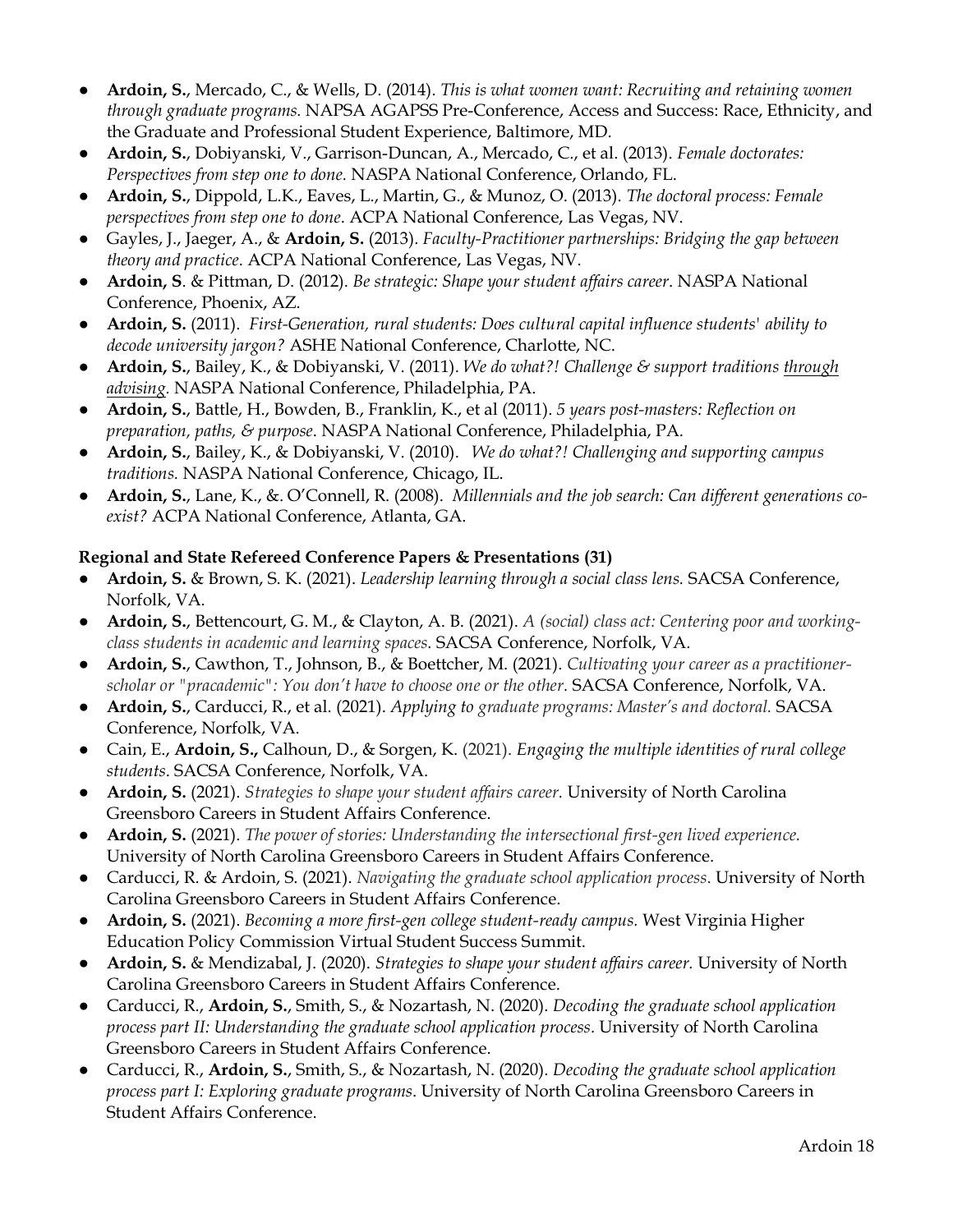- **Ardoin, S.**, Mercado, C., & Wells, D. (2014). *This is what women want: Recruiting and retaining women through graduate programs.* NAPSA AGAPSS Pre-Conference, Access and Success: Race, Ethnicity, and the Graduate and Professional Student Experience, Baltimore, MD.
- **Ardoin, S.**, Dobiyanski, V., Garrison-Duncan, A., Mercado, C., et al. (2013). *Female doctorates: Perspectives from step one to done.* NASPA National Conference, Orlando, FL.
- **Ardoin, S.**, Dippold, L.K., Eaves, L., Martin, G., & Munoz, O. (2013). *The doctoral process: Female perspectives from step one to done*. ACPA National Conference, Las Vegas, NV.
- Gayles, J., Jaeger, A., & **Ardoin, S.** (2013). *Faculty-Practitioner partnerships: Bridging the gap between theory and practice*. ACPA National Conference, Las Vegas, NV.
- **Ardoin, S**. & Pittman, D. (2012). *Be strategic: Shape your student affairs career*. NASPA National Conference, Phoenix, AZ.
- **Ardoin, S.** (2011). *First-Generation, rural students: Does cultural capital influence students' ability to decode university jargon?* ASHE National Conference, Charlotte, NC.
- **Ardoin, S.**, Bailey, K., & Dobiyanski, V. (2011). *We do what?! Challenge & support traditions through advising.* NASPA National Conference, Philadelphia, PA.
- **Ardoin, S.**, Battle, H., Bowden, B., Franklin, K., et al (2011). *5 years post-masters: Reflection on preparation, paths, & purpose*. NASPA National Conference, Philadelphia, PA.
- **Ardoin, S.**, Bailey, K., & Dobiyanski, V. (2010). *We do what?! Challenging and supporting campus traditions.* NASPA National Conference, Chicago, IL.
- **Ardoin, S.**, Lane, K., &. O'Connell, R. (2008). *Millennials and the job search: Can different generations coexist?* ACPA National Conference, Atlanta, GA.

#### **Regional and State Refereed Conference Papers & Presentations (31)**

- **Ardoin, S.** & Brown, S. K. (2021). *Leadership learning through a social class lens.* SACSA Conference, Norfolk, VA.
- **Ardoin, S.**, Bettencourt, G. M., & Clayton, A. B. (2021). *A (social) class act: Centering poor and working class students in academic and learning spaces.* SACSA Conference, Norfolk, VA.
- **Ardoin, S.**, Cawthon, T., Johnson, B., & Boettcher, M. (2021). *Cultivating your career as a practitionerscholar or "pracademic": You don't have to choose one or the other.* SACSA Conference, Norfolk, VA.
- **Ardoin, S.**, Carducci, R., et al. (2021). *Applying to graduate programs: Master's and doctoral.* SACSA Conference, Norfolk, VA.
- Cain, E., **Ardoin, S.,** Calhoun, D., & Sorgen, K. (2021). *Engaging the multiple identities of rural college students*. SACSA Conference, Norfolk, VA.
- **Ardoin, S.** (2021). *Strategies to shape your student affairs career.* University of North Carolina Greensboro Careers in Student Affairs Conference.
- **Ardoin, S.** (2021). *The power of stories: Understanding the intersectional first-gen lived experience.*  University of North Carolina Greensboro Careers in Student Affairs Conference.
- Carducci, R. & Ardoin, S. (2021). *Navigating the graduate school application process*. University of North Carolina Greensboro Careers in Student Affairs Conference.
- **Ardoin, S.** (2021). *Becoming a more first-gen college student-ready campus.* West Virginia Higher Education Policy Commission Virtual Student Success Summit.
- **Ardoin, S.** & Mendizabal, J. (2020). *Strategies to shape your student affairs career.* University of North Carolina Greensboro Careers in Student Affairs Conference.
- Carducci, R., **Ardoin, S.**, Smith, S., & Nozartash, N. (2020). *Decoding the graduate school application process part II: Understanding the graduate school application process*. University of North Carolina Greensboro Careers in Student Affairs Conference.
- Carducci, R., **Ardoin, S.**, Smith, S., & Nozartash, N. (2020). *Decoding the graduate school application process part I: Exploring graduate programs*. University of North Carolina Greensboro Careers in Student Affairs Conference.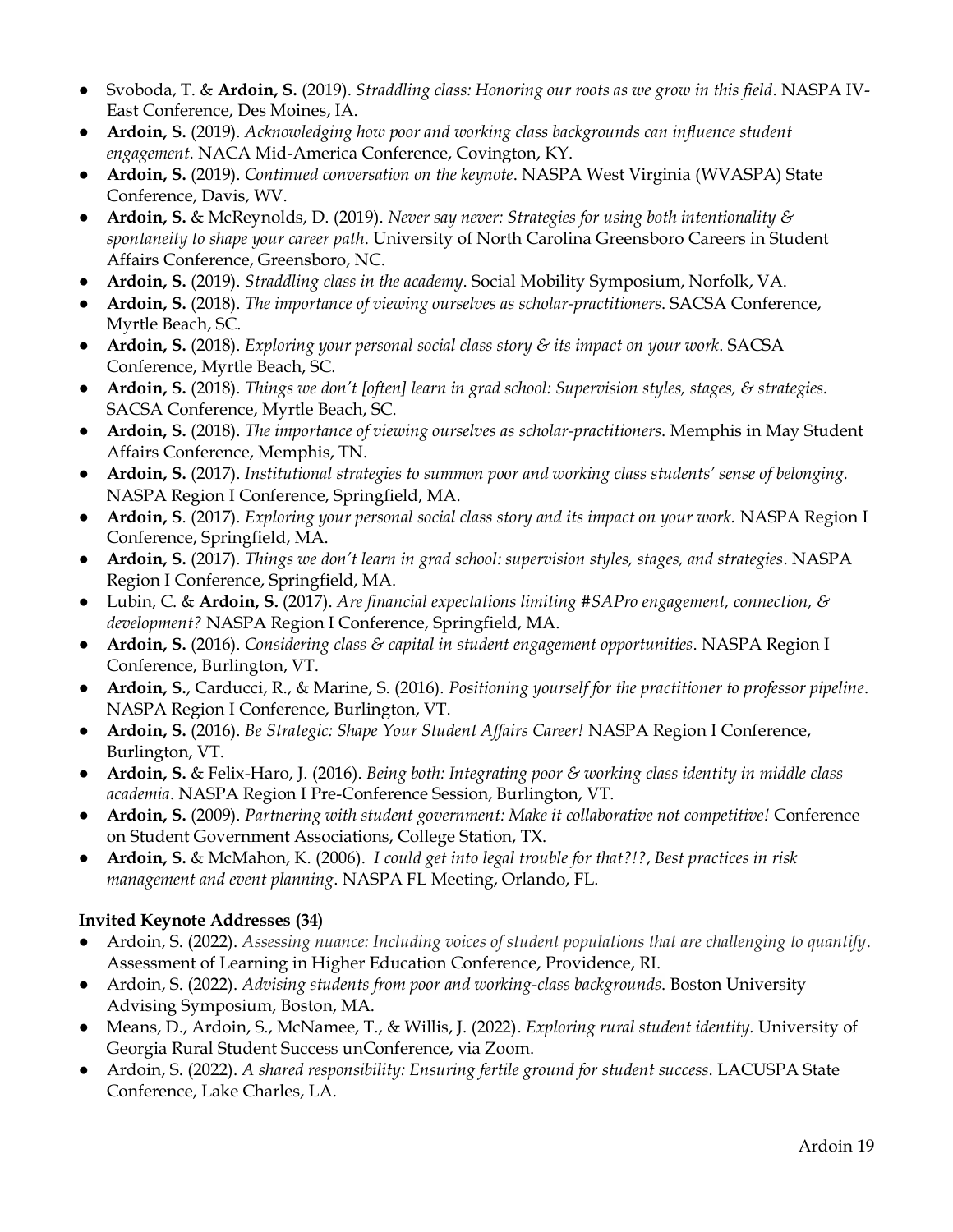- Svoboda, T. & **Ardoin, S.** (2019). *Straddling class: Honoring our roots as we grow in this field*. NASPA IV-East Conference, Des Moines, IA.
- **Ardoin, S.** (2019). *Acknowledging how poor and working class backgrounds can influence student engagement.* NACA Mid-America Conference, Covington, KY.
- **Ardoin, S.** (2019). *Continued conversation on the keynote*. NASPA West Virginia (WVASPA) State Conference, Davis, WV.
- **Ardoin, S.** & McReynolds, D. (2019). *Never say never: Strategies for using both intentionality & spontaneity to shape your career path*. University of North Carolina Greensboro Careers in Student Affairs Conference, Greensboro, NC.
- **Ardoin, S.** (2019). *Straddling class in the academy*. Social Mobility Symposium, Norfolk, VA.
- **Ardoin, S.** (2018). *The importance of viewing ourselves as scholar-practitioners*. SACSA Conference, Myrtle Beach, SC.
- **Ardoin, S.** (2018). *Exploring your personal social class story & its impact on your work*. SACSA Conference, Myrtle Beach, SC.
- **Ardoin, S.** (2018). *Things we don't [often] learn in grad school: Supervision styles, stages, & strategies.* SACSA Conference, Myrtle Beach, SC.
- **Ardoin, S.** (2018). *The importance of viewing ourselves as scholar-practitioners*. Memphis in May Student Affairs Conference, Memphis, TN.
- **Ardoin, S.** (2017). *Institutional strategies to summon poor and working class students' sense of belonging.* NASPA Region I Conference, Springfield, MA.
- **Ardoin, S**. (2017). *Exploring your personal social class story and its impact on your work.* NASPA Region I Conference, Springfield, MA.
- **Ardoin, S.** (2017). *Things we don't learn in grad school: supervision styles, stages, and strategies*. NASPA Region I Conference, Springfield, MA.
- Lubin, C. & **Ardoin, S.** (2017). *Are financial expectations limiting #SAPro engagement, connection, & development?* NASPA Region I Conference, Springfield, MA.
- **Ardoin, S.** (2016). *Considering class & capital in student engagement opportunities*. NASPA Region I Conference, Burlington, VT.
- **Ardoin, S.**, Carducci, R., & Marine, S. (2016). *Positioning yourself for the practitioner to professor pipeline*. NASPA Region I Conference, Burlington, VT.
- **Ardoin, S.** (2016). *Be Strategic: Shape Your Student Affairs Career!* NASPA Region I Conference, Burlington, VT.
- **Ardoin, S.** & Felix-Haro, J. (2016). *Being both: Integrating poor & working class identity in middle class academia*. NASPA Region I Pre-Conference Session, Burlington, VT.
- **Ardoin, S.** (2009). *Partnering with student government: Make it collaborative not competitive!* Conference on Student Government Associations, College Station, TX.
- **Ardoin, S.** & McMahon, K. (2006). *I could get into legal trouble for that?!?*, *Best practices in risk management and event planning*. NASPA FL Meeting, Orlando, FL.

#### **Invited Keynote Addresses (34)**

- Ardoin, S. (2022). *Assessing nuance: Including voices of student populations that are challenging to quantify*. Assessment of Learning in Higher Education Conference, Providence, RI.
- Ardoin, S. (2022). *Advising students from poor and working-class backgrounds*. Boston University Advising Symposium, Boston, MA.
- Means, D., Ardoin, S., McNamee, T., & Willis, J. (2022). *Exploring rural student identity.* University of Georgia Rural Student Success unConference, via Zoom.
- Ardoin, S. (2022). *A shared responsibility: Ensuring fertile ground for student success*. LACUSPA State Conference, Lake Charles, LA.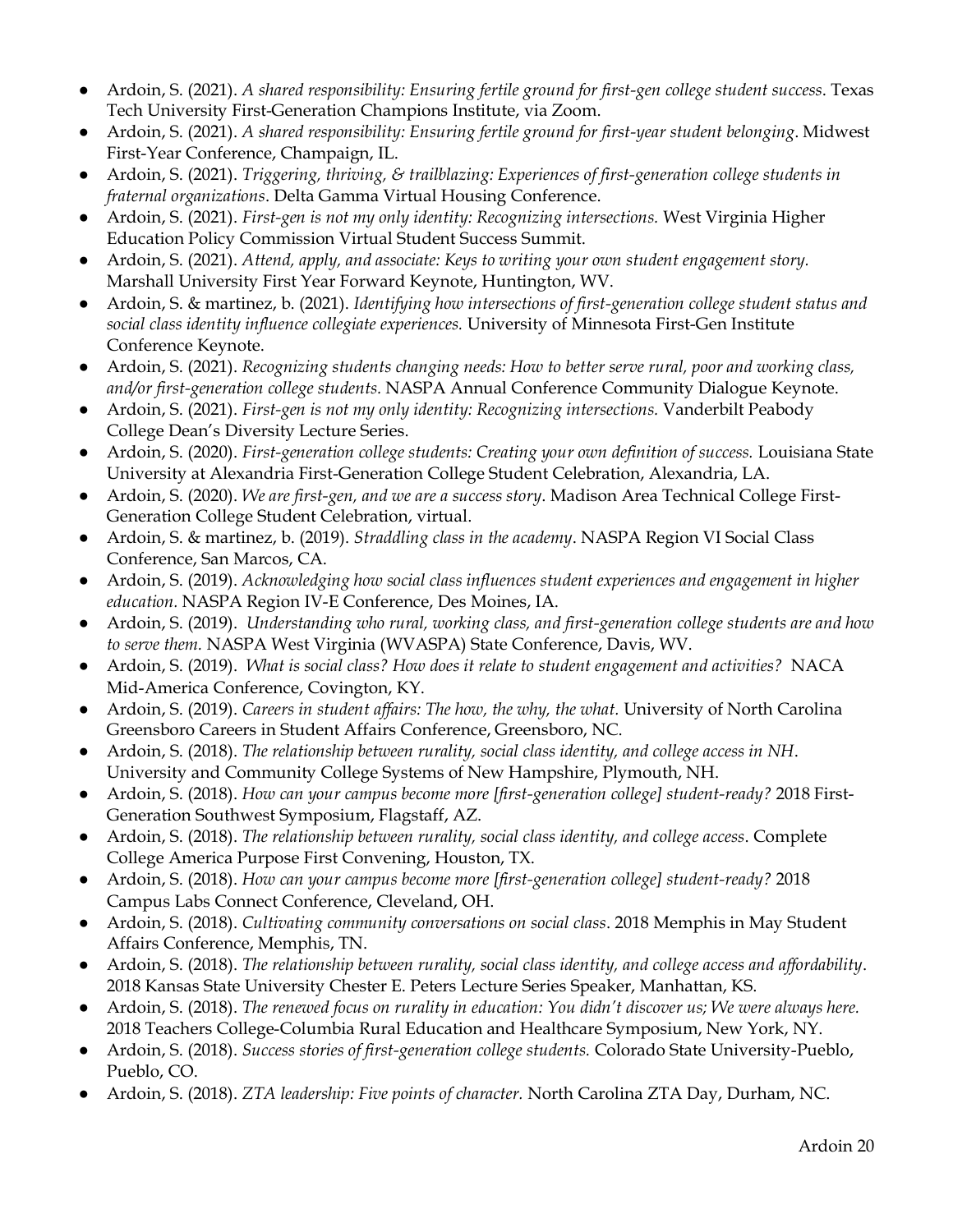- Ardoin, S. (2021). *A shared responsibility: Ensuring fertile ground for first-gen college student success*. Texas Tech University First-Generation Champions Institute, via Zoom.
- Ardoin, S. (2021). *A shared responsibility: Ensuring fertile ground for first-year student belonging*. Midwest First-Year Conference, Champaign, IL.
- Ardoin, S. (2021). *Triggering, thriving, & trailblazing: Experiences of first-generation college students in fraternal organizations*. Delta Gamma Virtual Housing Conference.
- Ardoin, S. (2021). *First-gen is not my only identity: Recognizing intersections.* West Virginia Higher Education Policy Commission Virtual Student Success Summit.
- Ardoin, S. (2021). *Attend, apply, and associate: Keys to writing your own student engagement story.* Marshall University First Year Forward Keynote, Huntington, WV.
- Ardoin, S. & martinez, b. (2021). *Identifying how intersections of first-generation college student status and social class identity influence collegiate experiences.* University of Minnesota First-Gen Institute Conference Keynote.
- Ardoin, S. (2021). *Recognizing students changing needs: How to better serve rural, poor and working class, and/or first-generation college students.* NASPA Annual Conference Community Dialogue Keynote.
- Ardoin, S. (2021). *First-gen is not my only identity: Recognizing intersections.* Vanderbilt Peabody College Dean's Diversity Lecture Series.
- Ardoin, S. (2020). *First-generation college students: Creating your own definition of success.* Louisiana State University at Alexandria First-Generation College Student Celebration, Alexandria, LA.
- Ardoin, S. (2020). *We are first-gen, and we are a success story*. Madison Area Technical College First-Generation College Student Celebration, virtual.
- Ardoin, S. & martinez, b. (2019). *Straddling class in the academy*. NASPA Region VI Social Class Conference, San Marcos, CA.
- Ardoin, S. (2019). *Acknowledging how social class influences student experiences and engagement in higher education.* NASPA Region IV-E Conference, Des Moines, IA.
- Ardoin, S. (2019). *Understanding who rural, working class, and first-generation college students are and how to serve them.* NASPA West Virginia (WVASPA) State Conference, Davis, WV.
- Ardoin, S. (2019). *What is social class? How does it relate to student engagement and activities?* NACA Mid-America Conference, Covington, KY.
- Ardoin, S. (2019). *Careers in student affairs: The how, the why, the what.* University of North Carolina Greensboro Careers in Student Affairs Conference, Greensboro, NC.
- Ardoin, S. (2018). *The relationship between rurality, social class identity, and college access in NH*. University and Community College Systems of New Hampshire, Plymouth, NH.
- Ardoin, S. (2018). *How can your campus become more [first-generation college] student-ready?* 2018 First-Generation Southwest Symposium, Flagstaff, AZ.
- Ardoin, S. (2018). *The relationship between rurality, social class identity, and college access*. Complete College America Purpose First Convening, Houston, TX.
- Ardoin, S. (2018). *How can your campus become more [first-generation college] student-ready?* 2018 Campus Labs Connect Conference, Cleveland, OH.
- Ardoin, S. (2018). *Cultivating community conversations on social class*. 2018 Memphis in May Student Affairs Conference, Memphis, TN.
- Ardoin, S. (2018). *The relationship between rurality, social class identity, and college access and affordability*. 2018 Kansas State University Chester E. Peters Lecture Series Speaker, Manhattan, KS.
- Ardoin, S. (2018). *The renewed focus on rurality in education: You didn't discover us; We were always here.* 2018 Teachers College-Columbia Rural Education and Healthcare Symposium, New York, NY.
- Ardoin, S. (2018). *Success stories of first-generation college students.* Colorado State University-Pueblo, Pueblo, CO.
- Ardoin, S. (2018). *ZTA leadership: Five points of character.* North Carolina ZTA Day, Durham, NC.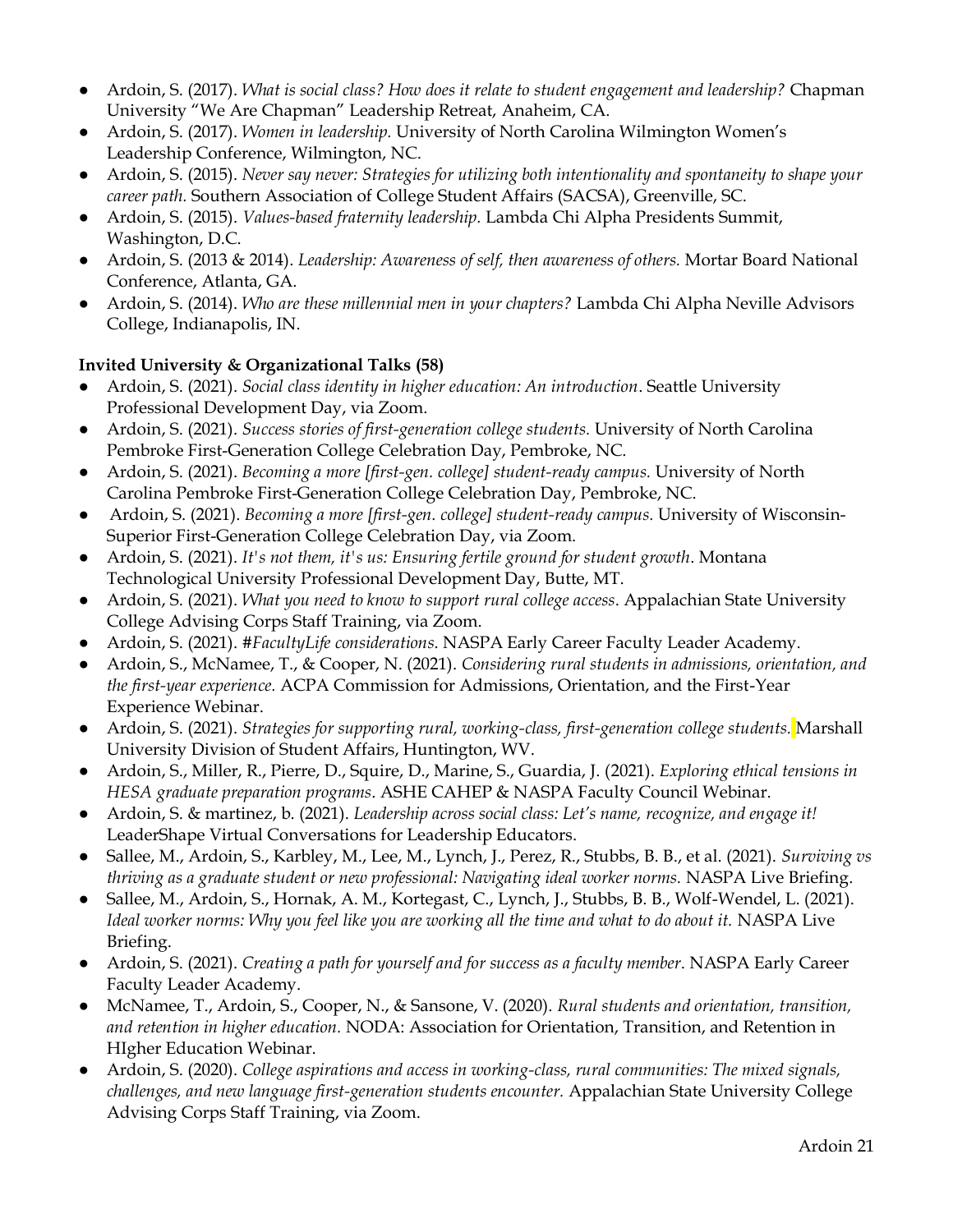- Ardoin, S. (2017). *What is social class? How does it relate to student engagement and leadership?* Chapman University "We Are Chapman" Leadership Retreat, Anaheim, CA.
- Ardoin, S. (2017). *Women in leadership.* University of North Carolina Wilmington Women's Leadership Conference, Wilmington, NC.
- Ardoin, S. (2015). *Never say never: Strategies for utilizing both intentionality and spontaneity to shape your career path.* Southern Association of College Student Affairs (SACSA), Greenville, SC.
- Ardoin, S. (2015). *Values-based fraternity leadership.* Lambda Chi Alpha Presidents Summit, Washington, D.C.
- Ardoin, S. (2013 & 2014). *Leadership: Awareness of self, then awareness of others.* Mortar Board National Conference, Atlanta, GA.
- Ardoin, S. (2014). *Who are these millennial men in your chapters?* Lambda Chi Alpha Neville Advisors College, Indianapolis, IN.

### **Invited University & Organizational Talks (58)**

- Ardoin, S. (2021). *Social class identity in higher education: An introduction*. Seattle University Professional Development Day, via Zoom.
- Ardoin, S. (2021). *Success stories of first-generation college students*. University of North Carolina Pembroke First-Generation College Celebration Day, Pembroke, NC.
- Ardoin, S. (2021). *Becoming a more [first-gen. college] student-ready campus.* University of North Carolina Pembroke First-Generation College Celebration Day, Pembroke, NC.
- Ardoin, S. (2021). *Becoming a more [first-gen. college] student-ready campus.* University of Wisconsin-Superior First-Generation College Celebration Day, via Zoom.
- Ardoin, S. (2021). *It's not them, it's us: Ensuring fertile ground for student growth*. Montana Technological University Professional Development Day, Butte, MT.
- Ardoin, S. (2021). *What you need to know to support rural college access*. Appalachian State University College Advising Corps Staff Training, via Zoom.
- Ardoin, S. (2021). *#FacultyLife considerations*. NASPA Early Career Faculty Leader Academy.
- Ardoin, S., McNamee, T., & Cooper, N. (2021). *Considering rural students in admissions, orientation, and the first-year experience.* ACPA Commission for Admissions, Orientation, and the First-Year Experience Webinar.
- Ardoin, S. (2021). *Strategies for supporting rural, working-class, first-generation college students.* Marshall University Division of Student Affairs, Huntington, WV.
- Ardoin, S., Miller, R., Pierre, D., Squire, D., Marine, S., Guardia, J. (2021). *Exploring ethical tensions in HESA graduate preparation programs*. ASHE CAHEP & NASPA Faculty Council Webinar.
- Ardoin, S. & martinez, b. (2021). *Leadership across social class: Let's name, recognize, and engage it!*  LeaderShape Virtual Conversations for Leadership Educators.
- Sallee, M., Ardoin, S., Karbley, M., Lee, M., Lynch, J., Perez, R., Stubbs, B. B., et al. (2021). *Surviving vs thriving as a graduate student or new professional: Navigating ideal worker norms.* NASPA Live Briefing.
- Sallee, M., Ardoin, S., Hornak, A. M., Kortegast, C., Lynch, J., Stubbs, B. B., Wolf-Wendel, L. (2021). Ideal worker norms: Why you feel like you are working all the time and what to do about it. NASPA Live Briefing.
- Ardoin, S. (2021). *Creating a path for yourself and for success as a faculty member*. NASPA Early Career Faculty Leader Academy.
- McNamee, T., Ardoin, S., Cooper, N., & Sansone, V. (2020). *Rural students and orientation, transition, and retention in higher education.* NODA: Association for Orientation, Transition, and Retention in HIgher Education Webinar.
- Ardoin, S. (2020). *College aspirations and access in working-class, rural communities: The mixed signals, challenges, and new language first-generation students encounter.* Appalachian State University College Advising Corps Staff Training, via Zoom.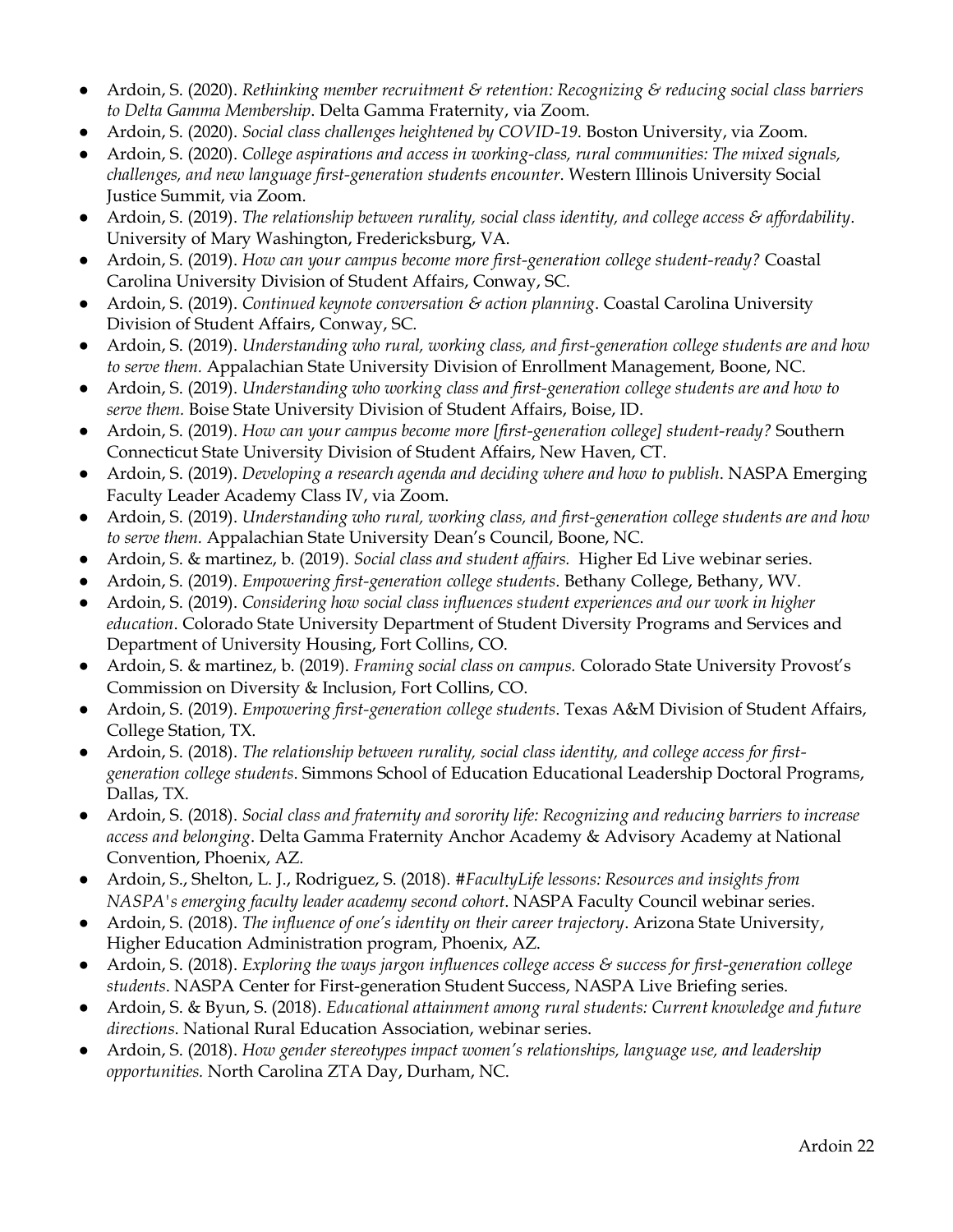- Ardoin, S. (2020). *Rethinking member recruitment & retention: Recognizing & reducing social class barriers to Delta Gamma Membership*. Delta Gamma Fraternity, via Zoom.
- Ardoin, S. (2020). *Social class challenges heightened by COVID-19*. Boston University, via Zoom.
- Ardoin, S. (2020). *College aspirations and access in working-class, rural communities: The mixed signals, challenges, and new language first-generation students encounter*. Western Illinois University Social Justice Summit, via Zoom.
- Ardoin, S. (2019). *The relationship between rurality, social class identity, and college access & affordability*. University of Mary Washington, Fredericksburg, VA.
- Ardoin, S. (2019). *How can your campus become more first-generation college student-ready?* Coastal Carolina University Division of Student Affairs, Conway, SC.
- Ardoin, S. (2019). *Continued keynote conversation & action planning*. Coastal Carolina University Division of Student Affairs, Conway, SC.
- Ardoin, S. (2019). *Understanding who rural, working class, and first-generation college students are and how to serve them.* Appalachian State University Division of Enrollment Management, Boone, NC.
- Ardoin, S. (2019). *Understanding who working class and first-generation college students are and how to serve them.* Boise State University Division of Student Affairs, Boise, ID.
- Ardoin, S. (2019). *How can your campus become more [first-generation college] student-ready?* Southern Connecticut State University Division of Student Affairs, New Haven, CT.
- Ardoin, S. (2019). *Developing a research agenda and deciding where and how to publish*. NASPA Emerging Faculty Leader Academy Class IV, via Zoom.
- Ardoin, S. (2019). *Understanding who rural, working class, and first-generation college students are and how to serve them.* Appalachian State University Dean's Council, Boone, NC.
- Ardoin, S. & martinez, b. (2019). *Social class and student affairs.* Higher Ed Live webinar series.
- Ardoin, S. (2019). *Empowering first-generation college students*. Bethany College, Bethany, WV.
- Ardoin, S. (2019). *Considering how social class influences student experiences and our work in higher education*. Colorado State University Department of Student Diversity Programs and Services and Department of University Housing, Fort Collins, CO.
- Ardoin, S. & martinez, b. (2019). *Framing social class on campus.* Colorado State University Provost's Commission on Diversity & Inclusion, Fort Collins, CO.
- Ardoin, S. (2019). *Empowering first-generation college students*. Texas A&M Division of Student Affairs, College Station, TX.
- Ardoin, S. (2018). *The relationship between rurality, social class identity, and college access for firstgeneration college students*. Simmons School of Education Educational Leadership Doctoral Programs, Dallas, TX.
- Ardoin, S. (2018). *Social class and fraternity and sorority life: Recognizing and reducing barriers to increase access and belonging*. Delta Gamma Fraternity Anchor Academy & Advisory Academy at National Convention, Phoenix, AZ.
- Ardoin, S., Shelton, L. J., Rodriguez, S. (2018). *#FacultyLife lessons: Resources and insights from NASPA's emerging faculty leader academy second cohort*. NASPA Faculty Council webinar series.
- Ardoin, S. (2018). *The influence of one's identity on their career trajectory*. Arizona State University, Higher Education Administration program, Phoenix, AZ.
- Ardoin, S. (2018). *Exploring the ways jargon influences college access & success for first-generation college students*. NASPA Center for First-generation Student Success, NASPA Live Briefing series.
- Ardoin, S. & Byun, S. (2018). *Educational attainment among rural students: Current knowledge and future directions*. National Rural Education Association, webinar series.
- Ardoin, S. (2018). *How gender stereotypes impact women's relationships, language use, and leadership opportunities.* North Carolina ZTA Day, Durham, NC.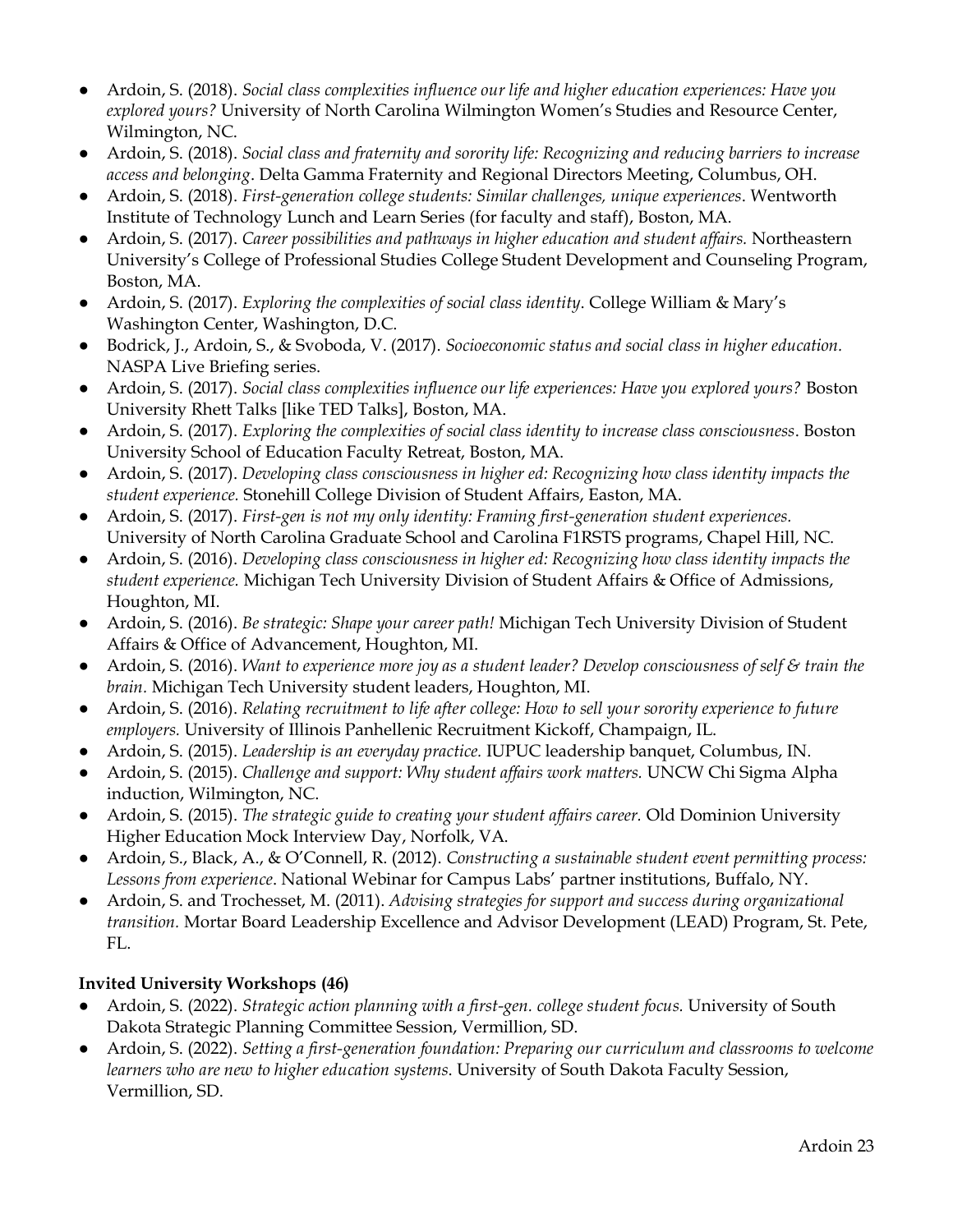- Ardoin, S. (2018). *Social class complexities influence our life and higher education experiences: Have you explored yours?* University of North Carolina Wilmington Women's Studies and Resource Center, Wilmington, NC.
- Ardoin, S. (2018). *Social class and fraternity and sorority life: Recognizing and reducing barriers to increase access and belonging*. Delta Gamma Fraternity and Regional Directors Meeting, Columbus, OH.
- Ardoin, S. (2018). *First-generation college students: Similar challenges, unique experiences*. Wentworth Institute of Technology Lunch and Learn Series (for faculty and staff), Boston, MA.
- Ardoin, S. (2017). *Career possibilities and pathways in higher education and student affairs.* Northeastern University's College of Professional Studies College Student Development and Counseling Program, Boston, MA.
- Ardoin, S. (2017). *Exploring the complexities of social class identity*. College William & Mary's Washington Center, Washington, D.C.
- Bodrick, J., Ardoin, S., & Svoboda, V. (2017). *Socioeconomic status and social class in higher education*. NASPA Live Briefing series.
- Ardoin, S. (2017). *Social class complexities influence our life experiences: Have you explored yours?* Boston University Rhett Talks [like TED Talks], Boston, MA.
- Ardoin, S. (2017). *Exploring the complexities of social class identity to increase class consciousness*. Boston University School of Education Faculty Retreat, Boston, MA.
- Ardoin, S. (2017). *Developing class consciousness in higher ed: Recognizing how class identity impacts the student experience.* Stonehill College Division of Student Affairs, Easton, MA.
- Ardoin, S. (2017). *First-gen is not my only identity: Framing first-generation student experiences.* University of North Carolina Graduate School and Carolina F1RSTS programs, Chapel Hill, NC.
- Ardoin, S. (2016). *Developing class consciousness in higher ed: Recognizing how class identity impacts the student experience.* Michigan Tech University Division of Student Affairs & Office of Admissions, Houghton, MI.
- Ardoin, S. (2016). *Be strategic: Shape your career path!* Michigan Tech University Division of Student Affairs & Office of Advancement, Houghton, MI.
- Ardoin, S. (2016). *Want to experience more joy as a student leader? Develop consciousness of self & train the brain.* Michigan Tech University student leaders, Houghton, MI.
- Ardoin, S. (2016). *Relating recruitment to life after college: How to sell your sorority experience to future employers.* University of Illinois Panhellenic Recruitment Kickoff, Champaign, IL.
- Ardoin, S. (2015). *Leadership is an everyday practice.* IUPUC leadership banquet, Columbus, IN.
- Ardoin, S. (2015). *Challenge and support: Why student affairs work matters.* UNCW Chi Sigma Alpha induction, Wilmington, NC.
- Ardoin, S. (2015). *The strategic guide to creating your student affairs career.* Old Dominion University Higher Education Mock Interview Day, Norfolk, VA.
- Ardoin, S., Black, A., & O'Connell, R. (2012). *Constructing a sustainable student event permitting process: Lessons from experience*. National Webinar for Campus Labs' partner institutions, Buffalo, NY.
- Ardoin, S. and Trochesset, M. (2011). *Advising strategies for support and success during organizational transition.* Mortar Board Leadership Excellence and Advisor Development (LEAD) Program, St. Pete, FL.

### **Invited University Workshops (46)**

- Ardoin, S. (2022). *Strategic action planning with a first-gen. college student focus.* University of South Dakota Strategic Planning Committee Session, Vermillion, SD.
- Ardoin, S. (2022). *Setting a first-generation foundation: Preparing our curriculum and classrooms to welcome learners who are new to higher education systems*. University of South Dakota Faculty Session, Vermillion, SD.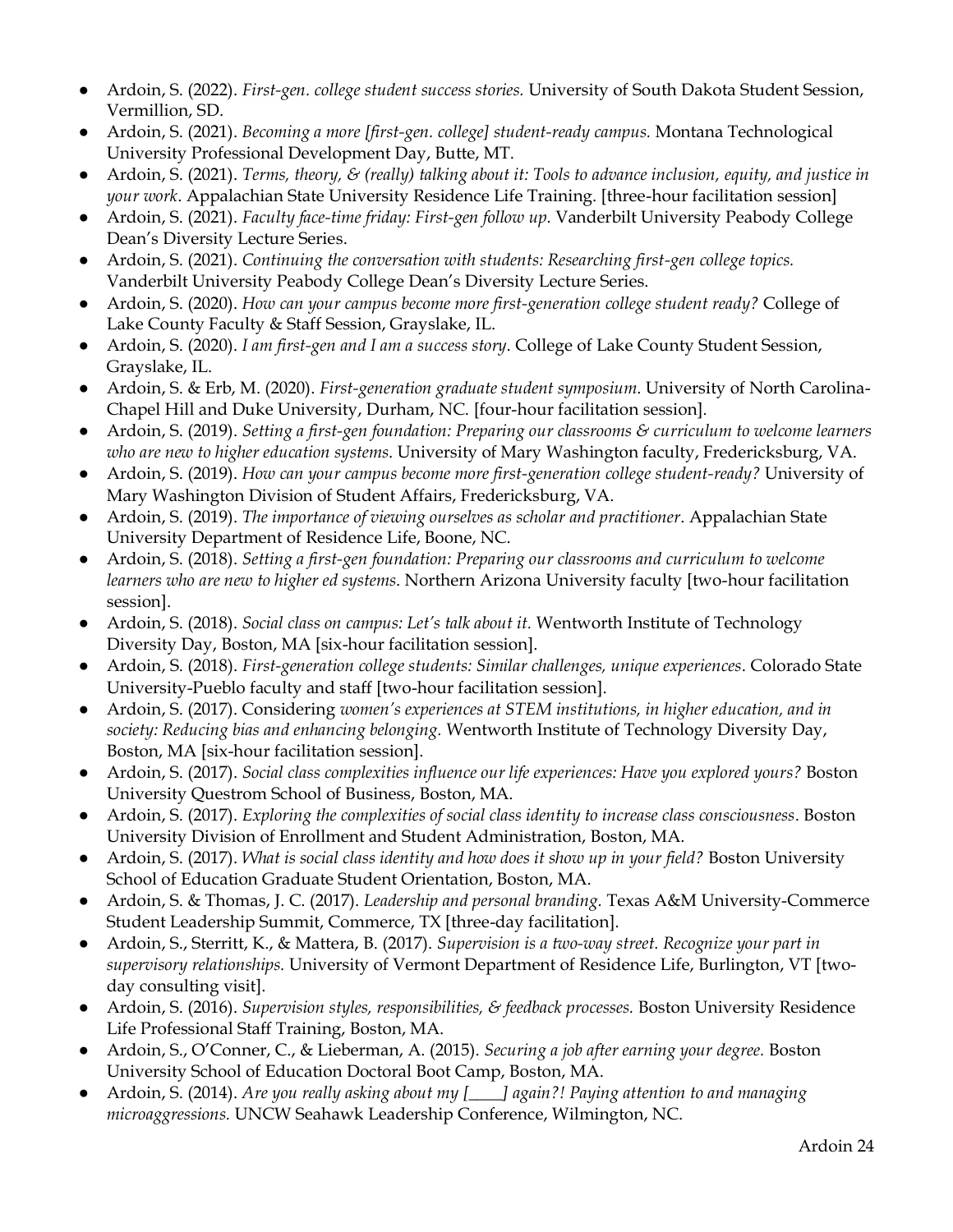- Ardoin, S. (2022). *First-gen. college student success stories.* University of South Dakota Student Session, Vermillion, SD.
- Ardoin, S. (2021). *Becoming a more [first-gen. college] student-ready campus.* Montana Technological University Professional Development Day, Butte, MT.
- Ardoin, S. (2021). *Terms, theory, & (really) talking about it: Tools to advance inclusion, equity, and justice in your work*. Appalachian State University Residence Life Training. [three-hour facilitation session]
- Ardoin, S. (2021). *Faculty face-time friday: First-gen follow up.* Vanderbilt University Peabody College Dean's Diversity Lecture Series.
- Ardoin, S. (2021). *Continuing the conversation with students: Researching first-gen college topics.* Vanderbilt University Peabody College Dean's Diversity Lecture Series.
- Ardoin, S. (2020). *How can your campus become more first-generation college student ready?* College of Lake County Faculty & Staff Session, Grayslake, IL.
- Ardoin, S. (2020). *I am first-gen and I am a success story*. College of Lake County Student Session, Grayslake, IL.
- Ardoin, S. & Erb, M. (2020). *First-generation graduate student symposium*. University of North Carolina-Chapel Hill and Duke University, Durham, NC. [four-hour facilitation session]*.*
- Ardoin, S. (2019). *Setting a first-gen foundation: Preparing our classrooms & curriculum to welcome learners who are new to higher education systems*. University of Mary Washington faculty, Fredericksburg, VA.
- Ardoin, S. (2019). *How can your campus become more first-generation college student-ready?* University of Mary Washington Division of Student Affairs, Fredericksburg, VA.
- Ardoin, S. (2019). *The importance of viewing ourselves as scholar and practitioner*. Appalachian State University Department of Residence Life, Boone, NC.
- Ardoin, S. (2018). *Setting a first-gen foundation: Preparing our classrooms and curriculum to welcome learners who are new to higher ed systems*. Northern Arizona University faculty [two-hour facilitation session].
- Ardoin, S. (2018). *Social class on campus: Let's talk about it.* Wentworth Institute of Technology Diversity Day, Boston, MA [six-hour facilitation session].
- Ardoin, S. (2018). *First-generation college students: Similar challenges, unique experiences*. Colorado State University-Pueblo faculty and staff [two-hour facilitation session].
- Ardoin, S. (2017). Considering *women's experiences at STEM institutions, in higher education, and in society: Reducing bias and enhancing belonging.* Wentworth Institute of Technology Diversity Day, Boston, MA [six-hour facilitation session].
- Ardoin, S. (2017). *Social class complexities influence our life experiences: Have you explored yours?* Boston University Questrom School of Business, Boston, MA.
- Ardoin, S. (2017). *Exploring the complexities of social class identity to increase class consciousness*. Boston University Division of Enrollment and Student Administration, Boston, MA.
- Ardoin, S. (2017). *What is social class identity and how does it show up in your field?* Boston University School of Education Graduate Student Orientation, Boston, MA.
- Ardoin, S. & Thomas, J. C. (2017). *Leadership and personal branding.* Texas A&M University-Commerce Student Leadership Summit, Commerce, TX [three-day facilitation].
- Ardoin, S., Sterritt, K., & Mattera, B. (2017). *Supervision is a two-way street. Recognize your part in supervisory relationships.* University of Vermont Department of Residence Life, Burlington, VT [twoday consulting visit].
- Ardoin, S. (2016). *Supervision styles, responsibilities, & feedback processes*. Boston University Residence Life Professional Staff Training, Boston, MA.
- Ardoin, S., O'Conner, C., & Lieberman, A. (2015). *Securing a job after earning your degree.* Boston University School of Education Doctoral Boot Camp, Boston, MA.
- Ardoin, S. (2014). *Are you really asking about my [\_\_\_\_] again?! Paying attention to and managing microaggressions.* UNCW Seahawk Leadership Conference, Wilmington, NC.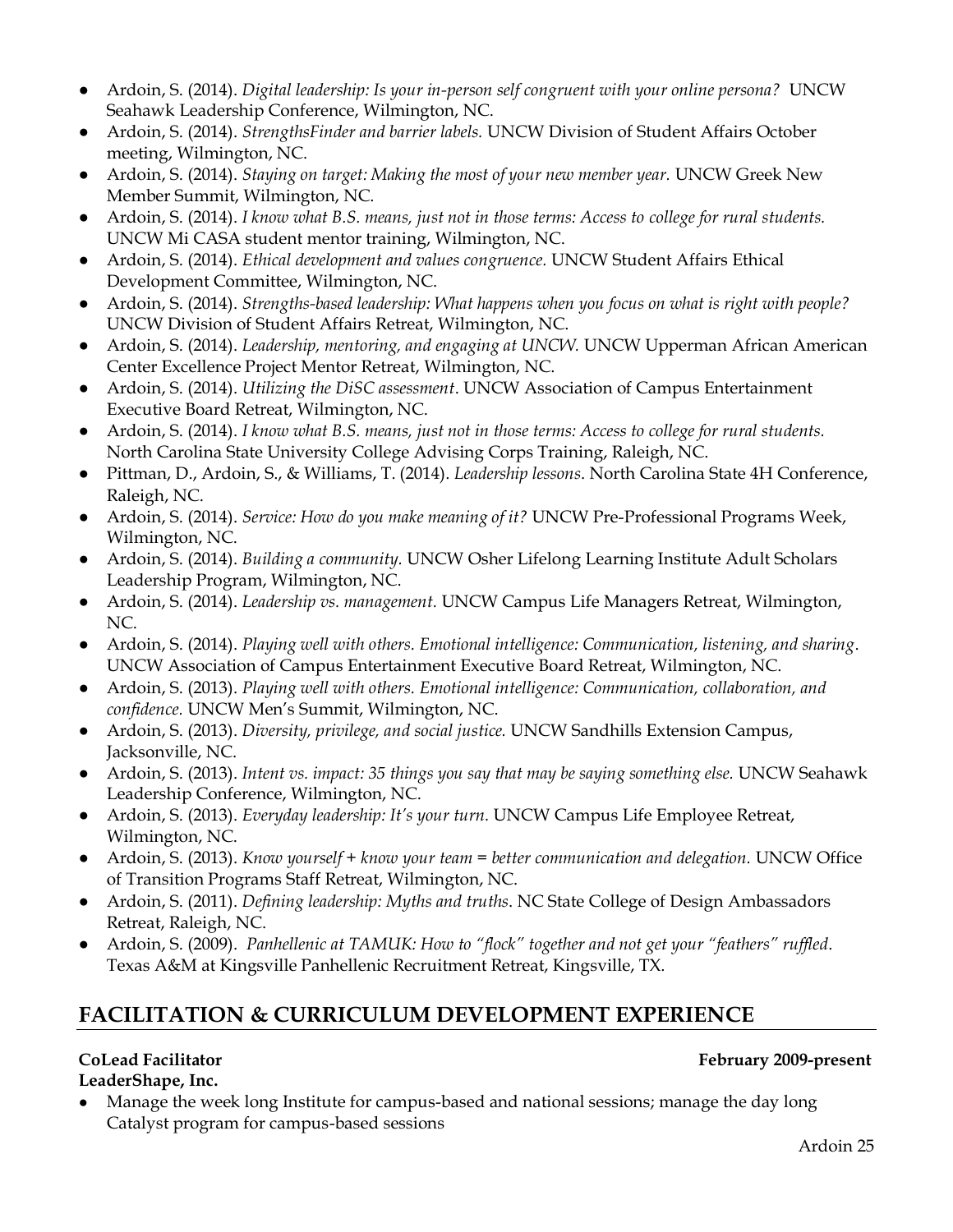- Ardoin, S. (2014). *Digital leadership: Is your in-person self congruent with your online persona?* UNCW Seahawk Leadership Conference, Wilmington, NC.
- Ardoin, S. (2014). *StrengthsFinder and barrier labels.* UNCW Division of Student Affairs October meeting, Wilmington, NC.
- Ardoin, S. (2014). *Staying on target: Making the most of your new member year.* UNCW Greek New Member Summit, Wilmington, NC.
- Ardoin, S. (2014). *I know what B.S. means, just not in those terms: Access to college for rural students.*  UNCW Mi CASA student mentor training, Wilmington, NC.
- Ardoin, S. (2014). *Ethical development and values congruence.* UNCW Student Affairs Ethical Development Committee, Wilmington, NC.
- Ardoin, S. (2014). *Strengths-based leadership: What happens when you focus on what is right with people?* UNCW Division of Student Affairs Retreat, Wilmington, NC.
- Ardoin, S. (2014). *Leadership, mentoring, and engaging at UNCW*. UNCW Upperman African American Center Excellence Project Mentor Retreat, Wilmington, NC.
- Ardoin, S. (2014). *Utilizing the DiSC assessment*. UNCW Association of Campus Entertainment Executive Board Retreat, Wilmington, NC.
- Ardoin, S. (2014). *I know what B.S. means, just not in those terms: Access to college for rural students.* North Carolina State University College Advising Corps Training, Raleigh, NC.
- Pittman, D., Ardoin, S., & Williams, T. (2014). *Leadership lessons*. North Carolina State 4H Conference, Raleigh, NC.
- Ardoin, S. (2014). *Service: How do you make meaning of it?* UNCW Pre-Professional Programs Week, Wilmington, NC.
- Ardoin, S. (2014). *Building a community.* UNCW Osher Lifelong Learning Institute Adult Scholars Leadership Program, Wilmington, NC.
- Ardoin, S. (2014). *Leadership vs. management.* UNCW Campus Life Managers Retreat, Wilmington, NC.
- Ardoin, S. (2014). *Playing well with others. Emotional intelligence: Communication, listening, and sharing*. UNCW Association of Campus Entertainment Executive Board Retreat, Wilmington, NC.
- Ardoin, S. (2013). *Playing well with others. Emotional intelligence: Communication, collaboration, and confidence.* UNCW Men's Summit, Wilmington, NC.
- Ardoin, S. (2013). *Diversity, privilege, and social justice.* UNCW Sandhills Extension Campus, Jacksonville, NC.
- Ardoin, S. (2013). *Intent vs. impact: 35 things you say that may be saying something else.* UNCW Seahawk Leadership Conference, Wilmington, NC.
- Ardoin, S. (2013). *Everyday leadership: It's your turn.* UNCW Campus Life Employee Retreat, Wilmington, NC.
- Ardoin, S. (2013). *Know yourself* + *know your team* = *better communication and delegation*. UNCW Office of Transition Programs Staff Retreat, Wilmington, NC.
- Ardoin, S. (2011). *Defining leadership: Myths and truths*. NC State College of Design Ambassadors Retreat, Raleigh, NC.
- Ardoin, S. (2009). *Panhellenic at TAMUK: How to "flock" together and not get your "feathers" ruffled*. Texas A&M at Kingsville Panhellenic Recruitment Retreat, Kingsville, TX.

# **FACILITATION & CURRICULUM DEVELOPMENT EXPERIENCE**

### **LeaderShape, Inc.**

### CoLead Facilitator **February 2009-present**

• Manage the week long Institute for campus-based and national sessions; manage the day long Catalyst program for campus-based sessions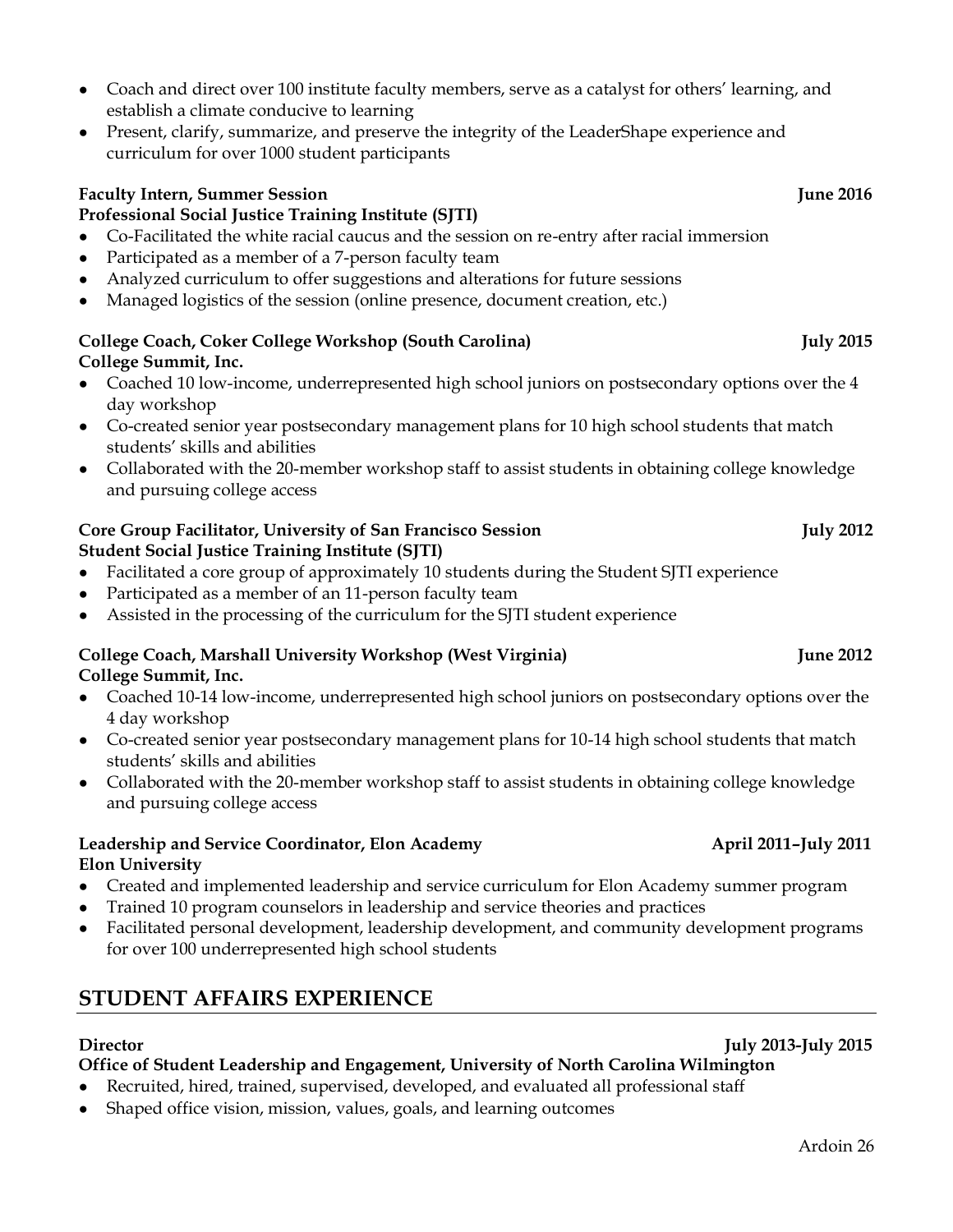#### • Coach and direct over 100 institute faculty members, serve as a catalyst for others' learning, and establish a climate conducive to learning

• Present, clarify, summarize, and preserve the integrity of the LeaderShape experience and curriculum for over 1000 student participants

### **Faculty Intern, Summer Session June 2016**

### **Professional Social Justice Training Institute (SJTI)**

- Co-Facilitated the white racial caucus and the session on re-entry after racial immersion
- Participated as a member of a 7-person faculty team
- Analyzed curriculum to offer suggestions and alterations for future sessions
- Managed logistics of the session (online presence, document creation, etc.)

#### **College Coach, Coker College Workshop (South Carolina) July 2015 College Summit, Inc.**

- Coached 10 low-income, underrepresented high school juniors on postsecondary options over the 4 day workshop
- Co-created senior year postsecondary management plans for 10 high school students that match students' skills and abilities
- Collaborated with the 20-member workshop staff to assist students in obtaining college knowledge and pursuing college access

#### **Core Group Facilitator, University of San Francisco Session Transform Core Group Tuly 2012 Student Social Justice Training Institute (SJTI)**

- Facilitated a core group of approximately 10 students during the Student SJTI experience
- Participated as a member of an 11-person faculty team
- Assisted in the processing of the curriculum for the SJTI student experience

#### **College Coach, Marshall University Workshop (West Virginia) June 2012 College Summit, Inc.**

- Coached 10-14 low-income, underrepresented high school juniors on postsecondary options over the 4 day workshop
- Co-created senior year postsecondary management plans for 10-14 high school students that match students' skills and abilities
- Collaborated with the 20-member workshop staff to assist students in obtaining college knowledge and pursuing college access

#### **Leadership and Service Coordinator, Elon Academy April 2011–July 2011 Elon University**

- Created and implemented leadership and service curriculum for Elon Academy summer program
- Trained 10 program counselors in leadership and service theories and practices
- Facilitated personal development, leadership development, and community development programs for over 100 underrepresented high school students

# **STUDENT AFFAIRS EXPERIENCE**

### **Director July 2013-July 2015**

### **Office of Student Leadership and Engagement, University of North Carolina Wilmington**

- Recruited, hired, trained, supervised, developed, and evaluated all professional staff
- Shaped office vision, mission, values, goals, and learning outcomes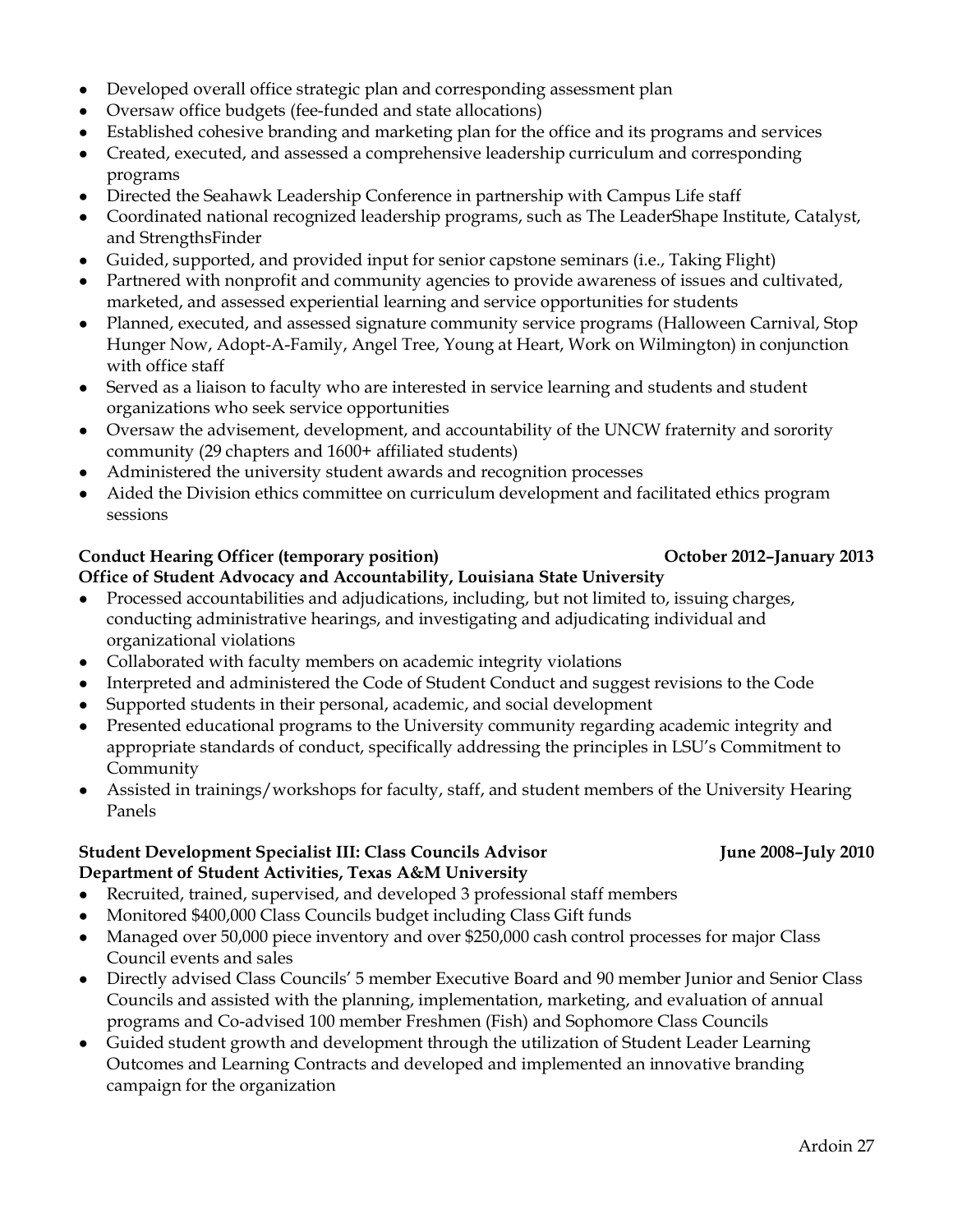- Developed overall office strategic plan and corresponding assessment plan
- Oversaw office budgets (fee-funded and state allocations)
- Established cohesive branding and marketing plan for the office and its programs and services
- Created, executed, and assessed a comprehensive leadership curriculum and corresponding programs
- Directed the Seahawk Leadership Conference in partnership with Campus Life staff
- Coordinated national recognized leadership programs, such as The LeaderShape Institute, Catalyst, and StrengthsFinder
- Guided, supported, and provided input for senior capstone seminars (i.e., Taking Flight)
- Partnered with nonprofit and community agencies to provide awareness of issues and cultivated, marketed, and assessed experiential learning and service opportunities for students
- Planned, executed, and assessed signature community service programs (Halloween Carnival, Stop Hunger Now, Adopt-A-Family, Angel Tree, Young at Heart, Work on Wilmington) in conjunction with office staff
- Served as a liaison to faculty who are interested in service learning and students and student organizations who seek service opportunities
- Oversaw the advisement, development, and accountability of the UNCW fraternity and sorority community (29 chapters and 1600+ affiliated students)
- Administered the university student awards and recognition processes
- Aided the Division ethics committee on curriculum development and facilitated ethics program sessions

#### **Conduct Hearing Officer (temporary position) October 2012–January 2013**

#### **Office of Student Advocacy and Accountability, Louisiana State University**

- Processed accountabilities and adjudications, including, but not limited to, issuing charges, conducting administrative hearings, and investigating and adjudicating individual and organizational violations
- Collaborated with faculty members on academic integrity violations
- Interpreted and administered the Code of Student Conduct and suggest revisions to the Code
- Supported students in their personal, academic, and social development
- Presented educational programs to the University community regarding academic integrity and appropriate standards of conduct, specifically addressing the principles in LSU's Commitment to Community
- Assisted in trainings/workshops for faculty, staff, and student members of the University Hearing Panels

#### **Student Development Specialist III: Class Councils Advisor June 2008–July 2010 Department of Student Activities, Texas A&M University**

- Recruited, trained, supervised, and developed 3 professional staff members
- Monitored \$400,000 Class Councils budget including Class Gift funds
- Managed over 50,000 piece inventory and over \$250,000 cash control processes for major Class Council events and sales
- Directly advised Class Councils' 5 member Executive Board and 90 member Junior and Senior Class Councils and assisted with the planning, implementation, marketing, and evaluation of annual programs and Co-advised 100 member Freshmen (Fish) and Sophomore Class Councils
- Guided student growth and development through the utilization of Student Leader Learning Outcomes and Learning Contracts and developed and implemented an innovative branding campaign for the organization

### Ardoin 27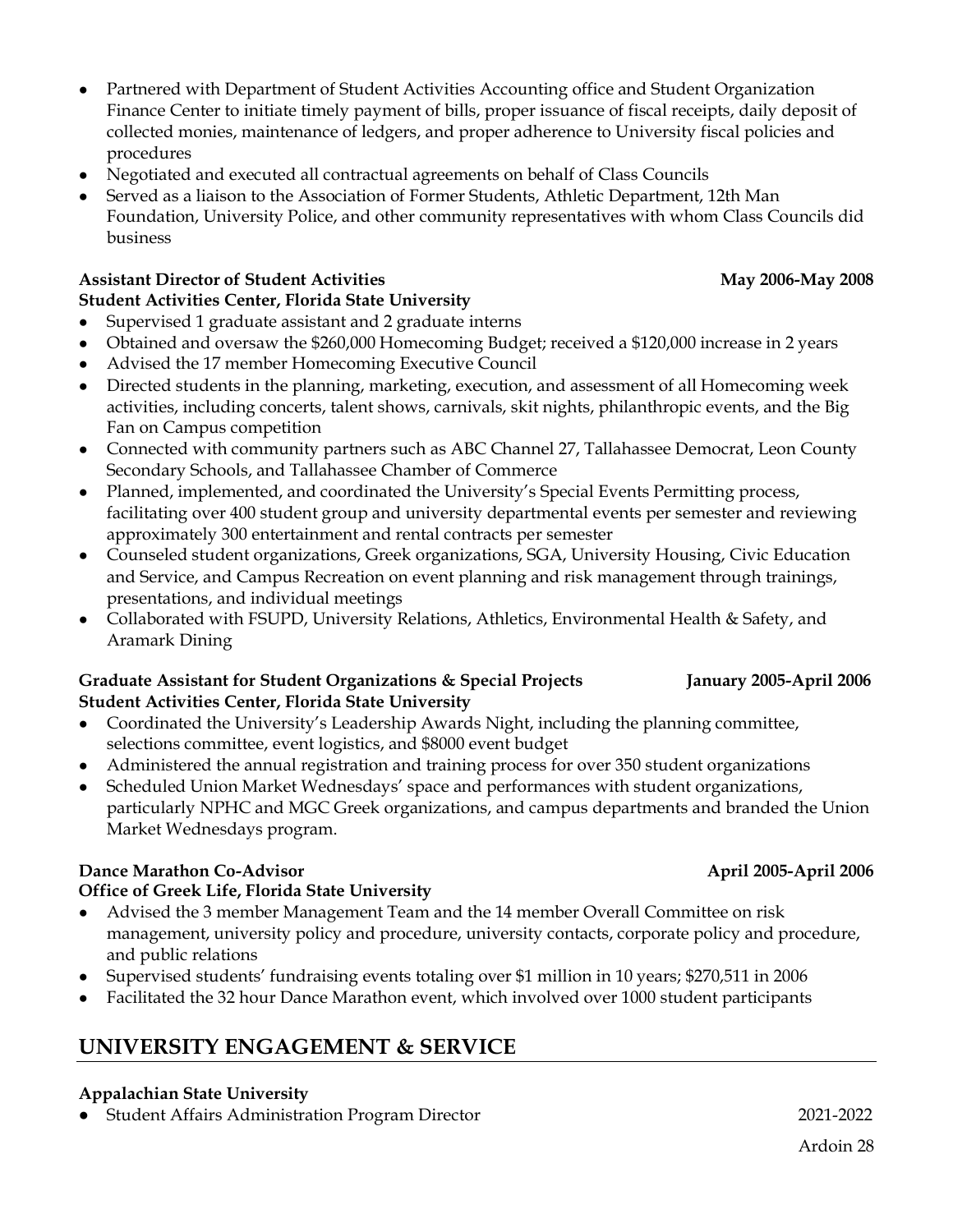- Partnered with Department of Student Activities Accounting office and Student Organization Finance Center to initiate timely payment of bills, proper issuance of fiscal receipts, daily deposit of collected monies, maintenance of ledgers, and proper adherence to University fiscal policies and procedures
- Negotiated and executed all contractual agreements on behalf of Class Councils
- Served as a liaison to the Association of Former Students, Athletic Department, 12th Man Foundation, University Police, and other community representatives with whom Class Councils did business

### **Assistant Director of Student Activities May 2006-May 2008**

# **Student Activities Center, Florida State University**

- Supervised 1 graduate assistant and 2 graduate interns
- Obtained and oversaw the \$260,000 Homecoming Budget; received a \$120,000 increase in 2 years
- Advised the 17 member Homecoming Executive Council
- Directed students in the planning, marketing, execution, and assessment of all Homecoming week activities, including concerts, talent shows, carnivals, skit nights, philanthropic events, and the Big Fan on Campus competition
- Connected with community partners such as ABC Channel 27, Tallahassee Democrat, Leon County Secondary Schools, and Tallahassee Chamber of Commerce
- Planned, implemented, and coordinated the University's Special Events Permitting process, facilitating over 400 student group and university departmental events per semester and reviewing approximately 300 entertainment and rental contracts per semester
- Counseled student organizations, Greek organizations, SGA, University Housing, Civic Education and Service, and Campus Recreation on event planning and risk management through trainings, presentations, and individual meetings
- Collaborated with FSUPD, University Relations, Athletics, Environmental Health & Safety, and Aramark Dining

#### **Graduate Assistant for Student Organizations & Special Projects January 2005-April 2006 Student Activities Center, Florida State University**

- Coordinated the University's Leadership Awards Night, including the planning committee, selections committee, event logistics, and \$8000 event budget
- Administered the annual registration and training process for over 350 student organizations
- Scheduled Union Market Wednesdays' space and performances with student organizations, particularly NPHC and MGC Greek organizations, and campus departments and branded the Union Market Wednesdays program.

### **Dance Marathon Co-Advisor April 2005-April 2006**

### **Office of Greek Life, Florida State University**

- Advised the 3 member Management Team and the 14 member Overall Committee on risk management, university policy and procedure, university contacts, corporate policy and procedure, and public relations
- Supervised students' fundraising events totaling over \$1 million in 10 years; \$270,511 in 2006
- Facilitated the 32 hour Dance Marathon event, which involved over 1000 student participants

# **UNIVERSITY ENGAGEMENT & SERVICE**

### **Appalachian State University**

● Student Affairs Administration Program Director 2021-2022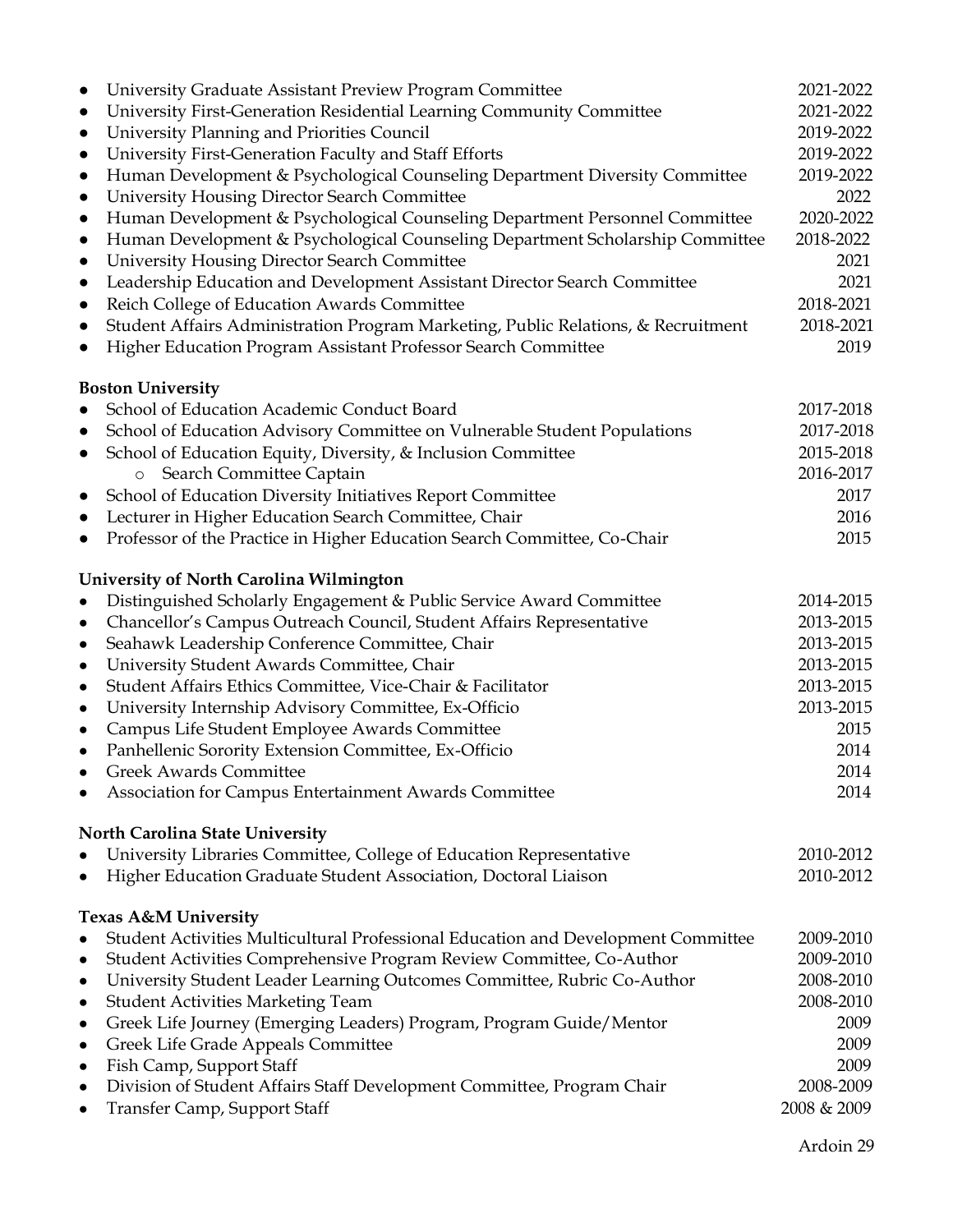| University Graduate Assistant Preview Program Committee<br>$\bullet$                                                      | 2021-2022              |
|---------------------------------------------------------------------------------------------------------------------------|------------------------|
| University First-Generation Residential Learning Community Committee<br>$\bullet$                                         | 2021-2022              |
| University Planning and Priorities Council<br>$\bullet$                                                                   | 2019-2022              |
| University First-Generation Faculty and Staff Efforts<br>$\bullet$                                                        | 2019-2022              |
| Human Development & Psychological Counseling Department Diversity Committee<br>$\bullet$                                  | 2019-2022              |
| <b>University Housing Director Search Committee</b><br>$\bullet$                                                          | 2022                   |
| Human Development & Psychological Counseling Department Personnel Committee<br>$\bullet$                                  | 2020-2022              |
| Human Development & Psychological Counseling Department Scholarship Committee<br>$\bullet$                                | 2018-2022              |
| <b>University Housing Director Search Committee</b><br>$\bullet$                                                          | 2021                   |
| Leadership Education and Development Assistant Director Search Committee<br>$\bullet$                                     | 2021                   |
| Reich College of Education Awards Committee<br>$\bullet$                                                                  | 2018-2021              |
| Student Affairs Administration Program Marketing, Public Relations, & Recruitment<br>$\bullet$                            | 2018-2021              |
| Higher Education Program Assistant Professor Search Committee<br>$\bullet$                                                | 2019                   |
| <b>Boston University</b>                                                                                                  |                        |
| School of Education Academic Conduct Board<br>$\bullet$                                                                   | 2017-2018              |
| School of Education Advisory Committee on Vulnerable Student Populations<br>$\bullet$                                     | 2017-2018              |
| School of Education Equity, Diversity, & Inclusion Committee<br>$\bullet$                                                 | 2015-2018              |
| Search Committee Captain<br>$\circ$                                                                                       | 2016-2017              |
| School of Education Diversity Initiatives Report Committee<br>$\bullet$                                                   | 2017                   |
| Lecturer in Higher Education Search Committee, Chair<br>$\bullet$                                                         | 2016                   |
| Professor of the Practice in Higher Education Search Committee, Co-Chair<br>$\bullet$                                     | 2015                   |
| University of North Carolina Wilmington                                                                                   |                        |
| Distinguished Scholarly Engagement & Public Service Award Committee<br>$\bullet$                                          | 2014-2015              |
| Chancellor's Campus Outreach Council, Student Affairs Representative<br>$\bullet$                                         | 2013-2015              |
| Seahawk Leadership Conference Committee, Chair<br>$\bullet$                                                               | 2013-2015              |
| University Student Awards Committee, Chair<br>$\bullet$                                                                   | 2013-2015              |
| Student Affairs Ethics Committee, Vice-Chair & Facilitator<br>$\bullet$                                                   | 2013-2015              |
| University Internship Advisory Committee, Ex-Officio<br>$\bullet$                                                         | 2013-2015              |
| Campus Life Student Employee Awards Committee<br>$\bullet$                                                                | 2015                   |
| Panhellenic Sorority Extension Committee, Ex-Officio<br>$\bullet$                                                         | 2014                   |
| <b>Greek Awards Committee</b><br>$\bullet$                                                                                | 2014                   |
| Association for Campus Entertainment Awards Committee                                                                     | 2014                   |
| <b>North Carolina State University</b>                                                                                    |                        |
| University Libraries Committee, College of Education Representative<br>٠                                                  | 2010-2012              |
| Higher Education Graduate Student Association, Doctoral Liaison                                                           | 2010-2012              |
| <b>Texas A&amp;M University</b>                                                                                           |                        |
| Student Activities Multicultural Professional Education and Development Committee<br>$\bullet$                            | 2009-2010<br>2009-2010 |
| Student Activities Comprehensive Program Review Committee, Co-Author<br>٠                                                 |                        |
| University Student Leader Learning Outcomes Committee, Rubric Co-Author<br>$\bullet$<br>Student Activities Marketing Team | 2008-2010<br>2008-2010 |
| $\bullet$                                                                                                                 | 2009                   |
| Greek Life Journey (Emerging Leaders) Program, Program Guide/Mentor<br>$\bullet$                                          | 2009                   |
| Greek Life Grade Appeals Committee<br>$\bullet$                                                                           | 2009                   |
| Fish Camp, Support Staff<br>$\bullet$<br>Division of Student Affairs Staff Development Committee, Program Chair           | 2008-2009              |
| $\bullet$<br>Transfer Camp, Support Staff<br>$\bullet$                                                                    | 2008 & 2009            |
|                                                                                                                           |                        |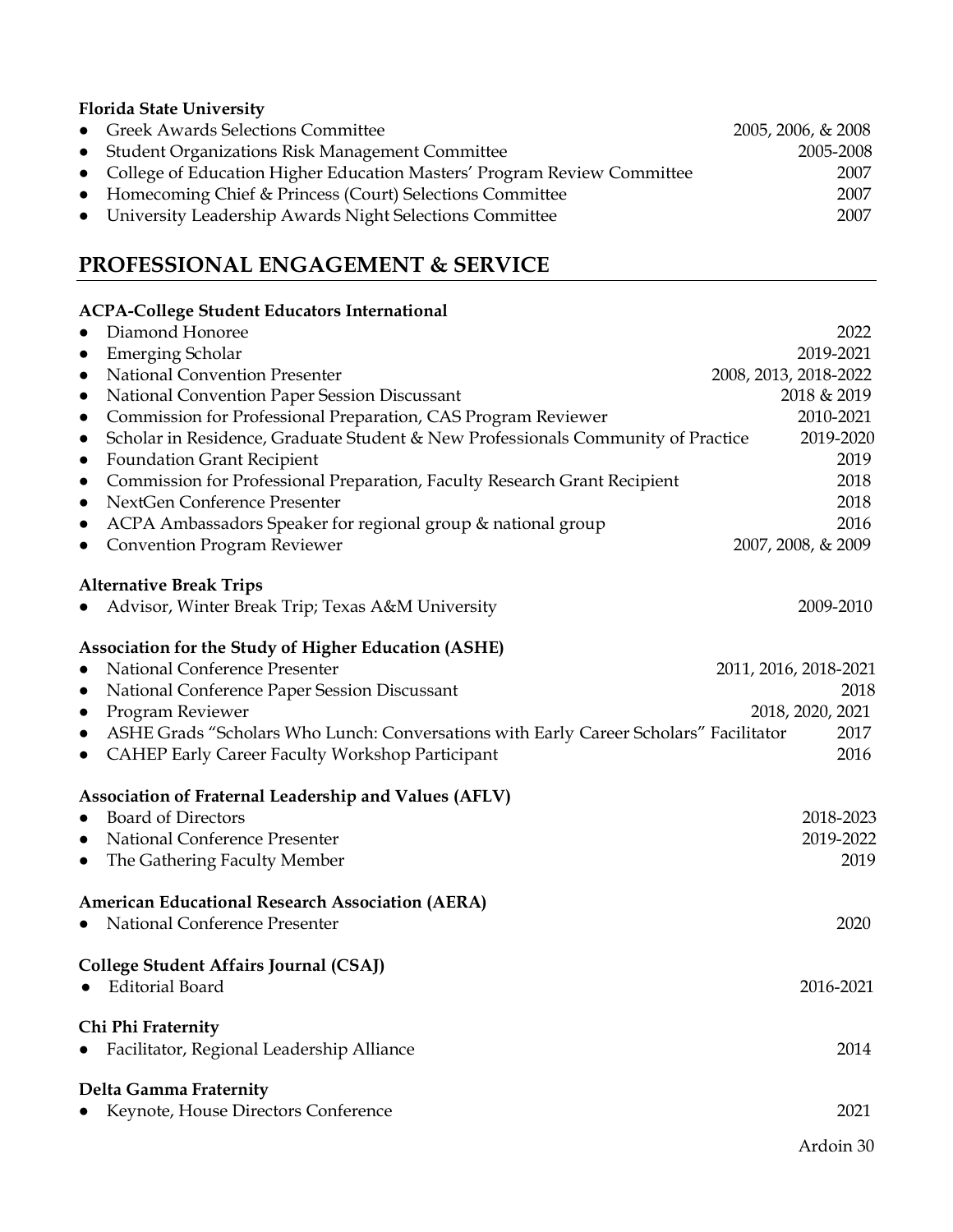# **Florida State University**

| • Greek Awards Selections Committee                                       | $2005, 2006, \& 2008$ |
|---------------------------------------------------------------------------|-----------------------|
| • Student Organizations Risk Management Committee                         | 2005-2008             |
| • College of Education Higher Education Masters' Program Review Committee | 2007                  |
| • Homecoming Chief & Princess (Court) Selections Committee                | 2007                  |
| • University Leadership Awards Night Selections Committee                 | 2007                  |

# **PROFESSIONAL ENGAGEMENT & SERVICE**

| <b>ACPA-College Student Educators International</b>                                                |                       |
|----------------------------------------------------------------------------------------------------|-----------------------|
| Diamond Honoree<br>$\bullet$                                                                       | 2022                  |
| <b>Emerging Scholar</b><br>$\bullet$                                                               | 2019-2021             |
| National Convention Presenter<br>$\bullet$                                                         | 2008, 2013, 2018-2022 |
| National Convention Paper Session Discussant<br>$\bullet$                                          | 2018 & 2019           |
| Commission for Professional Preparation, CAS Program Reviewer<br>$\bullet$                         | 2010-2021             |
| Scholar in Residence, Graduate Student & New Professionals Community of Practice<br>$\bullet$      | 2019-2020             |
| <b>Foundation Grant Recipient</b><br>$\bullet$                                                     | 2019                  |
| Commission for Professional Preparation, Faculty Research Grant Recipient<br>$\bullet$             | 2018                  |
| NextGen Conference Presenter<br>$\bullet$                                                          | 2018                  |
| ACPA Ambassadors Speaker for regional group & national group<br>$\bullet$                          | 2016                  |
| <b>Convention Program Reviewer</b><br>$\bullet$                                                    | 2007, 2008, & 2009    |
| <b>Alternative Break Trips</b>                                                                     |                       |
| Advisor, Winter Break Trip; Texas A&M University                                                   | 2009-2010             |
| <b>Association for the Study of Higher Education (ASHE)</b>                                        |                       |
| National Conference Presenter<br>$\bullet$                                                         | 2011, 2016, 2018-2021 |
| National Conference Paper Session Discussant<br>$\bullet$                                          | 2018                  |
| Program Reviewer<br>$\bullet$                                                                      | 2018, 2020, 2021      |
| ASHE Grads "Scholars Who Lunch: Conversations with Early Career Scholars" Facilitator<br>$\bullet$ | 2017                  |
| CAHEP Early Career Faculty Workshop Participant<br>$\bullet$                                       | 2016                  |
| <b>Association of Fraternal Leadership and Values (AFLV)</b>                                       |                       |
| <b>Board of Directors</b><br>$\bullet$                                                             | 2018-2023             |
| National Conference Presenter<br>$\bullet$                                                         | 2019-2022             |
| The Gathering Faculty Member<br>$\bullet$                                                          | 2019                  |
| <b>American Educational Research Association (AERA)</b>                                            |                       |
| National Conference Presenter<br>$\bullet$                                                         | 2020                  |
| College Student Affairs Journal (CSAJ)                                                             |                       |
| <b>Editorial Board</b><br>$\bullet$                                                                | 2016-2021             |
| Chi Phi Fraternity                                                                                 |                       |
| Facilitator, Regional Leadership Alliance                                                          | 2014                  |
| <b>Delta Gamma Fraternity</b>                                                                      |                       |
| Keynote, House Directors Conference                                                                | 2021                  |
|                                                                                                    | Ardoin 30             |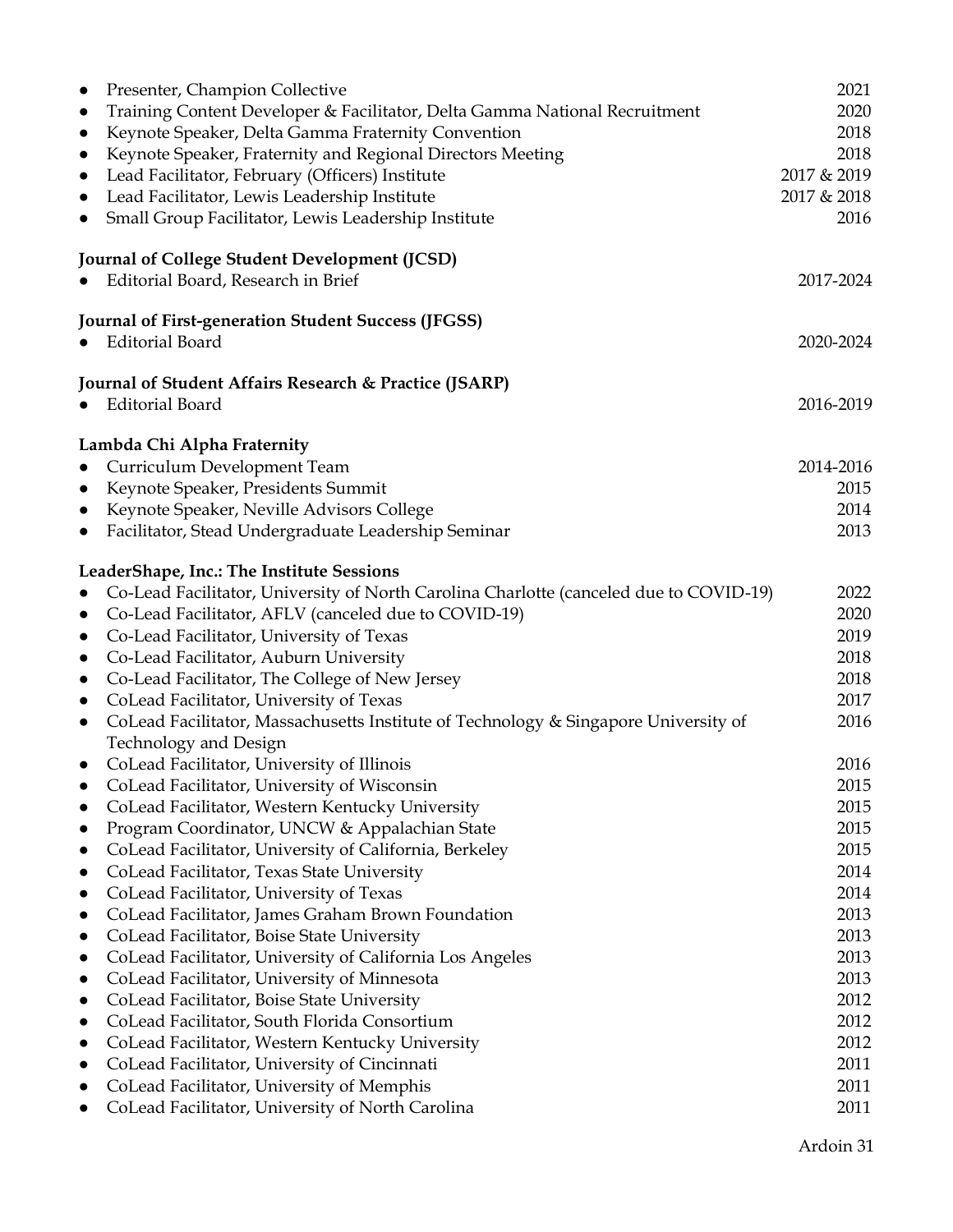| Presenter, Champion Collective<br>$\bullet$                                                         | 2021         |
|-----------------------------------------------------------------------------------------------------|--------------|
| Training Content Developer & Facilitator, Delta Gamma National Recruitment<br>$\bullet$             | 2020         |
| Keynote Speaker, Delta Gamma Fraternity Convention<br>$\bullet$                                     | 2018         |
| Keynote Speaker, Fraternity and Regional Directors Meeting<br>$\bullet$                             | 2018         |
| Lead Facilitator, February (Officers) Institute<br>$\bullet$                                        | 2017 & 2019  |
| Lead Facilitator, Lewis Leadership Institute<br>$\bullet$                                           | 2017 & 2018  |
| Small Group Facilitator, Lewis Leadership Institute<br>$\bullet$                                    | 2016         |
| Journal of College Student Development (JCSD)                                                       |              |
| Editorial Board, Research in Brief<br>$\bullet$                                                     | 2017-2024    |
| <b>Journal of First-generation Student Success (JFGSS)</b>                                          |              |
| <b>Editorial Board</b>                                                                              | 2020-2024    |
| Journal of Student Affairs Research & Practice (JSARP)                                              |              |
| <b>Editorial Board</b>                                                                              | 2016-2019    |
| Lambda Chi Alpha Fraternity                                                                         |              |
| Curriculum Development Team<br>$\bullet$                                                            | 2014-2016    |
| Keynote Speaker, Presidents Summit<br>$\bullet$                                                     | 2015         |
| Keynote Speaker, Neville Advisors College<br>$\bullet$                                              | 2014         |
| Facilitator, Stead Undergraduate Leadership Seminar<br>$\bullet$                                    | 2013         |
| LeaderShape, Inc.: The Institute Sessions                                                           |              |
| Co-Lead Facilitator, University of North Carolina Charlotte (canceled due to COVID-19)<br>$\bullet$ | 2022         |
| Co-Lead Facilitator, AFLV (canceled due to COVID-19)<br>$\bullet$                                   | 2020         |
| Co-Lead Facilitator, University of Texas<br>$\bullet$                                               | 2019         |
| Co-Lead Facilitator, Auburn University<br>$\bullet$                                                 | 2018         |
| Co-Lead Facilitator, The College of New Jersey<br>$\bullet$                                         | 2018         |
| CoLead Facilitator, University of Texas<br>$\bullet$                                                | 2017         |
| CoLead Facilitator, Massachusetts Institute of Technology & Singapore University of<br>$\bullet$    | 2016         |
| Technology and Design                                                                               |              |
| CoLead Facilitator, University of Illinois<br>$\bullet$                                             | 2016         |
| CoLead Facilitator, University of Wisconsin<br>$\bullet$                                            | 2015         |
| CoLead Facilitator, Western Kentucky University<br>$\bullet$                                        | 2015         |
| Program Coordinator, UNCW & Appalachian State<br>$\bullet$                                          | 2015         |
| CoLead Facilitator, University of California, Berkeley<br>$\bullet$                                 | 2015<br>2014 |
| CoLead Facilitator, Texas State University<br>$\bullet$<br>CoLead Facilitator, University of Texas  | 2014         |
| $\bullet$<br>CoLead Facilitator, James Graham Brown Foundation<br>$\bullet$                         | 2013         |
| CoLead Facilitator, Boise State University<br>$\bullet$                                             | 2013         |
| CoLead Facilitator, University of California Los Angeles<br>$\bullet$                               | 2013         |
| CoLead Facilitator, University of Minnesota<br>$\bullet$                                            | 2013         |
| CoLead Facilitator, Boise State University<br>$\bullet$                                             | 2012         |
| CoLead Facilitator, South Florida Consortium<br>$\bullet$                                           | 2012         |
| CoLead Facilitator, Western Kentucky University<br>$\bullet$                                        | 2012         |
| CoLead Facilitator, University of Cincinnati<br>$\bullet$                                           | 2011         |
| CoLead Facilitator, University of Memphis                                                           | 2011         |
| CoLead Facilitator, University of North Carolina                                                    | 2011         |
|                                                                                                     |              |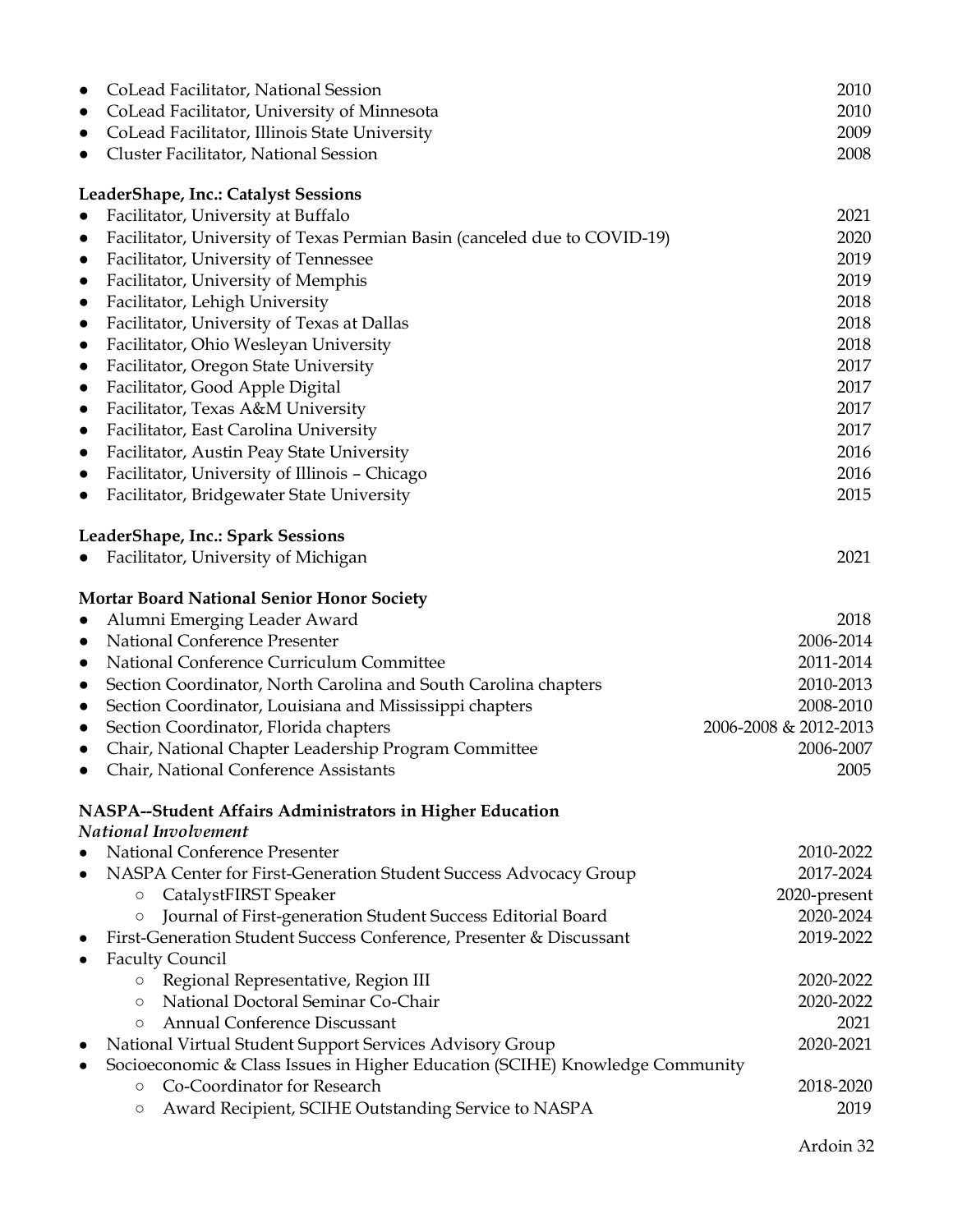| CoLead Facilitator, National Session<br>$\bullet$<br>CoLead Facilitator, University of Minnesota<br>$\bullet$ | 2010<br>2010          |
|---------------------------------------------------------------------------------------------------------------|-----------------------|
| CoLead Facilitator, Illinois State University<br>$\bullet$                                                    | 2009                  |
| Cluster Facilitator, National Session<br>$\bullet$                                                            | 2008                  |
|                                                                                                               |                       |
| LeaderShape, Inc.: Catalyst Sessions                                                                          |                       |
| Facilitator, University at Buffalo<br>$\bullet$                                                               | 2021                  |
| Facilitator, University of Texas Permian Basin (canceled due to COVID-19)<br>$\bullet$                        | 2020                  |
| Facilitator, University of Tennessee<br>$\bullet$                                                             | 2019                  |
| Facilitator, University of Memphis<br>$\bullet$                                                               | 2019                  |
| Facilitator, Lehigh University<br>$\bullet$                                                                   | 2018                  |
| Facilitator, University of Texas at Dallas<br>$\bullet$                                                       | 2018                  |
| Facilitator, Ohio Wesleyan University<br>$\bullet$                                                            | 2018                  |
| Facilitator, Oregon State University<br>$\bullet$                                                             | 2017                  |
| Facilitator, Good Apple Digital<br>$\bullet$                                                                  | 2017                  |
| Facilitator, Texas A&M University<br>$\bullet$                                                                | 2017                  |
| Facilitator, East Carolina University<br>$\bullet$                                                            | 2017                  |
| Facilitator, Austin Peay State University<br>$\bullet$                                                        | 2016                  |
| Facilitator, University of Illinois - Chicago<br>$\bullet$                                                    | 2016                  |
| Facilitator, Bridgewater State University<br>$\bullet$                                                        | 2015                  |
|                                                                                                               |                       |
| LeaderShape, Inc.: Spark Sessions                                                                             |                       |
| Facilitator, University of Michigan<br>$\bullet$                                                              | 2021                  |
|                                                                                                               |                       |
| <b>Mortar Board National Senior Honor Society</b>                                                             |                       |
| Alumni Emerging Leader Award<br>$\bullet$                                                                     | 2018                  |
| National Conference Presenter<br>$\bullet$                                                                    | 2006-2014             |
| National Conference Curriculum Committee<br>$\bullet$                                                         | 2011-2014             |
| Section Coordinator, North Carolina and South Carolina chapters<br>$\bullet$                                  | 2010-2013             |
| Section Coordinator, Louisiana and Mississippi chapters<br>$\bullet$                                          | 2008-2010             |
| Section Coordinator, Florida chapters<br>$\bullet$                                                            | 2006-2008 & 2012-2013 |
| Chair, National Chapter Leadership Program Committee<br>$\bullet$                                             | 2006-2007             |
| Chair, National Conference Assistants                                                                         | 2005                  |
|                                                                                                               |                       |
| NASPA--Student Affairs Administrators in Higher Education                                                     |                       |
| National Involvement                                                                                          |                       |
| National Conference Presenter<br>$\bullet$                                                                    | 2010-2022             |
| NASPA Center for First-Generation Student Success Advocacy Group<br>$\bullet$                                 | 2017-2024             |
| CatalystFIRST Speaker<br>$\circ$                                                                              | 2020-present          |
| Journal of First-generation Student Success Editorial Board<br>$\circ$                                        | 2020-2024             |
| First-Generation Student Success Conference, Presenter & Discussant<br>$\bullet$                              | 2019-2022             |
| <b>Faculty Council</b><br>$\bullet$                                                                           |                       |
| Regional Representative, Region III<br>$\circ$                                                                | 2020-2022             |
| National Doctoral Seminar Co-Chair<br>$\circ$                                                                 | 2020-2022             |
| Annual Conference Discussant<br>$\circ$                                                                       | 2021                  |
| National Virtual Student Support Services Advisory Group<br>$\bullet$                                         | 2020-2021             |
| Socioeconomic & Class Issues in Higher Education (SCIHE) Knowledge Community<br>Co-Coordinator for Research   |                       |
| $\circ$<br>Award Recipient, SCIHE Outstanding Service to NASPA                                                | 2018-2020<br>2019     |
| $\circ$                                                                                                       |                       |
|                                                                                                               |                       |

Ardoin 32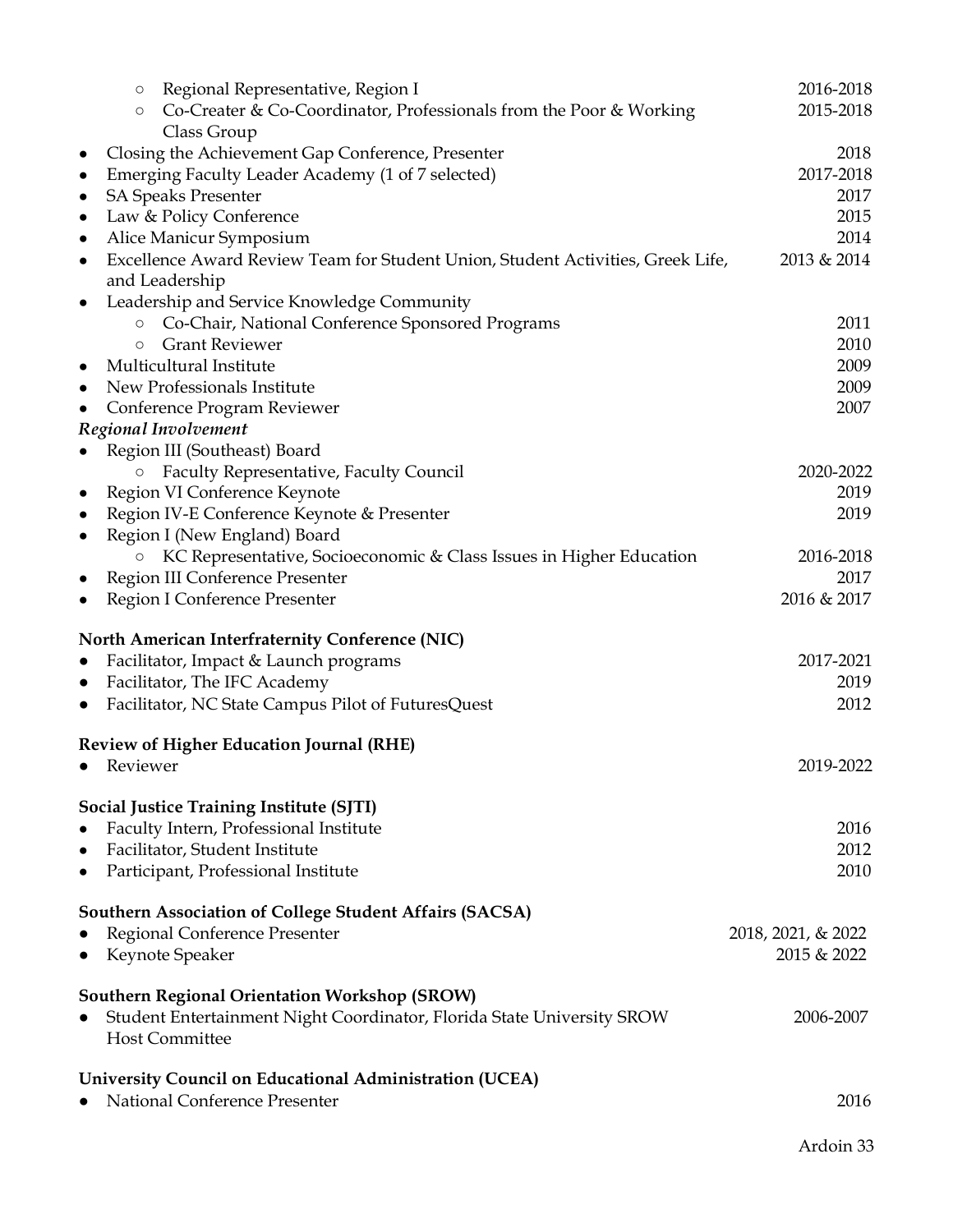|           | $\circ$  | Regional Representative, Region I                                                                 | 2016-2018          |
|-----------|----------|---------------------------------------------------------------------------------------------------|--------------------|
|           | $\circ$  | Co-Creater & Co-Coordinator, Professionals from the Poor & Working                                | 2015-2018          |
|           |          | Class Group                                                                                       |                    |
| $\bullet$ |          | Closing the Achievement Gap Conference, Presenter                                                 | 2018               |
| $\bullet$ |          | Emerging Faculty Leader Academy (1 of 7 selected)                                                 | 2017-2018          |
| $\bullet$ |          | <b>SA Speaks Presenter</b>                                                                        | 2017               |
| $\bullet$ |          | Law & Policy Conference                                                                           | 2015               |
| $\bullet$ |          | Alice Manicur Symposium                                                                           | 2014               |
| $\bullet$ |          | Excellence Award Review Team for Student Union, Student Activities, Greek Life,<br>and Leadership | 2013 & 2014        |
| $\bullet$ |          | Leadership and Service Knowledge Community                                                        |                    |
|           | $\circ$  | Co-Chair, National Conference Sponsored Programs                                                  | 2011               |
|           | $\circ$  | <b>Grant Reviewer</b>                                                                             | 2010               |
| $\bullet$ |          | Multicultural Institute                                                                           | 2009               |
| $\bullet$ |          | New Professionals Institute                                                                       | 2009               |
|           |          | Conference Program Reviewer                                                                       | 2007               |
|           |          | Regional Involvement                                                                              |                    |
|           |          | Region III (Southeast) Board                                                                      |                    |
|           | $\circ$  | Faculty Representative, Faculty Council                                                           | 2020-2022          |
| $\bullet$ |          | Region VI Conference Keynote                                                                      | 2019               |
| $\bullet$ |          | Region IV-E Conference Keynote & Presenter                                                        | 2019               |
| $\bullet$ |          | Region I (New England) Board                                                                      |                    |
|           |          | KC Representative, Socioeconomic & Class Issues in Higher Education                               | 2016-2018          |
| $\bullet$ |          | Region III Conference Presenter                                                                   | 2017               |
| $\bullet$ |          | Region I Conference Presenter                                                                     | 2016 & 2017        |
|           |          | North American Interfraternity Conference (NIC)                                                   |                    |
|           |          | Facilitator, Impact & Launch programs                                                             | 2017-2021          |
| $\bullet$ |          | Facilitator, The IFC Academy                                                                      | 2019               |
| $\bullet$ |          | Facilitator, NC State Campus Pilot of FuturesQuest                                                | 2012               |
|           |          | <b>Review of Higher Education Journal (RHE)</b>                                                   |                    |
| $\bullet$ | Reviewer |                                                                                                   | 2019-2022          |
|           |          | Social Justice Training Institute (SJTI)                                                          |                    |
| $\bullet$ |          | Faculty Intern, Professional Institute                                                            | 2016               |
| $\bullet$ |          | Facilitator, Student Institute                                                                    | 2012               |
| $\bullet$ |          | Participant, Professional Institute                                                               | 2010               |
|           |          | <b>Southern Association of College Student Affairs (SACSA)</b>                                    |                    |
|           |          | Regional Conference Presenter                                                                     | 2018, 2021, & 2022 |
|           |          | Keynote Speaker                                                                                   | 2015 & 2022        |
|           |          | <b>Southern Regional Orientation Workshop (SROW)</b>                                              |                    |
| $\bullet$ |          | Student Entertainment Night Coordinator, Florida State University SROW                            | 2006-2007          |
|           |          | <b>Host Committee</b>                                                                             |                    |
|           |          | University Council on Educational Administration (UCEA)                                           |                    |
|           |          | National Conference Presenter                                                                     | 2016               |
|           |          |                                                                                                   |                    |

Ardoin 33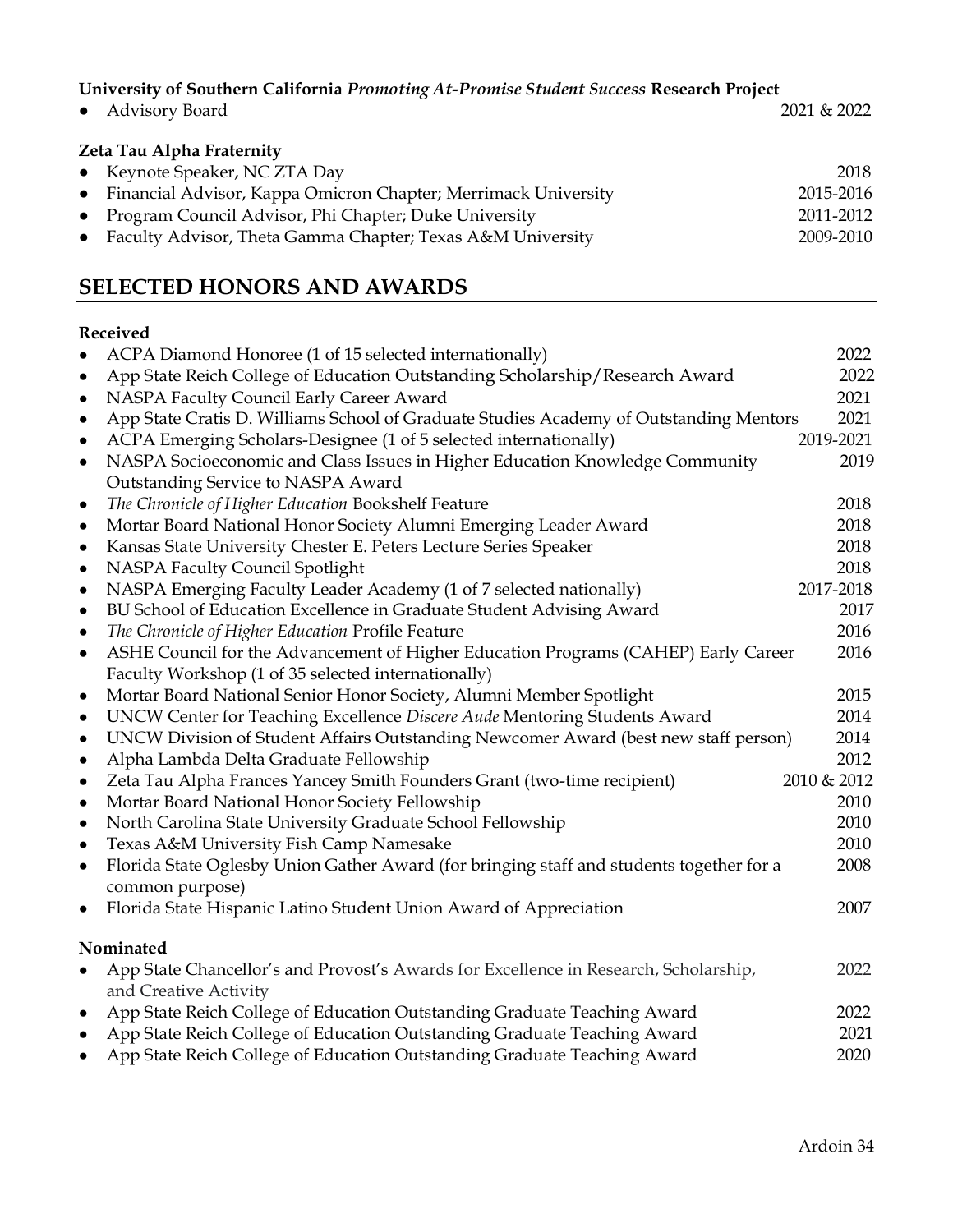**University of Southern California** *Promoting At-Promise Student Success* **Research Project**

|  | Advisory Board |  |
|--|----------------|--|
|--|----------------|--|

2021 & 2022

| Zeta Tau Alpha Fraternity                                        |           |  |  |  |
|------------------------------------------------------------------|-----------|--|--|--|
| • Keynote Speaker, NC ZTA Day                                    | 2018      |  |  |  |
| • Financial Advisor, Kappa Omicron Chapter; Merrimack University | 2015-2016 |  |  |  |
| • Program Council Advisor, Phi Chapter; Duke University          | 2011-2012 |  |  |  |
| • Faculty Advisor, Theta Gamma Chapter; Texas A&M University     | 2009-2010 |  |  |  |

# **SELECTED HONORS AND AWARDS**

#### **Received**

| $\bullet$ | ACPA Diamond Honoree (1 of 15 selected internationally)                                  | 2022        |
|-----------|------------------------------------------------------------------------------------------|-------------|
| $\bullet$ | App State Reich College of Education Outstanding Scholarship/Research Award              | 2022        |
| $\bullet$ | NASPA Faculty Council Early Career Award                                                 | 2021        |
| $\bullet$ | App State Cratis D. Williams School of Graduate Studies Academy of Outstanding Mentors   | 2021        |
| $\bullet$ | ACPA Emerging Scholars-Designee (1 of 5 selected internationally)                        | 2019-2021   |
| $\bullet$ | NASPA Socioeconomic and Class Issues in Higher Education Knowledge Community             | 2019        |
|           | Outstanding Service to NASPA Award                                                       |             |
| $\bullet$ | The Chronicle of Higher Education Bookshelf Feature                                      | 2018        |
| $\bullet$ | Mortar Board National Honor Society Alumni Emerging Leader Award                         | 2018        |
| $\bullet$ | Kansas State University Chester E. Peters Lecture Series Speaker                         | 2018        |
| $\bullet$ | NASPA Faculty Council Spotlight                                                          | 2018        |
| $\bullet$ | NASPA Emerging Faculty Leader Academy (1 of 7 selected nationally)                       | 2017-2018   |
| $\bullet$ | BU School of Education Excellence in Graduate Student Advising Award                     | 2017        |
| $\bullet$ | The Chronicle of Higher Education Profile Feature                                        | 2016        |
| $\bullet$ | ASHE Council for the Advancement of Higher Education Programs (CAHEP) Early Career       | 2016        |
|           | Faculty Workshop (1 of 35 selected internationally)                                      |             |
| $\bullet$ | Mortar Board National Senior Honor Society, Alumni Member Spotlight                      | 2015        |
| $\bullet$ | UNCW Center for Teaching Excellence Discere Aude Mentoring Students Award                | 2014        |
| $\bullet$ | UNCW Division of Student Affairs Outstanding Newcomer Award (best new staff person)      | 2014        |
| $\bullet$ | Alpha Lambda Delta Graduate Fellowship                                                   | 2012        |
| $\bullet$ | Zeta Tau Alpha Frances Yancey Smith Founders Grant (two-time recipient)                  | 2010 & 2012 |
| $\bullet$ | Mortar Board National Honor Society Fellowship                                           | 2010        |
| $\bullet$ | North Carolina State University Graduate School Fellowship                               | 2010        |
| $\bullet$ | Texas A&M University Fish Camp Namesake                                                  | 2010        |
| $\bullet$ | Florida State Oglesby Union Gather Award (for bringing staff and students together for a | 2008        |
|           | common purpose)                                                                          |             |
| $\bullet$ | Florida State Hispanic Latino Student Union Award of Appreciation                        | 2007        |
|           | Nominated                                                                                |             |
| $\bullet$ | App State Chancellor's and Provost's Awards for Excellence in Research, Scholarship,     | 2022        |
|           | and Creative Activity                                                                    |             |
| $\bullet$ | App State Reich College of Education Outstanding Graduate Teaching Award                 | 2022        |
| $\bullet$ | App State Reich College of Education Outstanding Graduate Teaching Award                 | 2021        |
| $\bullet$ | App State Reich College of Education Outstanding Graduate Teaching Award                 | 2020        |